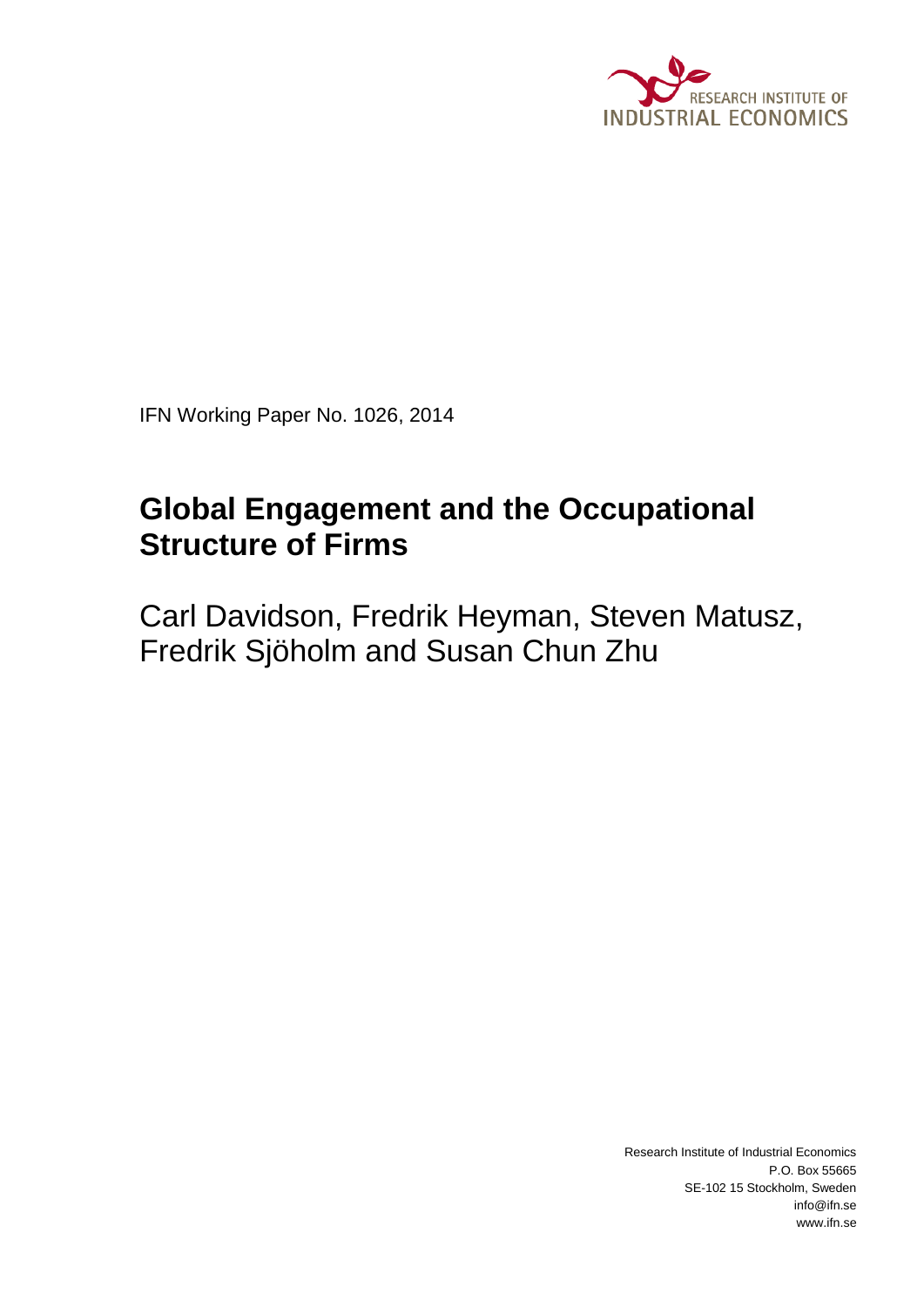

IFN Working Paper No. 1026, 2014

# **Global Engagement and the Occupational Structure of Firms**

Carl Davidson, Fredrik Heyman, Steven Matusz, Fredrik Sjöholm and Susan Chun Zhu

> Research Institute of Industrial Economics P.O. Box 55665 SE-102 15 Stockholm, Sweden info@ifn.se www.ifn.se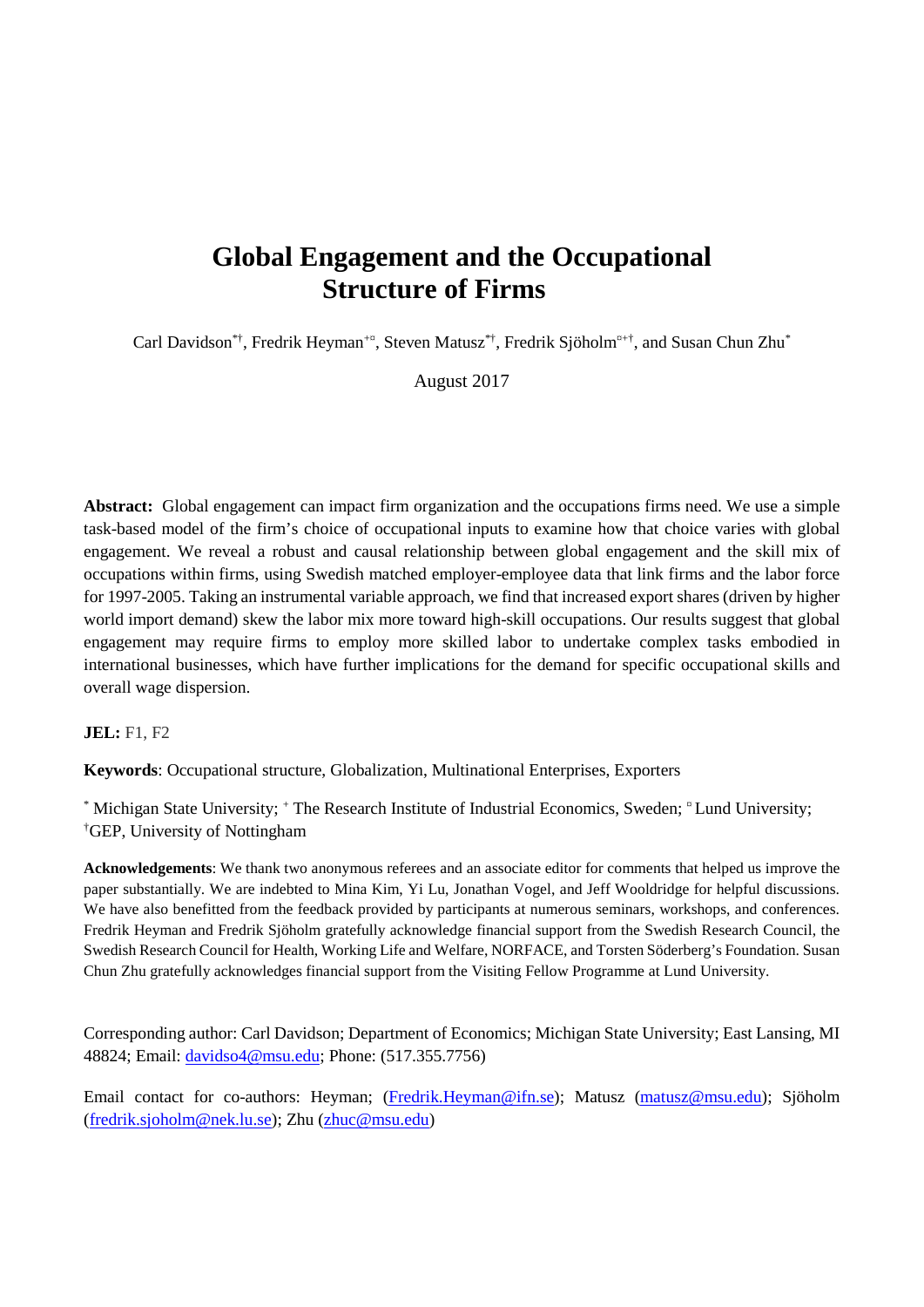# **Global Engagement and the Occupational Structure of Firms**

Carl Davidson\*†, Fredrik Heyman<sup>+¤</sup>, Steven Matusz<sup>\*†</sup>, Fredrik Sjöholm<sup>¤+†</sup>, and Susan Chun Zhu<sup>\*</sup>

August 2017

**Abstract:** Global engagement can impact firm organization and the occupations firms need. We use a simple task-based model of the firm's choice of occupational inputs to examine how that choice varies with global engagement. We reveal a robust and causal relationship between global engagement and the skill mix of occupations within firms, using Swedish matched employer-employee data that link firms and the labor force for 1997-2005. Taking an instrumental variable approach, we find that increased export shares (driven by higher world import demand) skew the labor mix more toward high-skill occupations. Our results suggest that global engagement may require firms to employ more skilled labor to undertake complex tasks embodied in international businesses, which have further implications for the demand for specific occupational skills and overall wage dispersion.

**JEL:** F1, F2

**Keywords**: Occupational structure, Globalization, Multinational Enterprises, Exporters

\* Michigan State University; + The Research Institute of Industrial Economics, Sweden; ¤ Lund University; † GEP, University of Nottingham

**Acknowledgements**: We thank two anonymous referees and an associate editor for comments that helped us improve the paper substantially. We are indebted to Mina Kim, Yi Lu, Jonathan Vogel, and Jeff Wooldridge for helpful discussions. We have also benefitted from the feedback provided by participants at numerous seminars, workshops, and conferences. Fredrik Heyman and Fredrik Sjöholm gratefully acknowledge financial support from the Swedish Research Council, the Swedish Research Council for Health, Working Life and Welfare, NORFACE, and Torsten Söderberg's Foundation. Susan Chun Zhu gratefully acknowledges financial support from the Visiting Fellow Programme at Lund University.

Corresponding author: Carl Davidson; Department of Economics; Michigan State University; East Lansing, MI 48824; Email: [davidso4@msu.edu;](mailto:davidso4@msu.edu) Phone: (517.355.7756)

Email contact for co-authors: Heyman; [\(Fredrik.Heyman@ifn.se\)](mailto:Fredrik.Heyman@ifn.se); Matusz [\(matusz@msu.edu\)](mailto:matusz@msu.edu); Sjöholm [\(fredrik.sjoholm@nek.lu.se\)](mailto:fredrik.sjoholm@nek.lu.se); Zhu [\(zhuc@msu.edu\)](mailto:zhuc@msu.edu)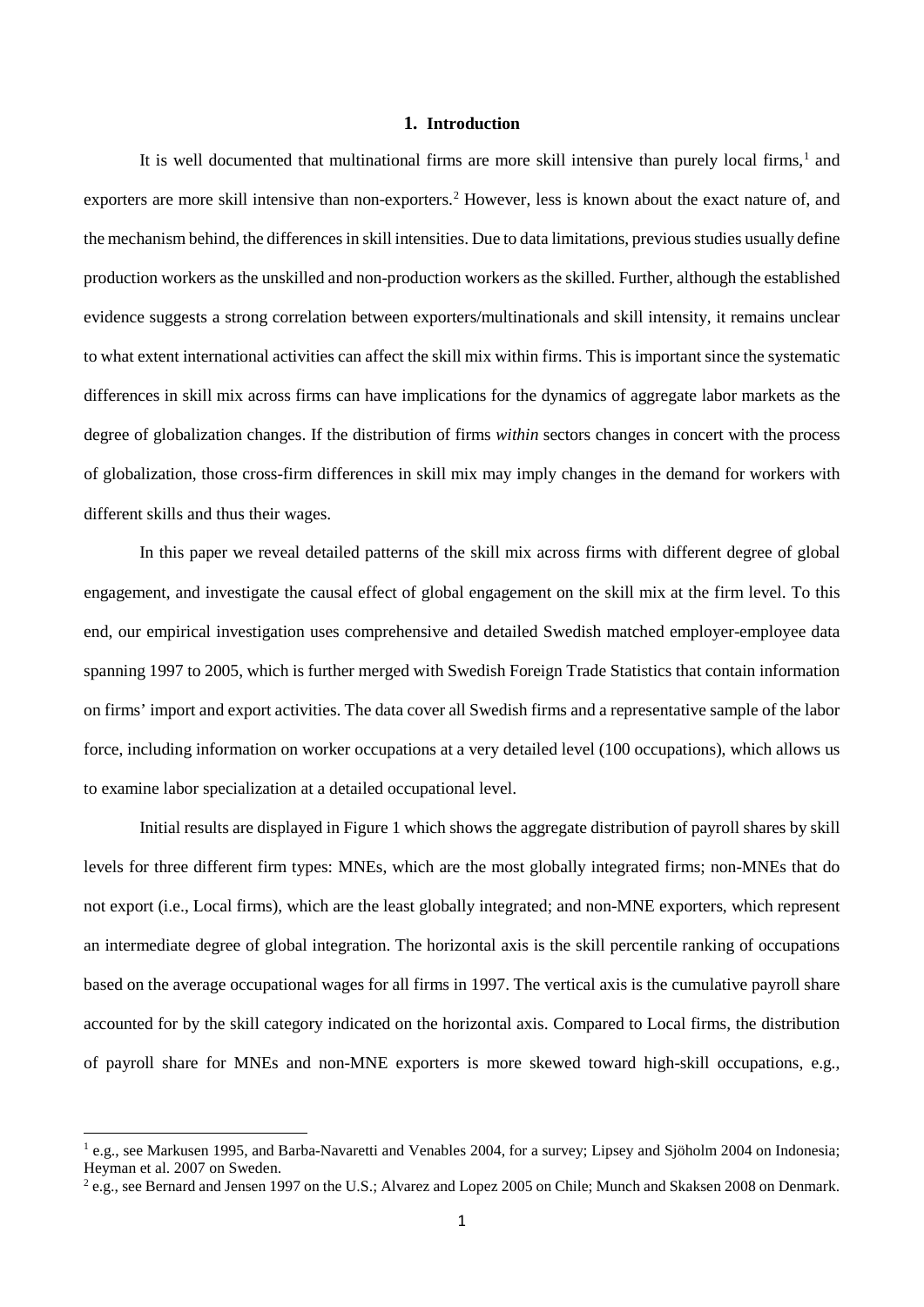# **1. Introduction**

It is well documented that multinational firms are more skill intensive than purely local firms,<sup>[1](#page-2-0)</sup> and exporters are more skill intensive than non-exporters. [2](#page-2-1) However, less is known about the exact nature of, and the mechanism behind, the differences in skill intensities. Due to data limitations, previousstudies usually define production workers as the unskilled and non-production workers as the skilled. Further, although the established evidence suggests a strong correlation between exporters/multinationals and skill intensity, it remains unclear to what extent international activities can affect the skill mix within firms. This is important since the systematic differences in skill mix across firms can have implications for the dynamics of aggregate labor markets as the degree of globalization changes. If the distribution of firms *within* sectors changes in concert with the process of globalization, those cross-firm differences in skill mix may imply changes in the demand for workers with different skills and thus their wages.

In this paper we reveal detailed patterns of the skill mix across firms with different degree of global engagement, and investigate the causal effect of global engagement on the skill mix at the firm level. To this end, our empirical investigation uses comprehensive and detailed Swedish matched employer-employee data spanning 1997 to 2005, which is further merged with Swedish Foreign Trade Statistics that contain information on firms' import and export activities. The data cover all Swedish firms and a representative sample of the labor force, including information on worker occupations at a very detailed level (100 occupations), which allows us to examine labor specialization at a detailed occupational level.

Initial results are displayed in Figure 1 which shows the aggregate distribution of payroll shares by skill levels for three different firm types: MNEs, which are the most globally integrated firms; non-MNEs that do not export (i.e., Local firms), which are the least globally integrated; and non-MNE exporters, which represent an intermediate degree of global integration. The horizontal axis is the skill percentile ranking of occupations based on the average occupational wages for all firms in 1997. The vertical axis is the cumulative payroll share accounted for by the skill category indicated on the horizontal axis. Compared to Local firms, the distribution of payroll share for MNEs and non-MNE exporters is more skewed toward high-skill occupations, e.g.,

**.** 

<span id="page-2-0"></span> $1$  e.g., see Markusen 1995, and Barba-Navaretti and Venables 2004, for a survey; Lipsey and Sjöholm 2004 on Indonesia; Heyman et al. 2007 on Sweden.

<span id="page-2-1"></span><sup>&</sup>lt;sup>2</sup> e.g., see Bernard and Jensen 1997 on the U.S.; Alvarez and Lopez 2005 on Chile; Munch and Skaksen 2008 on Denmark.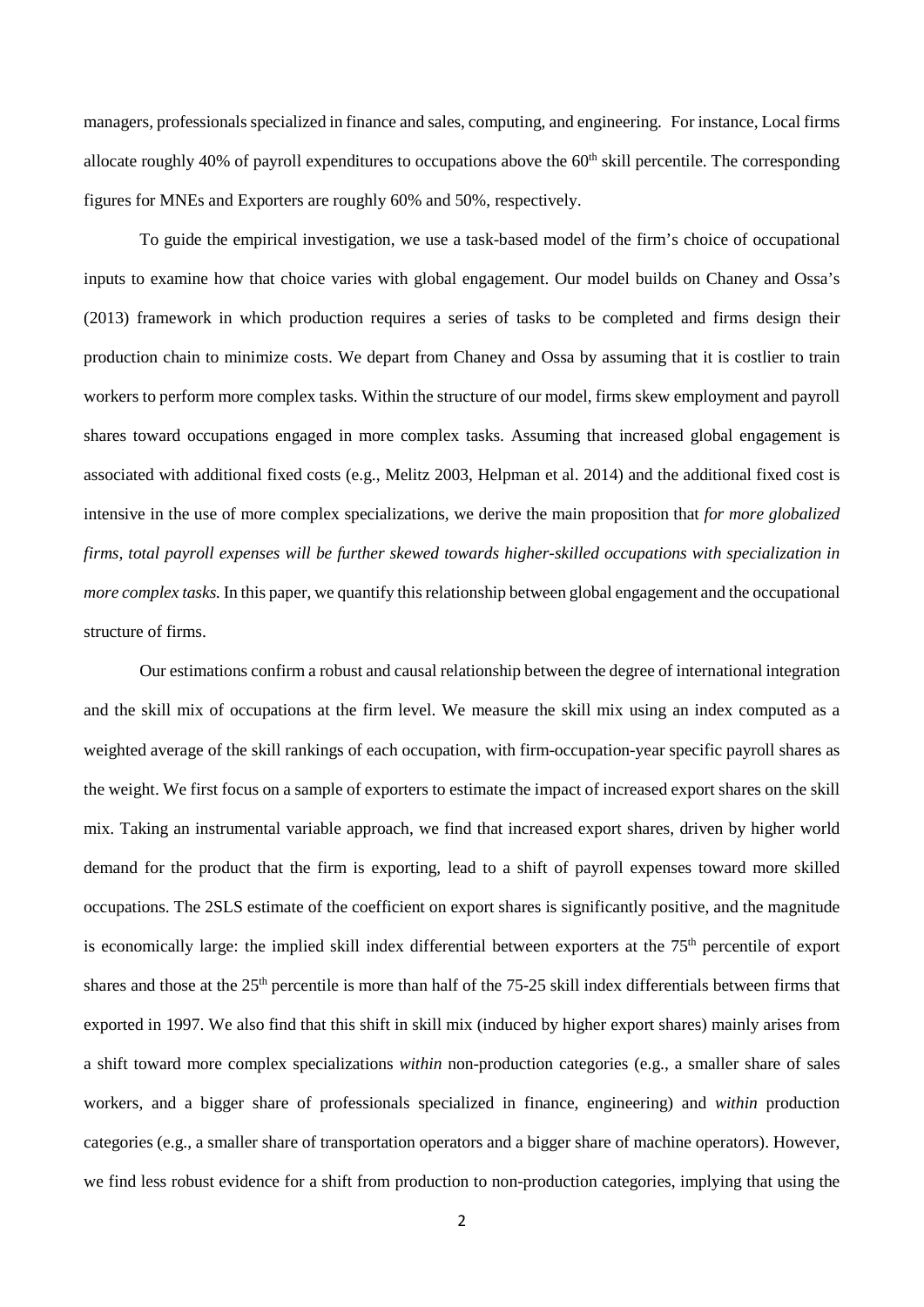managers, professionals specialized in finance and sales, computing, and engineering. For instance, Local firms allocate roughly 40% of payroll expenditures to occupations above the 60<sup>th</sup> skill percentile. The corresponding figures for MNEs and Exporters are roughly 60% and 50%, respectively.

To guide the empirical investigation, we use a task-based model of the firm's choice of occupational inputs to examine how that choice varies with global engagement. Our model builds on Chaney and Ossa's (2013) framework in which production requires a series of tasks to be completed and firms design their production chain to minimize costs. We depart from Chaney and Ossa by assuming that it is costlier to train workers to perform more complex tasks. Within the structure of our model, firms skew employment and payroll shares toward occupations engaged in more complex tasks. Assuming that increased global engagement is associated with additional fixed costs (e.g., Melitz 2003, Helpman et al. 2014) and the additional fixed cost is intensive in the use of more complex specializations, we derive the main proposition that *for more globalized firms, total payroll expenses will be further skewed towards higher-skilled occupations with specialization in more complex tasks.* In this paper, we quantify this relationship between global engagement and the occupational structure of firms.

Our estimations confirm a robust and causal relationship between the degree of international integration and the skill mix of occupations at the firm level. We measure the skill mix using an index computed as a weighted average of the skill rankings of each occupation, with firm-occupation-year specific payroll shares as the weight. We first focus on a sample of exporters to estimate the impact of increased export shares on the skill mix. Taking an instrumental variable approach, we find that increased export shares, driven by higher world demand for the product that the firm is exporting, lead to a shift of payroll expenses toward more skilled occupations. The 2SLS estimate of the coefficient on export shares is significantly positive, and the magnitude is economically large: the implied skill index differential between exporters at the  $75<sup>th</sup>$  percentile of export shares and those at the 25<sup>th</sup> percentile is more than half of the 75-25 skill index differentials between firms that exported in 1997. We also find that this shift in skill mix (induced by higher export shares) mainly arises from a shift toward more complex specializations *within* non-production categories (e.g., a smaller share of sales workers, and a bigger share of professionals specialized in finance, engineering) and *within* production categories (e.g., a smaller share of transportation operators and a bigger share of machine operators). However, we find less robust evidence for a shift from production to non-production categories, implying that using the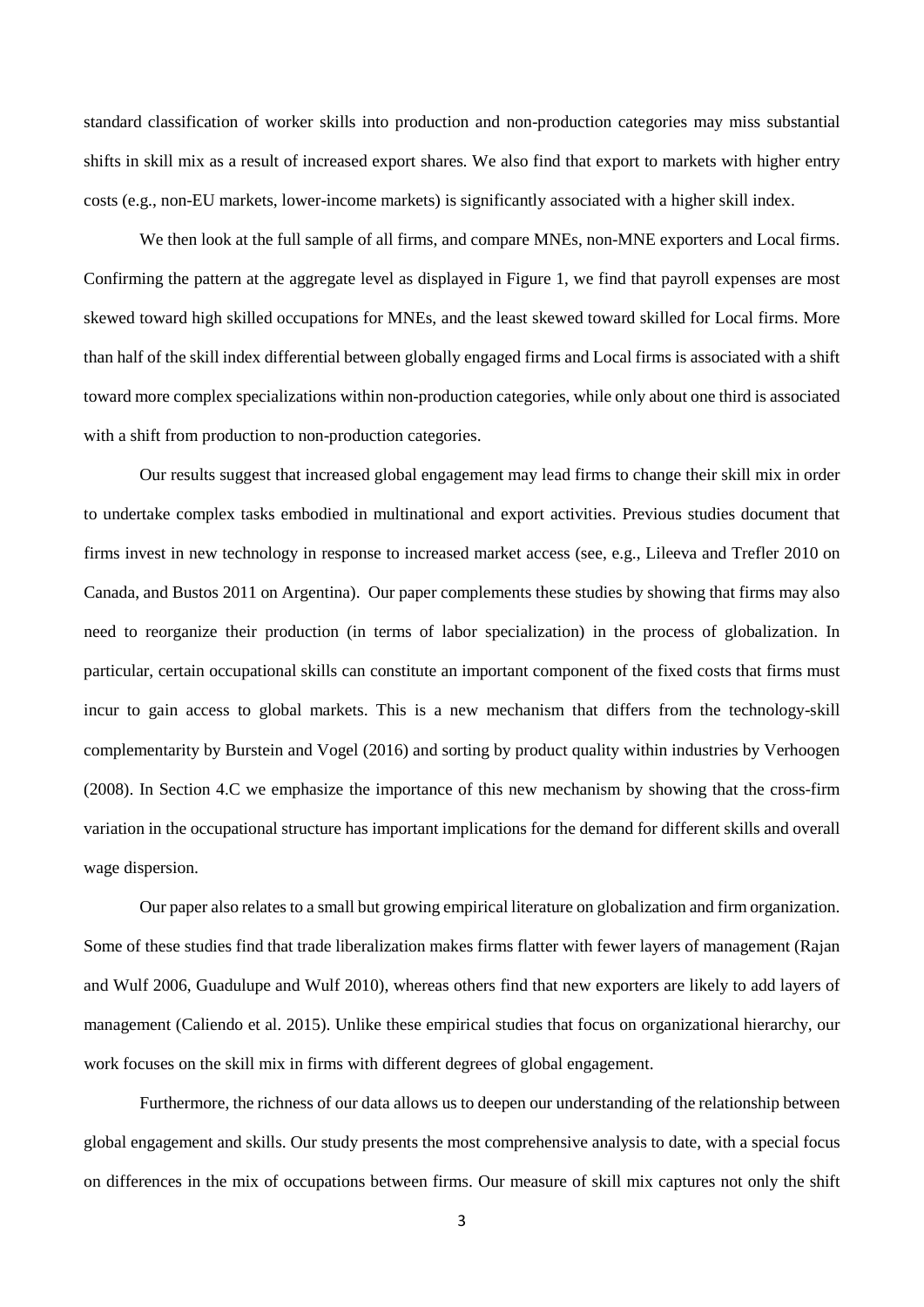standard classification of worker skills into production and non-production categories may miss substantial shifts in skill mix as a result of increased export shares. We also find that export to markets with higher entry costs (e.g., non-EU markets, lower-income markets) is significantly associated with a higher skill index.

We then look at the full sample of all firms, and compare MNEs, non-MNE exporters and Local firms. Confirming the pattern at the aggregate level as displayed in Figure 1, we find that payroll expenses are most skewed toward high skilled occupations for MNEs, and the least skewed toward skilled for Local firms. More than half of the skill index differential between globally engaged firms and Local firms is associated with a shift toward more complex specializations within non-production categories, while only about one third is associated with a shift from production to non-production categories.

Our results suggest that increased global engagement may lead firms to change their skill mix in order to undertake complex tasks embodied in multinational and export activities. Previous studies document that firms invest in new technology in response to increased market access (see, e.g., Lileeva and Trefler 2010 on Canada, and Bustos 2011 on Argentina). Our paper complements these studies by showing that firms may also need to reorganize their production (in terms of labor specialization) in the process of globalization. In particular, certain occupational skills can constitute an important component of the fixed costs that firms must incur to gain access to global markets. This is a new mechanism that differs from the technology-skill complementarity by Burstein and Vogel (2016) and sorting by product quality within industries by Verhoogen (2008). In Section 4.C we emphasize the importance of this new mechanism by showing that the cross-firm variation in the occupational structure has important implications for the demand for different skills and overall wage dispersion.

Our paper also relates to a small but growing empirical literature on globalization and firm organization. Some of these studies find that trade liberalization makes firms flatter with fewer layers of management (Rajan and Wulf 2006, Guadulupe and Wulf 2010), whereas others find that new exporters are likely to add layers of management (Caliendo et al. 2015). Unlike these empirical studies that focus on organizational hierarchy, our work focuses on the skill mix in firms with different degrees of global engagement.

Furthermore, the richness of our data allows us to deepen our understanding of the relationship between global engagement and skills. Our study presents the most comprehensive analysis to date, with a special focus on differences in the mix of occupations between firms. Our measure of skill mix captures not only the shift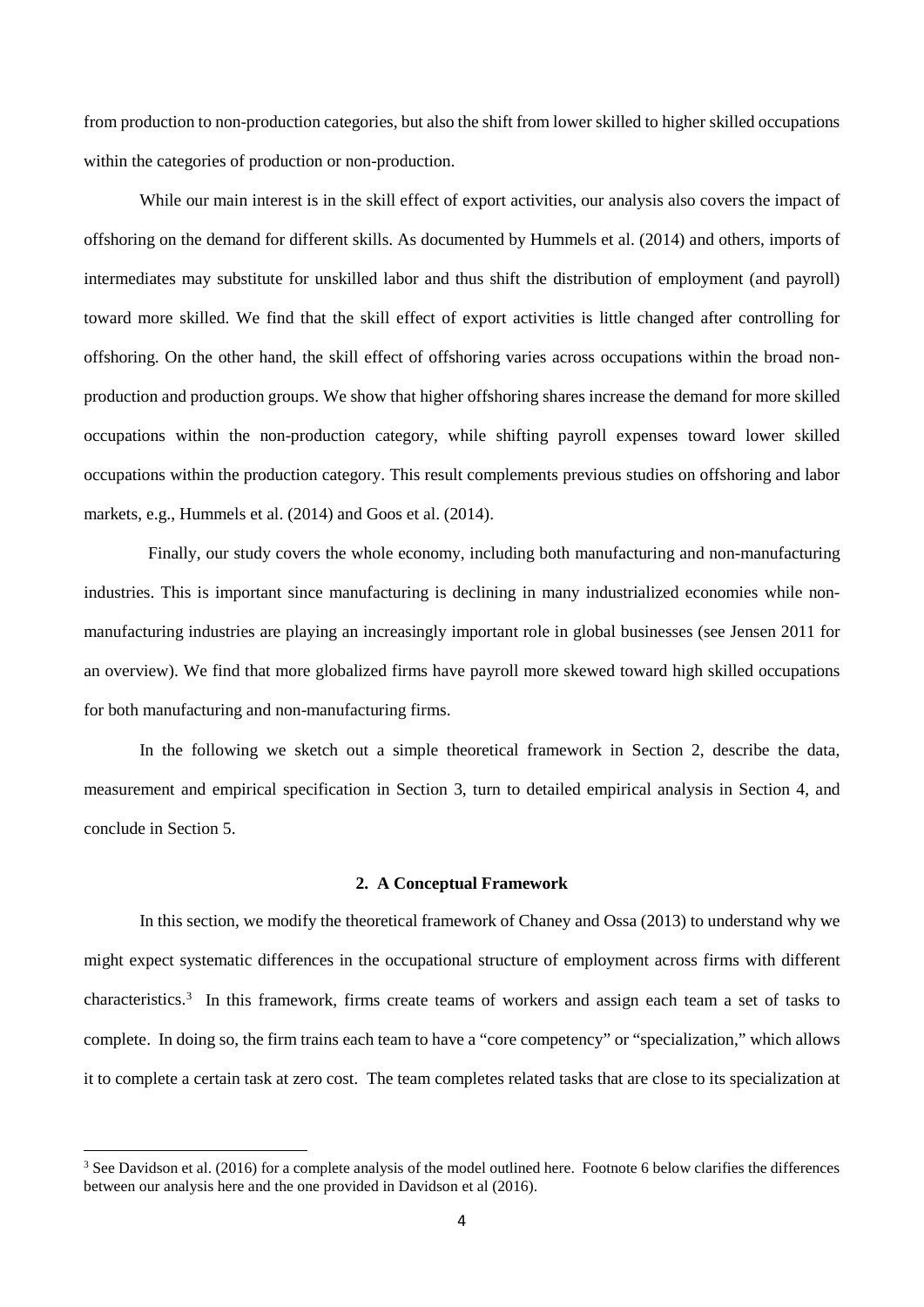from production to non-production categories, but also the shift from lower skilled to higher skilled occupations within the categories of production or non-production.

While our main interest is in the skill effect of export activities, our analysis also covers the impact of offshoring on the demand for different skills. As documented by Hummels et al. (2014) and others, imports of intermediates may substitute for unskilled labor and thus shift the distribution of employment (and payroll) toward more skilled. We find that the skill effect of export activities is little changed after controlling for offshoring. On the other hand, the skill effect of offshoring varies across occupations within the broad nonproduction and production groups. We show that higher offshoring shares increase the demand for more skilled occupations within the non-production category, while shifting payroll expenses toward lower skilled occupations within the production category. This result complements previous studies on offshoring and labor markets, e.g., Hummels et al. (2014) and Goos et al. (2014).

Finally, our study covers the whole economy, including both manufacturing and non-manufacturing industries. This is important since manufacturing is declining in many industrialized economies while nonmanufacturing industries are playing an increasingly important role in global businesses (see Jensen 2011 for an overview). We find that more globalized firms have payroll more skewed toward high skilled occupations for both manufacturing and non-manufacturing firms.

In the following we sketch out a simple theoretical framework in Section 2, describe the data, measurement and empirical specification in Section 3, turn to detailed empirical analysis in Section 4, and conclude in Section 5.

#### **2. A Conceptual Framework**

In this section, we modify the theoretical framework of Chaney and Ossa (2013) to understand why we might expect systematic differences in the occupational structure of employment across firms with different characteristics.<sup>[3](#page-5-0)</sup> In this framework, firms create teams of workers and assign each team a set of tasks to complete. In doing so, the firm trains each team to have a "core competency" or "specialization," which allows it to complete a certain task at zero cost. The team completes related tasks that are close to its specialization at

 $\overline{a}$ 

<span id="page-5-0"></span><sup>&</sup>lt;sup>3</sup> See Davidson et al. (2016) for a complete analysis of the model outlined here. Footnote 6 below clarifies the differences between our analysis here and the one provided in Davidson et al (2016).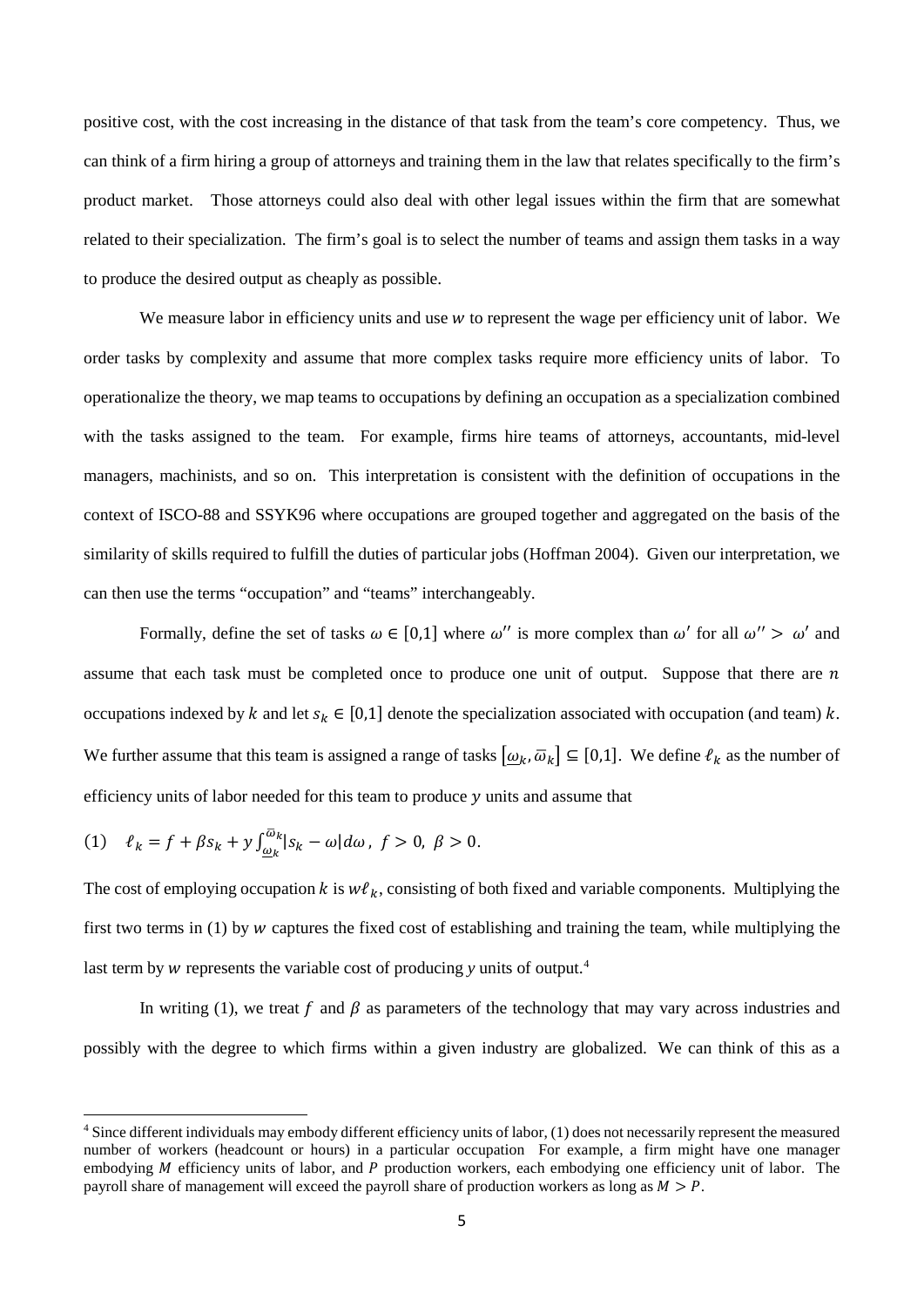positive cost, with the cost increasing in the distance of that task from the team's core competency. Thus, we can think of a firm hiring a group of attorneys and training them in the law that relates specifically to the firm's product market. Those attorneys could also deal with other legal issues within the firm that are somewhat related to their specialization. The firm's goal is to select the number of teams and assign them tasks in a way to produce the desired output as cheaply as possible.

We measure labor in efficiency units and use w to represent the wage per efficiency unit of labor. We order tasks by complexity and assume that more complex tasks require more efficiency units of labor. To operationalize the theory, we map teams to occupations by defining an occupation as a specialization combined with the tasks assigned to the team. For example, firms hire teams of attorneys, accountants, mid-level managers, machinists, and so on. This interpretation is consistent with the definition of occupations in the context of ISCO-88 and SSYK96 where occupations are grouped together and aggregated on the basis of the similarity of skills required to fulfill the duties of particular jobs (Hoffman 2004). Given our interpretation, we can then use the terms "occupation" and "teams" interchangeably.

Formally, define the set of tasks  $\omega \in [0,1]$  where  $\omega''$  is more complex than  $\omega'$  for all  $\omega'' > \omega'$  and assume that each task must be completed once to produce one unit of output. Suppose that there are  $n$ occupations indexed by k and let  $s_k \in [0,1]$  denote the specialization associated with occupation (and team) k. We further assume that this team is assigned a range of tasks  $[\omega_k, \overline{\omega}_k] \subseteq [0,1]$ . We define  $\ell_k$  as the number of efficiency units of labor needed for this team to produce  $\nu$  units and assume that

(1) 
$$
\ell_k = f + \beta s_k + y \int_{\underline{\omega}_k}^{\overline{\omega}_k} |s_k - \omega| d\omega, \ f > 0, \ \beta > 0.
$$

**.** 

The cost of employing occupation k is  $w\ell_k$ , consisting of both fixed and variable components. Multiplying the first two terms in  $(1)$  by  $w$  captures the fixed cost of establishing and training the team, while multiplying the last term by *w* represents the variable cost of producing *y* units of output.<sup>4</sup>

In writing (1), we treat f and  $\beta$  as parameters of the technology that may vary across industries and possibly with the degree to which firms within a given industry are globalized. We can think of this as a

<span id="page-6-0"></span><sup>&</sup>lt;sup>4</sup> Since different individuals may embody different efficiency units of labor, (1) does not necessarily represent the measured number of workers (headcount or hours) in a particular occupation For example, a firm might have one manager embodying  $M$  efficiency units of labor, and  $P$  production workers, each embodying one efficiency unit of labor. The payroll share of management will exceed the payroll share of production workers as long as  $M > P$ .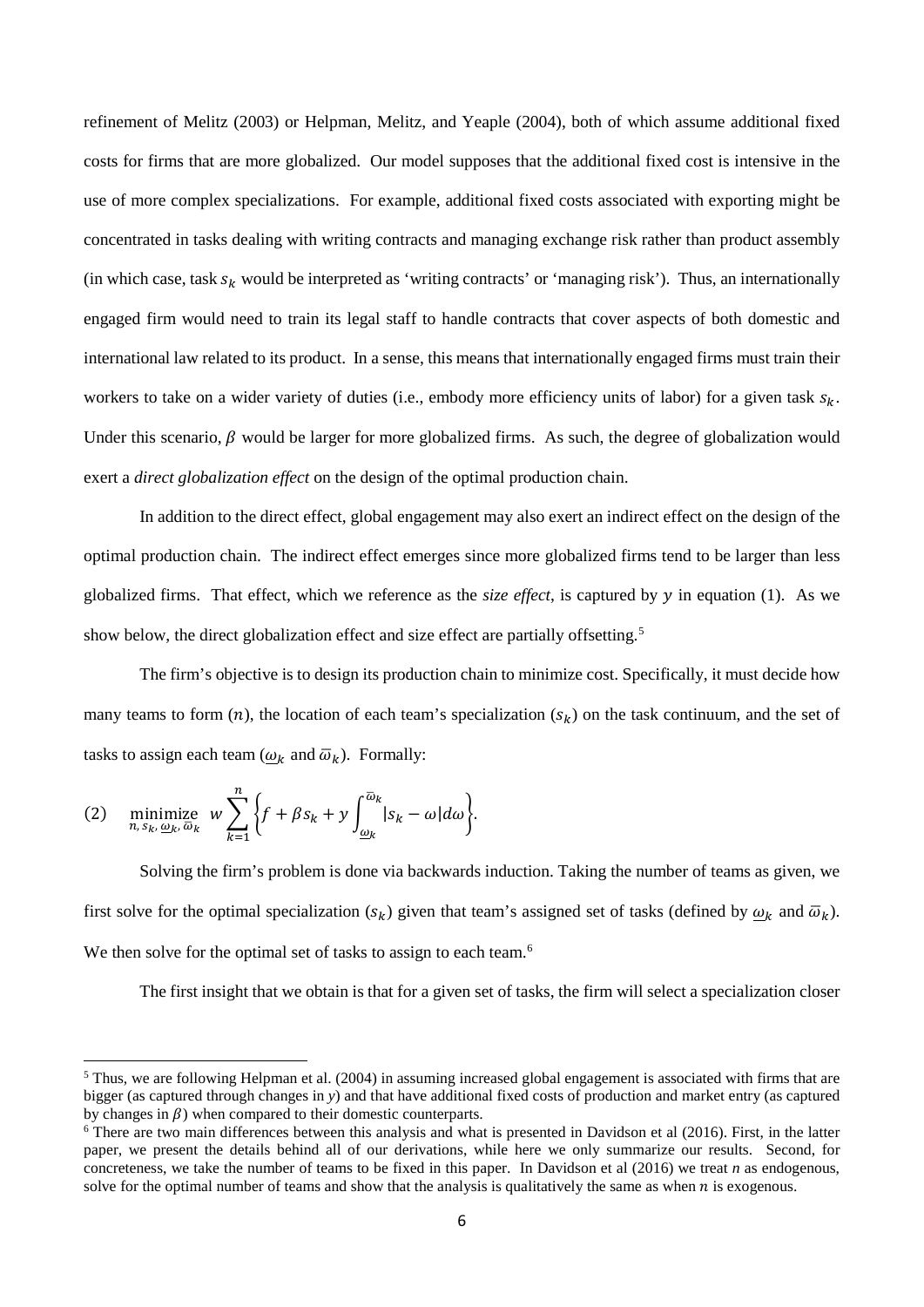refinement of Melitz (2003) or Helpman, Melitz, and Yeaple (2004), both of which assume additional fixed costs for firms that are more globalized. Our model supposes that the additional fixed cost is intensive in the use of more complex specializations. For example, additional fixed costs associated with exporting might be concentrated in tasks dealing with writing contracts and managing exchange risk rather than product assembly (in which case, task  $s_k$  would be interpreted as 'writing contracts' or 'managing risk'). Thus, an internationally engaged firm would need to train its legal staff to handle contracts that cover aspects of both domestic and international law related to its product. In a sense, this means that internationally engaged firms must train their workers to take on a wider variety of duties (i.e., embody more efficiency units of labor) for a given task  $s_k$ . Under this scenario,  $\beta$  would be larger for more globalized firms. As such, the degree of globalization would exert a *direct globalization effect* on the design of the optimal production chain.

In addition to the direct effect, global engagement may also exert an indirect effect on the design of the optimal production chain. The indirect effect emerges since more globalized firms tend to be larger than less globalized firms. That effect, which we reference as the *size effect*, is captured by in equation (1). As we show below, the direct globalization effect and size effect are partially offsetting.<sup>[5](#page-7-0)</sup>

The firm's objective is to design its production chain to minimize cost. Specifically, it must decide how many teams to form  $(n)$ , the location of each team's specialization  $(s_k)$  on the task continuum, and the set of tasks to assign each team ( $\omega_k$  and  $\overline{\omega}_k$ ). Formally:

(2) minimize 
$$
\sum_{n, s_k, \underline{\omega}_k, \overline{\omega}_k}^{n} w \sum_{k=1}^{n} \left\{ f + \beta s_k + y \int_{\underline{\omega}_k}^{\overline{\omega}_k} |s_k - \omega| d\omega \right\}.
$$

**.** 

Solving the firm's problem is done via backwards induction. Taking the number of teams as given, we first solve for the optimal specialization  $(s_k)$  given that team's assigned set of tasks (defined by  $\omega_k$  and  $\overline{\omega}_k$ ). We then solve for the optimal set of tasks to assign to each team.<sup>[6](#page-7-1)</sup>

The first insight that we obtain is that for a given set of tasks, the firm will select a specialization closer

<span id="page-7-0"></span><sup>&</sup>lt;sup>5</sup> Thus, we are following Helpman et al. (2004) in assuming increased global engagement is associated with firms that are bigger (as captured through changes in *y*) and that have additional fixed costs of production and market entry (as captured by changes in  $\beta$ ) when compared to their domestic counterparts.

<span id="page-7-1"></span> $\delta$ . There are two main differences between this analysis and what is presented in Davidson et al (2016). First, in the latter paper, we present the details behind all of our derivations, while here we only summarize our results. Second, for concreteness, we take the number of teams to be fixed in this paper. In Davidson et al (2016) we treat *n* as endogenous, solve for the optimal number of teams and show that the analysis is qualitatively the same as when  $n$  is exogenous.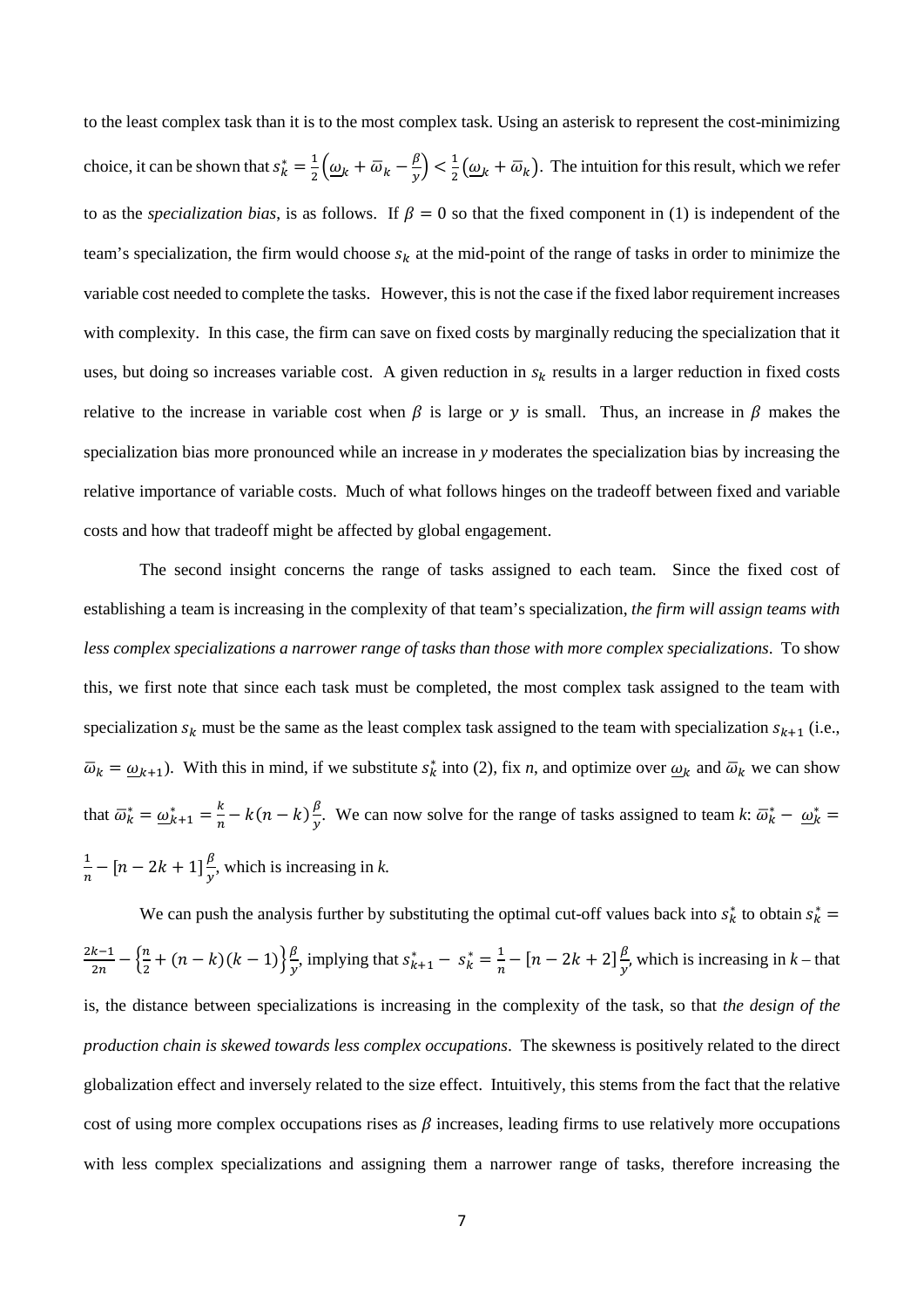to the least complex task than it is to the most complex task. Using an asterisk to represent the cost-minimizing choice, it can be shown that  $s_k^* = \frac{1}{2} \left( \omega_k + \overline{\omega}_k - \frac{\beta}{y} \right) < \frac{1}{2} \left( \omega_k + \overline{\omega}_k \right)$ . The intuition for this result, which we refer to as the *specialization bias*, is as follows. If  $\beta = 0$  so that the fixed component in (1) is independent of the team's specialization, the firm would choose  $s_k$  at the mid-point of the range of tasks in order to minimize the variable cost needed to complete the tasks. However, this is not the case if the fixed labor requirement increases with complexity. In this case, the firm can save on fixed costs by marginally reducing the specialization that it uses, but doing so increases variable cost. A given reduction in  $s_k$  results in a larger reduction in fixed costs relative to the increase in variable cost when  $\beta$  is large or y is small. Thus, an increase in  $\beta$  makes the specialization bias more pronounced while an increase in *y* moderates the specialization bias by increasing the relative importance of variable costs. Much of what follows hinges on the tradeoff between fixed and variable costs and how that tradeoff might be affected by global engagement.

The second insight concerns the range of tasks assigned to each team. Since the fixed cost of establishing a team is increasing in the complexity of that team's specialization, *the firm will assign teams with less complex specializations a narrower range of tasks than those with more complex specializations*. To show this, we first note that since each task must be completed, the most complex task assigned to the team with specialization  $s_k$  must be the same as the least complex task assigned to the team with specialization  $s_{k+1}$  (i.e.,  $\overline{\omega}_k = \underline{\omega}_{k+1}$ ). With this in mind, if we substitute  $s_k^*$  into (2), fix *n*, and optimize over  $\underline{\omega}_k$  and  $\overline{\omega}_k$  we can show that  $\overline{\omega}_k^* = \underline{\omega}_{k+1}^* = \frac{k}{n} - k(n-k)\frac{\beta}{y}$ . We can now solve for the range of tasks assigned to team *k*:  $\overline{\omega}_k^* - \underline{\omega}_k^* =$  $\frac{1}{n} - [n - 2k + 1] \frac{\beta}{y}$  $\frac{\rho}{y}$ , which is increasing in *k*.

We can push the analysis further by substituting the optimal cut-off values back into  $s_k^*$  to obtain  $s_k^*$  $rac{2k-1}{2n} - \left(\frac{n}{2}\right)$  $\frac{n}{2} + (n - k)(k - 1)\frac{\beta}{y}$  $\frac{\beta}{\gamma}$ , implying that  $s_{k+1}^* - s_k^* = \frac{1}{n} - [n - 2k + 2] \frac{\beta}{\gamma}$  $\frac{\rho}{y'}$ , which is increasing in  $k$  – that is, the distance between specializations is increasing in the complexity of the task, so that *the design of the production chain is skewed towards less complex occupations*. The skewness is positively related to the direct globalization effect and inversely related to the size effect. Intuitively, this stems from the fact that the relative cost of using more complex occupations rises as  $\beta$  increases, leading firms to use relatively more occupations with less complex specializations and assigning them a narrower range of tasks, therefore increasing the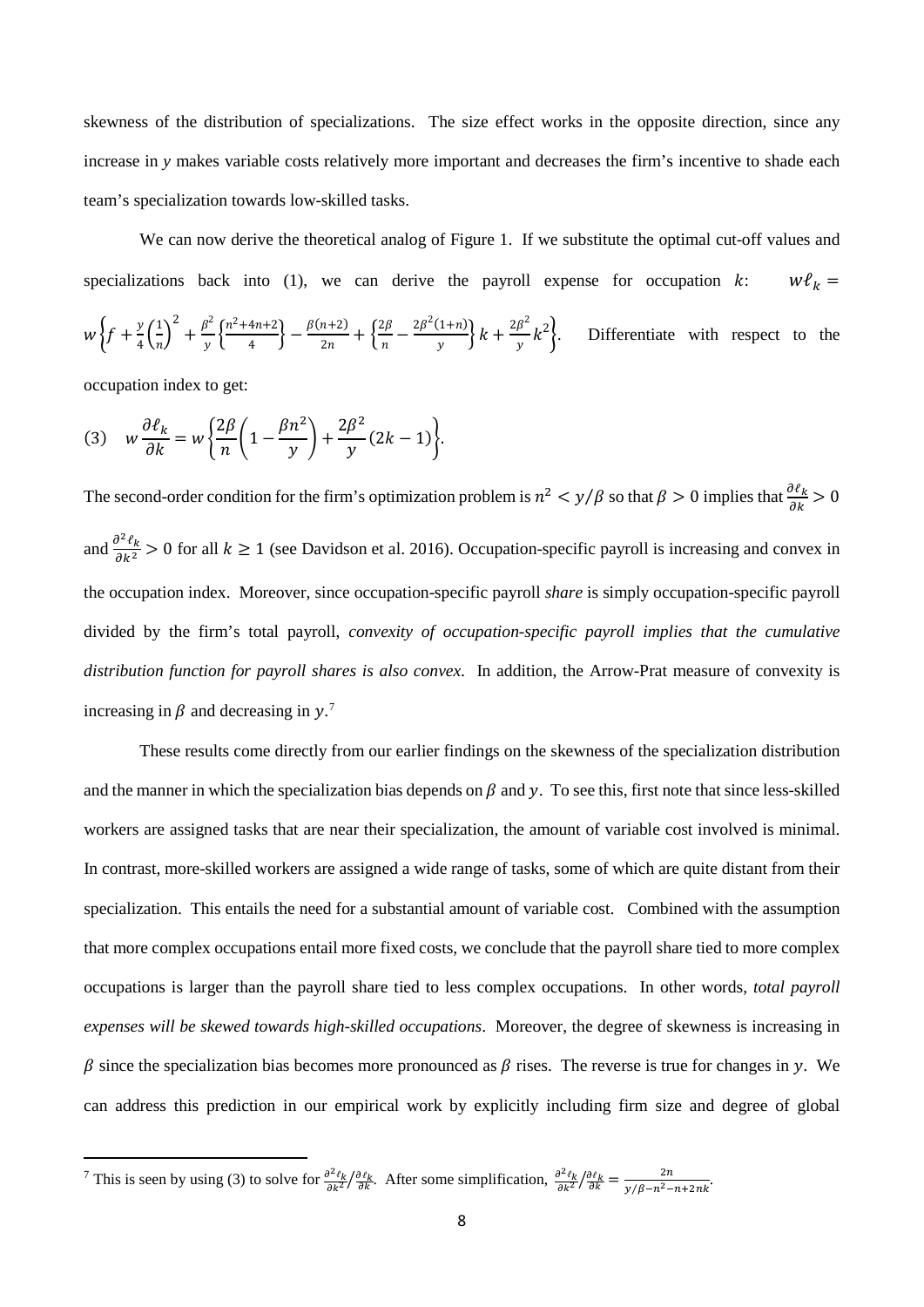skewness of the distribution of specializations. The size effect works in the opposite direction, since any increase in *y* makes variable costs relatively more important and decreases the firm's incentive to shade each team's specialization towards low-skilled tasks.

We can now derive the theoretical analog of Figure 1. If we substitute the optimal cut-off values and specializations back into (1), we can derive the payroll expense for occupation  $k$ :  $w\ell_k =$  $w\left\{f+\frac{y}{4}\left(\frac{1}{n}\right)\right\}$  $\frac{1}{n}$  $\frac{\beta^2}{y} + \frac{\beta^2}{y} \left\{ \frac{n^2 + 4n + 2}{4} \right\} - \frac{\beta(n+2)}{2n} + \left\{ \frac{2\beta}{n} - \frac{2\beta^2(1+n)}{y} \right\} k + \frac{2\beta^2}{y}$  $\frac{p}{y}k^2$ Differentiate with respect to the

occupation index to get:

 $\overline{a}$ 

(3) 
$$
w \frac{\partial \ell_k}{\partial k} = w \left\{ \frac{2\beta}{n} \left( 1 - \frac{\beta n^2}{y} \right) + \frac{2\beta^2}{y} (2k - 1) \right\}.
$$

The second-order condition for the firm's optimization problem is  $n^2 < y/\beta$  so that  $\beta > 0$  implies that  $\frac{\partial \ell_k}{\partial k} > 0$ and  $\frac{\partial^2 \ell_k}{\partial k^2} > 0$  for all  $k \ge 1$  (see Davidson et al. 2016). Occupation-specific payroll is increasing and convex in the occupation index. Moreover, since occupation-specific payroll *share* is simply occupation-specific payroll divided by the firm's total payroll, *convexity of occupation-specific payroll implies that the cumulative distribution function for payroll shares is also convex*. In addition, the Arrow-Prat measure of convexity is increasing in  $\beta$  and decreasing in y.<sup>[7](#page-9-0)</sup>

These results come directly from our earlier findings on the skewness of the specialization distribution and the manner in which the specialization bias depends on  $\beta$  and  $\gamma$ . To see this, first note that since less-skilled workers are assigned tasks that are near their specialization, the amount of variable cost involved is minimal. In contrast, more-skilled workers are assigned a wide range of tasks, some of which are quite distant from their specialization. This entails the need for a substantial amount of variable cost. Combined with the assumption that more complex occupations entail more fixed costs, we conclude that the payroll share tied to more complex occupations is larger than the payroll share tied to less complex occupations. In other words, *total payroll expenses will be skewed towards high-skilled occupations*. Moreover, the degree of skewness is increasing in  $\beta$  since the specialization bias becomes more pronounced as  $\beta$  rises. The reverse is true for changes in y. We can address this prediction in our empirical work by explicitly including firm size and degree of global

<span id="page-9-0"></span><sup>7</sup> This is seen by using (3) to solve for  $\frac{\partial^2 \ell_k}{\partial k^2} / \frac{\partial \ell_k}{\partial k}$ . After some simplification,  $\frac{\partial^2 \ell_k}{\partial k^2} / \frac{\partial \ell_k}{\partial k} = \frac{2n}{y/\beta - n^2 - n + 2nk}$ .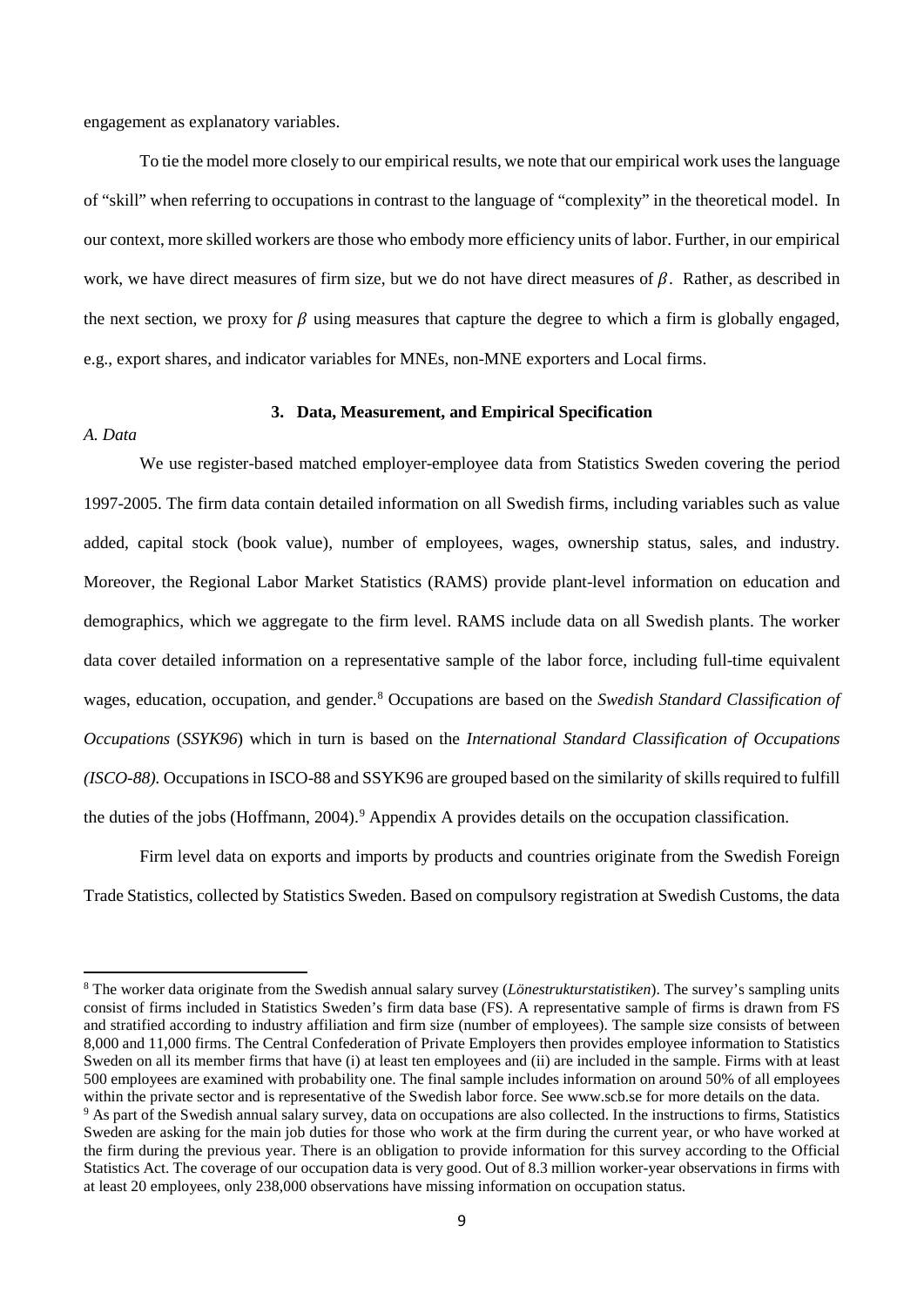engagement as explanatory variables.

To tie the model more closely to our empirical results, we note that our empirical work uses the language of "skill" when referring to occupations in contrast to the language of "complexity" in the theoretical model. In our context, more skilled workers are those who embody more efficiency units of labor. Further, in our empirical work, we have direct measures of firm size, but we do not have direct measures of  $\beta$ . Rather, as described in the next section, we proxy for  $\beta$  using measures that capture the degree to which a firm is globally engaged, e.g., export shares, and indicator variables for MNEs, non-MNE exporters and Local firms.

#### **3. Data, Measurement, and Empirical Specification**

*A. Data*

**.** 

We use register-based matched employer-employee data from Statistics Sweden covering the period 1997-2005. The firm data contain detailed information on all Swedish firms, including variables such as value added, capital stock (book value), number of employees, wages, ownership status, sales, and industry. Moreover, the Regional Labor Market Statistics (RAMS) provide plant-level information on education and demographics, which we aggregate to the firm level. RAMS include data on all Swedish plants. The worker data cover detailed information on a representative sample of the labor force, including full-time equivalent wages, education, occupation, and gender.[8](#page-10-0) Occupations are based on the *Swedish Standard Classification of Occupations* (*SSYK96*) which in turn is based on the *International Standard Classification of Occupations (ISCO-88).* Occupations in ISCO-88 and SSYK96 are grouped based on the similarity of skills required to fulfill the duties of the jobs (Hoffmann, 2004).<sup>[9](#page-10-1)</sup> Appendix A provides details on the occupation classification.

Firm level data on exports and imports by products and countries originate from the Swedish Foreign Trade Statistics, collected by Statistics Sweden. Based on compulsory registration at Swedish Customs, the data

<span id="page-10-0"></span><sup>8</sup> The worker data originate from the Swedish annual salary survey (*Lönestrukturstatistiken*). The survey's sampling units consist of firms included in Statistics Sweden's firm data base (FS). A representative sample of firms is drawn from FS and stratified according to industry affiliation and firm size (number of employees). The sample size consists of between 8,000 and 11,000 firms. The Central Confederation of Private Employers then provides employee information to Statistics Sweden on all its member firms that have (i) at least ten employees and (ii) are included in the sample. Firms with at least 500 employees are examined with probability one. The final sample includes information on around 50% of all employees within the private sector and is representative of the Swedish labor force. See www.scb.se for more details on the data.

<span id="page-10-1"></span><sup>9</sup> As part of the Swedish annual salary survey, data on occupations are also collected. In the instructions to firms, Statistics Sweden are asking for the main job duties for those who work at the firm during the current year, or who have worked at the firm during the previous year. There is an obligation to provide information for this survey according to the Official Statistics Act. The coverage of our occupation data is very good. Out of 8.3 million worker-year observations in firms with at least 20 employees, only 238,000 observations have missing information on occupation status.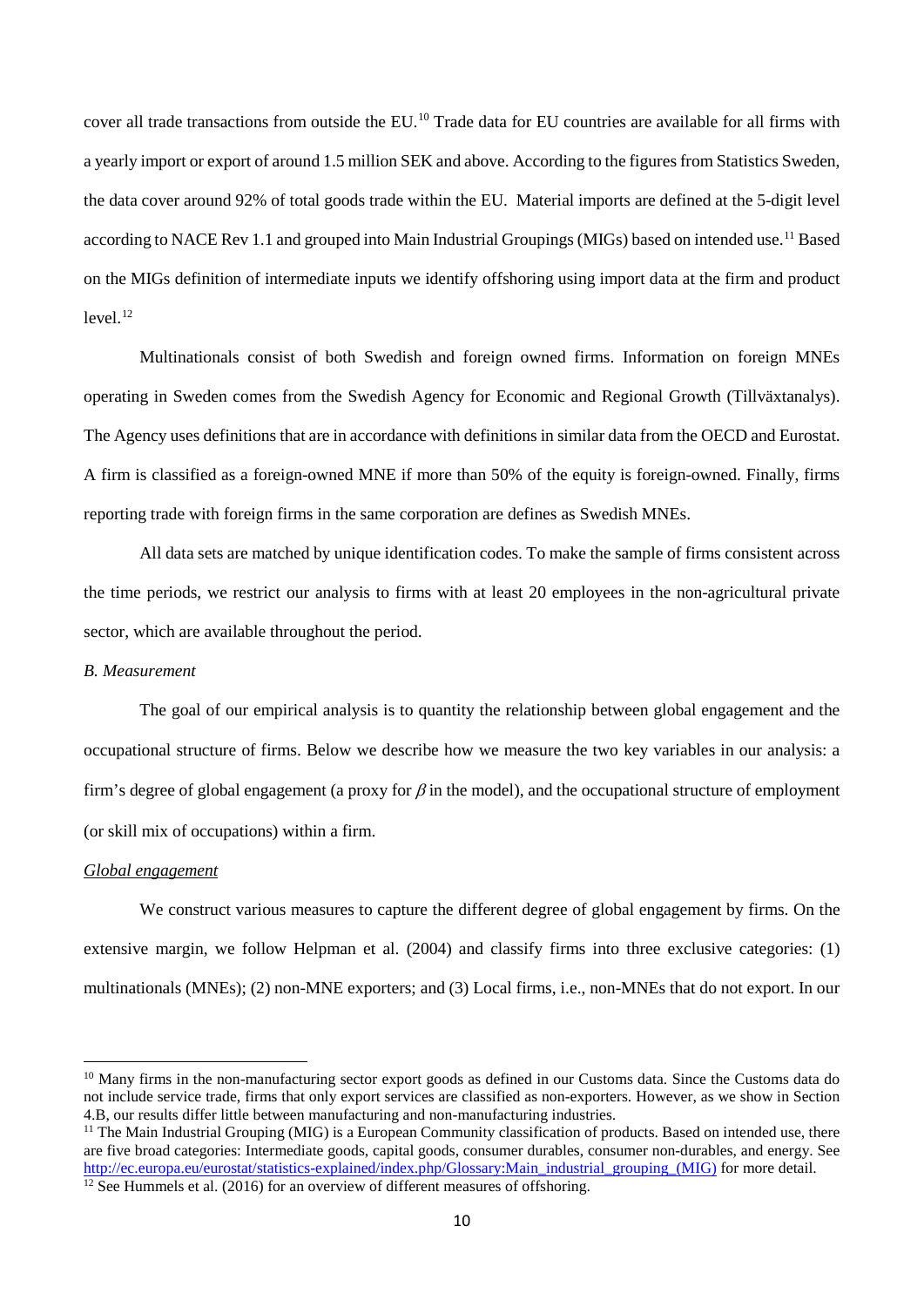cover all trade transactions from outside the EU. [10](#page-11-0) Trade data for EU countries are available for all firms with a yearly import or export of around 1.5 million SEK and above. According to the figures from Statistics Sweden, the data cover around 92% of total goods trade within the EU. Material imports are defined at the 5-digit level according to NACE Rev 1.1 and grouped into Main Industrial Groupings (MIGs) based on intended use.<sup>[11](#page-11-1)</sup> Based on the MIGs definition of intermediate inputs we identify offshoring using import data at the firm and product  $level<sup>12</sup>$  $level<sup>12</sup>$  $level<sup>12</sup>$ 

Multinationals consist of both Swedish and foreign owned firms. Information on foreign MNEs operating in Sweden comes from the Swedish Agency for Economic and Regional Growth (Tillväxtanalys). The Agency uses definitions that are in accordance with definitions in similar data from the OECD and Eurostat. A firm is classified as a foreign-owned MNE if more than 50% of the equity is foreign-owned. Finally, firms reporting trade with foreign firms in the same corporation are defines as Swedish MNEs.

All data sets are matched by unique identification codes. To make the sample of firms consistent across the time periods, we restrict our analysis to firms with at least 20 employees in the non-agricultural private sector, which are available throughout the period.

# *B. Measurement*

The goal of our empirical analysis is to quantity the relationship between global engagement and the occupational structure of firms. Below we describe how we measure the two key variables in our analysis: a firm's degree of global engagement (a proxy for  $\beta$  in the model), and the occupational structure of employment (or skill mix of occupations) within a firm.

#### *Global engagement*

**.** 

We construct various measures to capture the different degree of global engagement by firms. On the extensive margin, we follow Helpman et al. (2004) and classify firms into three exclusive categories: (1) multinationals (MNEs); (2) non-MNE exporters; and (3) Local firms, i.e., non-MNEs that do not export. In our

<span id="page-11-0"></span><sup>&</sup>lt;sup>10</sup> Many firms in the non-manufacturing sector export goods as defined in our Customs data. Since the Customs data do not include service trade, firms that only export services are classified as non-exporters. However, as we show in Section 4.B, our results differ little between manufacturing and non-manufacturing industries.

<span id="page-11-2"></span><span id="page-11-1"></span> $11$ . The Main Industrial Grouping (MIG) is a European Community classification of products. Based on intended use, there are five broad categories: Intermediate goods, capital goods, consumer durables, consumer non-durables, and energy. See [http://ec.europa.eu/eurostat/statistics-explained/index.php/Glossary:Main\\_industrial\\_grouping\\_\(MIG\)](http://ec.europa.eu/eurostat/statistics-explained/index.php/Glossary:Main_industrial_grouping_(MIG)) for more detail. <sup>12</sup> See Hummels et al. (2016) for an overview of different measures of offshoring.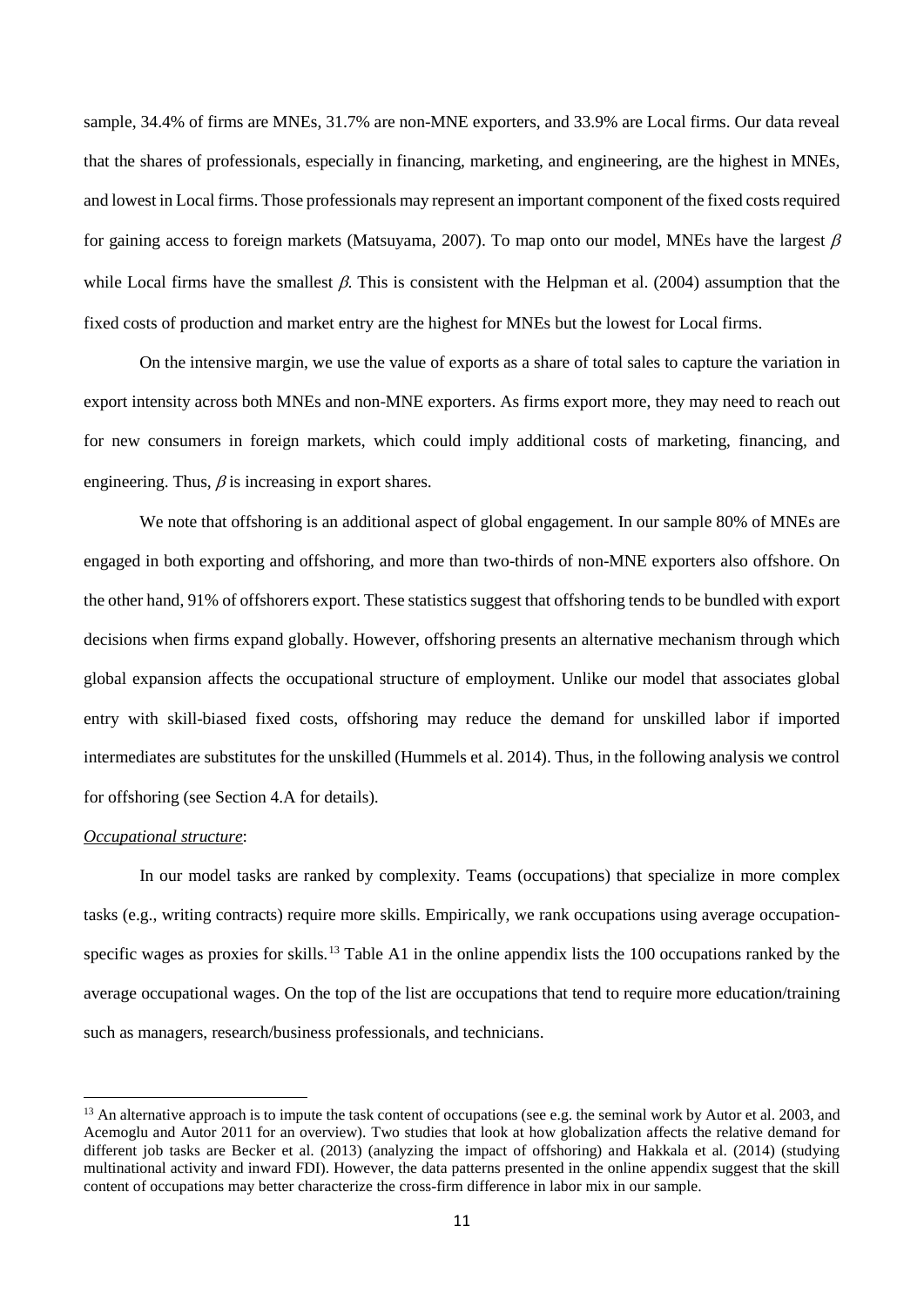sample, 34.4% of firms are MNEs, 31.7% are non-MNE exporters, and 33.9% are Local firms. Our data reveal that the shares of professionals, especially in financing, marketing, and engineering, are the highest in MNEs, and lowest in Local firms. Those professionals may represent an important component of the fixed costs required for gaining access to foreign markets (Matsuyama, 2007). To map onto our model, MNEs have the largest  $\beta$ while Local firms have the smallest  $\beta$ . This is consistent with the Helpman et al. (2004) assumption that the fixed costs of production and market entry are the highest for MNEs but the lowest for Local firms.

On the intensive margin, we use the value of exports as a share of total sales to capture the variation in export intensity across both MNEs and non-MNE exporters. As firms export more, they may need to reach out for new consumers in foreign markets, which could imply additional costs of marketing, financing, and engineering. Thus,  $\beta$  is increasing in export shares.

We note that offshoring is an additional aspect of global engagement. In our sample 80% of MNEs are engaged in both exporting and offshoring, and more than two-thirds of non-MNE exporters also offshore. On the other hand, 91% of offshorers export. These statistics suggest that offshoring tends to be bundled with export decisions when firms expand globally. However, offshoring presents an alternative mechanism through which global expansion affects the occupational structure of employment. Unlike our model that associates global entry with skill-biased fixed costs, offshoring may reduce the demand for unskilled labor if imported intermediates are substitutes for the unskilled (Hummels et al. 2014). Thus, in the following analysis we control for offshoring (see Section 4.A for details).

#### *Occupational structure*:

 $\overline{a}$ 

In our model tasks are ranked by complexity. Teams (occupations) that specialize in more complex tasks (e.g., writing contracts) require more skills. Empirically, we rank occupations using average occupationspecific wages as proxies for skills*.* [13](#page-12-0) Table A1 in the online appendix lists the 100 occupations ranked by the average occupational wages. On the top of the list are occupations that tend to require more education/training such as managers, research/business professionals, and technicians.

<span id="page-12-0"></span><sup>&</sup>lt;sup>13</sup> An alternative approach is to impute the task content of occupations (see e.g. the seminal work by Autor et al. 2003, and Acemoglu and Autor 2011 for an overview). Two studies that look at how globalization affects the relative demand for different job tasks are Becker et al. (2013) (analyzing the impact of offshoring) and Hakkala et al. (2014) (studying multinational activity and inward FDI). However, the data patterns presented in the online appendix suggest that the skill content of occupations may better characterize the cross-firm difference in labor mix in our sample.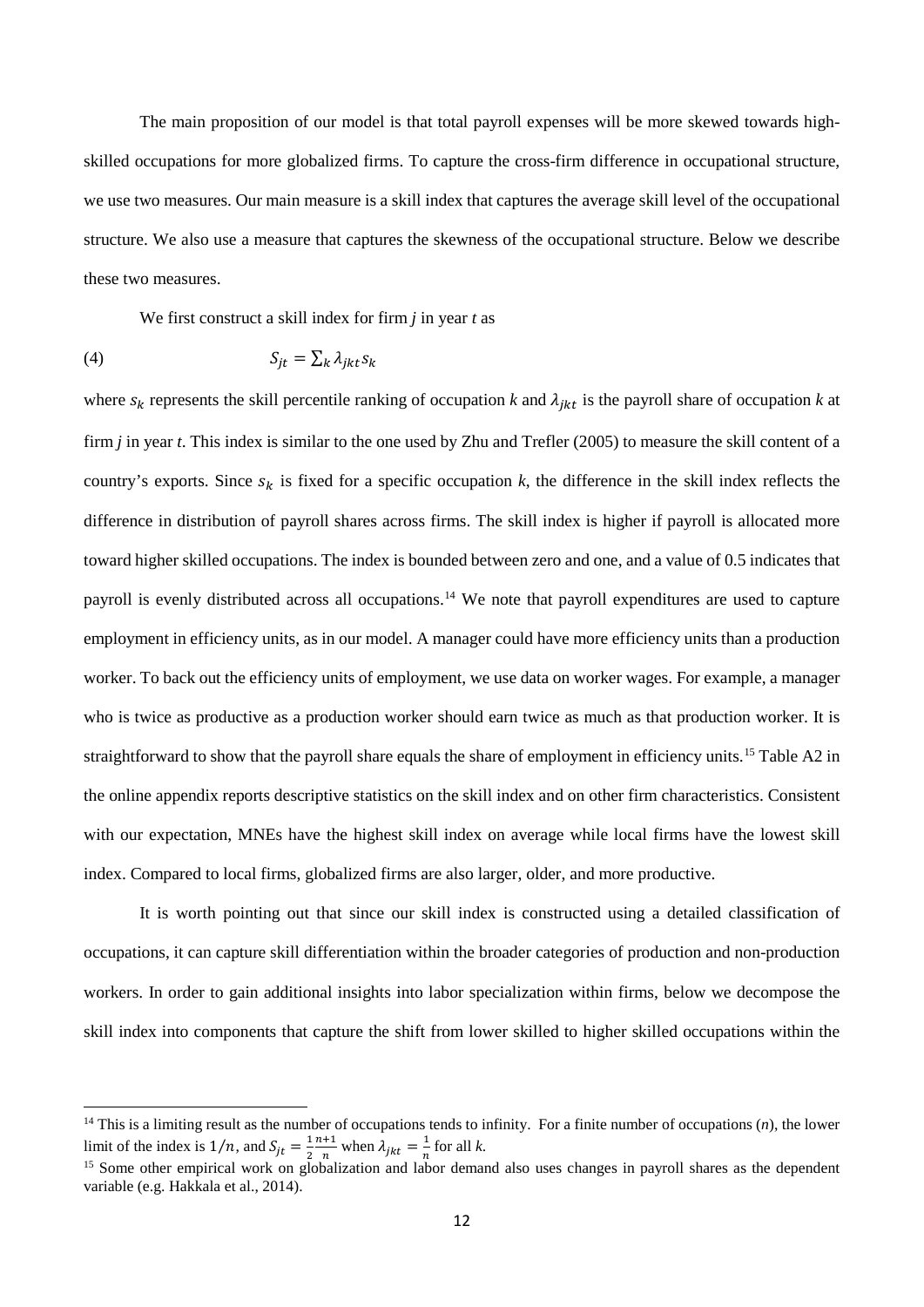The main proposition of our model is that total payroll expenses will be more skewed towards highskilled occupations for more globalized firms. To capture the cross-firm difference in occupational structure, we use two measures. Our main measure is a skill index that captures the average skill level of the occupational structure. We also use a measure that captures the skewness of the occupational structure. Below we describe these two measures.

We first construct a skill index for firm *j* in year *t* as

$$
(4) \t S_{jt} = \sum_{k} \lambda_{jkt} s_k
$$

**.** 

where  $s_k$  represents the skill percentile ranking of occupation *k* and  $\lambda_{jkt}$  is the payroll share of occupation *k* at firm *j* in year *t*. This index is similar to the one used by Zhu and Trefler (2005) to measure the skill content of a country's exports. Since  $s_k$  is fixed for a specific occupation  $k$ , the difference in the skill index reflects the difference in distribution of payroll shares across firms. The skill index is higher if payroll is allocated more toward higher skilled occupations. The index is bounded between zero and one, and a value of 0.5 indicates that payroll is evenly distributed across all occupations.<sup>[14](#page-13-0)</sup> We note that payroll expenditures are used to capture employment in efficiency units, as in our model. A manager could have more efficiency units than a production worker. To back out the efficiency units of employment, we use data on worker wages. For example, a manager who is twice as productive as a production worker should earn twice as much as that production worker. It is straightforward to show that the payroll share equals the share of employment in efficiency units.<sup>[15](#page-13-1)</sup> Table A2 in the online appendix reports descriptive statistics on the skill index and on other firm characteristics. Consistent with our expectation, MNEs have the highest skill index on average while local firms have the lowest skill index. Compared to local firms, globalized firms are also larger, older, and more productive.

It is worth pointing out that since our skill index is constructed using a detailed classification of occupations, it can capture skill differentiation within the broader categories of production and non-production workers. In order to gain additional insights into labor specialization within firms, below we decompose the skill index into components that capture the shift from lower skilled to higher skilled occupations within the

<span id="page-13-0"></span><sup>&</sup>lt;sup>14</sup> This is a limiting result as the number of occupations tends to infinity. For a finite number of occupations (*n*), the lower limit of the index is  $1/n$ , and  $S_{jt} = \frac{1}{2}$  $\frac{n+1}{n}$  when  $\lambda_{jkt} = \frac{1}{n}$  for all k.

<span id="page-13-1"></span><sup>&</sup>lt;sup>15</sup> Some other empirical work on globalization and labor demand also uses changes in payroll shares as the dependent variable (e.g. Hakkala et al., 2014).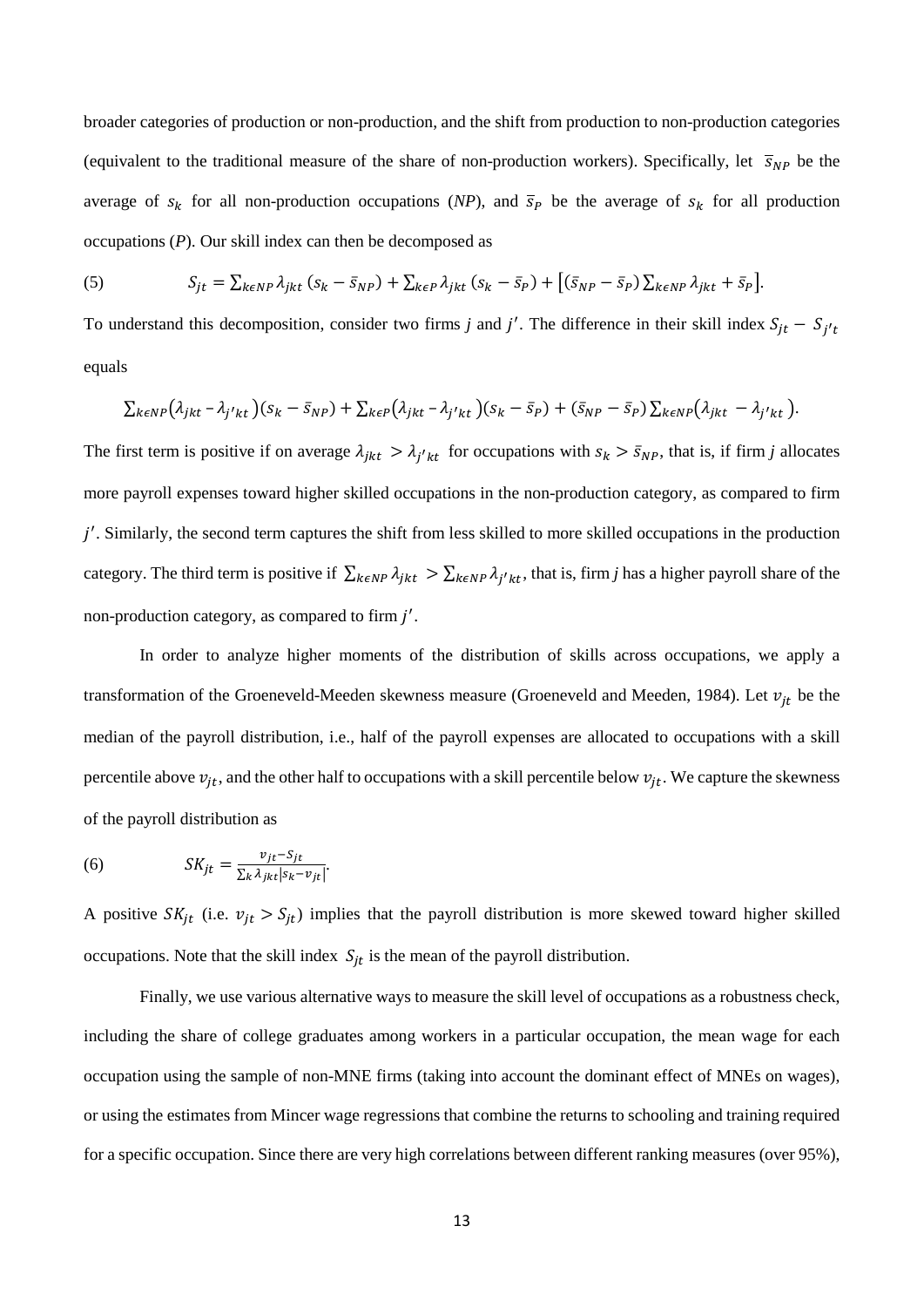broader categories of production or non-production, and the shift from production to non-production categories (equivalent to the traditional measure of the share of non-production workers). Specifically, let  $\bar{s}_{NP}$  be the average of  $s_k$  for all non-production occupations (NP), and  $\overline{s}_p$  be the average of  $s_k$  for all production occupations (*P*). Our skill index can then be decomposed as

(5) 
$$
S_{jt} = \sum_{k \in NP} \lambda_{jkt} (s_k - \bar{s}_{NP}) + \sum_{k \in P} \lambda_{jkt} (s_k - \bar{s}_P) + [(\bar{s}_{NP} - \bar{s}_P) \sum_{k \in NP} \lambda_{jkt} + \bar{s}_P].
$$

To understand this decomposition, consider two firms *j* and *j'*. The difference in their skill index  $S_{jt} - S_{j'}$ equals

$$
\sum_{k\in NP} (\lambda_{jkt} - \lambda_{j'kt}) (s_k - \bar{s}_{NP}) + \sum_{k\in P} (\lambda_{jkt} - \lambda_{j'kt}) (s_k - \bar{s}_P) + (\bar{s}_{NP} - \bar{s}_P) \sum_{k\in NP} (\lambda_{jkt} - \lambda_{j'kt}).
$$

The first term is positive if on average  $\lambda_{jkt} > \lambda_{j'kt}$  for occupations with  $s_k > \bar{s}_{NP}$ , that is, if firm *j* allocates more payroll expenses toward higher skilled occupations in the non-production category, as compared to firm ′ . Similarly, the second term captures the shift from less skilled to more skilled occupations in the production category. The third term is positive if  $\sum_{k \in NP} \lambda_{jkt} > \sum_{k \in NP} \lambda_{j'kt}$ , that is, firm *j* has a higher payroll share of the non-production category, as compared to firm  $j'$ .

In order to analyze higher moments of the distribution of skills across occupations, we apply a transformation of the Groeneveld-Meeden skewness measure (Groeneveld and Meeden, 1984). Let  $v_{it}$  be the median of the payroll distribution, i.e., half of the payroll expenses are allocated to occupations with a skill percentile above  $v_{it}$ , and the other half to occupations with a skill percentile below  $v_{it}$ . We capture the skewness of the payroll distribution as

(6) 
$$
SK_{jt} = \frac{v_{jt} - S_{jt}}{\sum_{k} \lambda_{jkt} |s_k - v_{jt}|}.
$$

A positive  $SK_{jt}$  (i.e.  $v_{jt} > S_{jt}$ ) implies that the payroll distribution is more skewed toward higher skilled occupations. Note that the skill index  $S_{jt}$  is the mean of the payroll distribution.

Finally, we use various alternative ways to measure the skill level of occupations as a robustness check, including the share of college graduates among workers in a particular occupation, the mean wage for each occupation using the sample of non-MNE firms (taking into account the dominant effect of MNEs on wages), or using the estimates from Mincer wage regressions that combine the returns to schooling and training required for a specific occupation. Since there are very high correlations between different ranking measures (over 95%),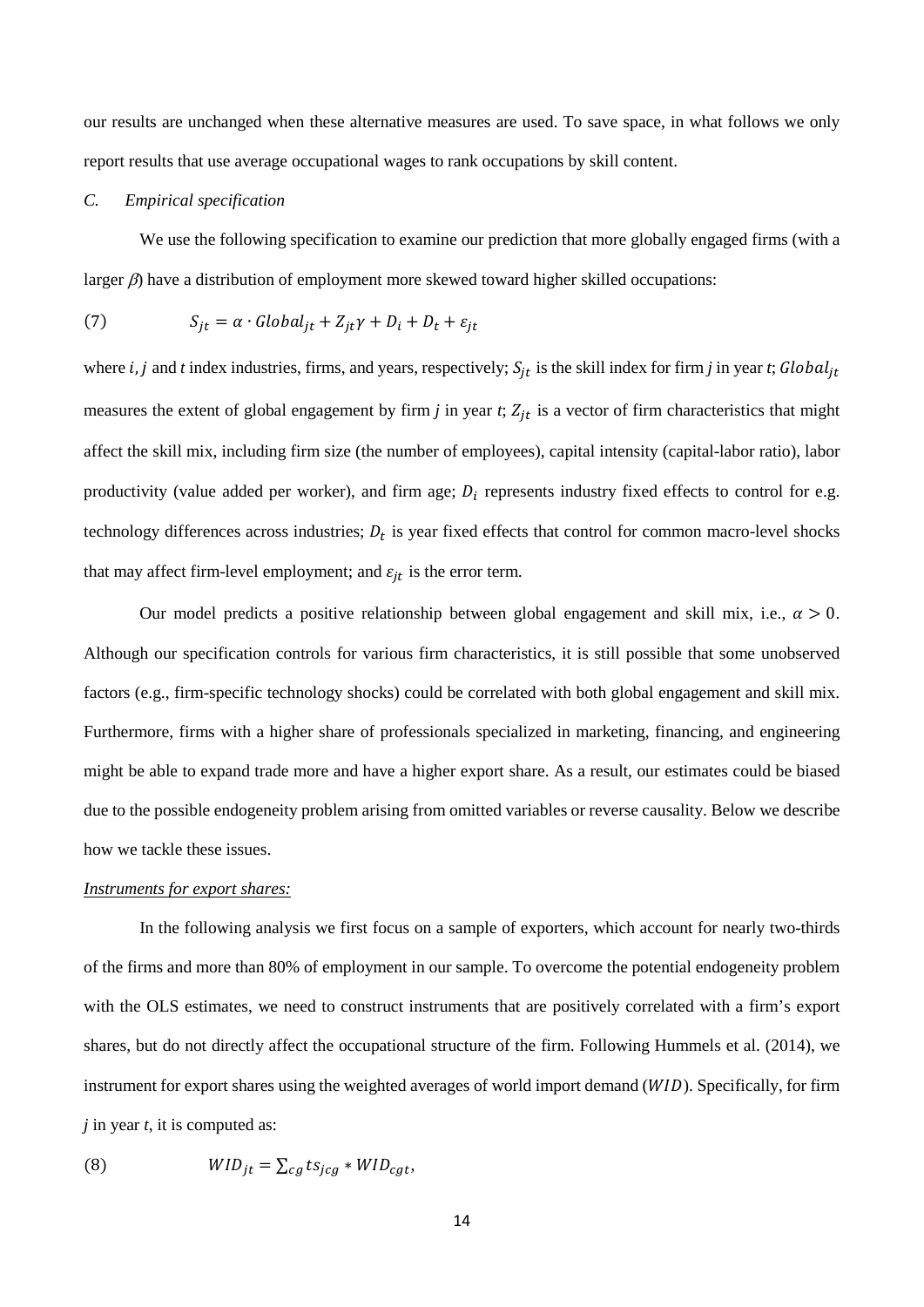our results are unchanged when these alternative measures are used. To save space, in what follows we only report results that use average occupational wages to rank occupations by skill content.

#### *C. Empirical specification*

We use the following specification to examine our prediction that more globally engaged firms (with a larger  $\beta$ ) have a distribution of employment more skewed toward higher skilled occupations:

(7) 
$$
S_{jt} = \alpha \cdot Global_{jt} + Z_{jt}\gamma + D_t + D_t + \varepsilon_{jt}
$$

where  $i, j$  and  $t$  index industries, firms, and years, respectively;  $S_{it}$  is the skill index for firm  $j$  in year  $t$ ;  $Global<sub>it</sub>$ measures the extent of global engagement by firm  $j$  in year  $t$ ;  $Z_{jt}$  is a vector of firm characteristics that might affect the skill mix, including firm size (the number of employees), capital intensity (capital-labor ratio), labor productivity (value added per worker), and firm age;  $D_i$  represents industry fixed effects to control for e.g. technology differences across industries;  $D_t$  is year fixed effects that control for common macro-level shocks that may affect firm-level employment; and  $\varepsilon_{it}$  is the error term.

Our model predicts a positive relationship between global engagement and skill mix, i.e.,  $\alpha > 0$ . Although our specification controls for various firm characteristics, it is still possible that some unobserved factors (e.g., firm-specific technology shocks) could be correlated with both global engagement and skill mix. Furthermore, firms with a higher share of professionals specialized in marketing, financing, and engineering might be able to expand trade more and have a higher export share. As a result, our estimates could be biased due to the possible endogeneity problem arising from omitted variables or reverse causality. Below we describe how we tackle these issues.

#### *Instruments for export shares:*

In the following analysis we first focus on a sample of exporters, which account for nearly two-thirds of the firms and more than 80% of employment in our sample. To overcome the potential endogeneity problem with the OLS estimates, we need to construct instruments that are positively correlated with a firm's export shares, but do not directly affect the occupational structure of the firm. Following Hummels et al. (2014), we instrument for export shares using the weighted averages of world import demand  $(WID)$ . Specifically, for firm *j* in year *t*, it is computed as:

(8) 
$$
WID_{jt} = \sum_{cg} ts_{jcg} * WID_{cgt},
$$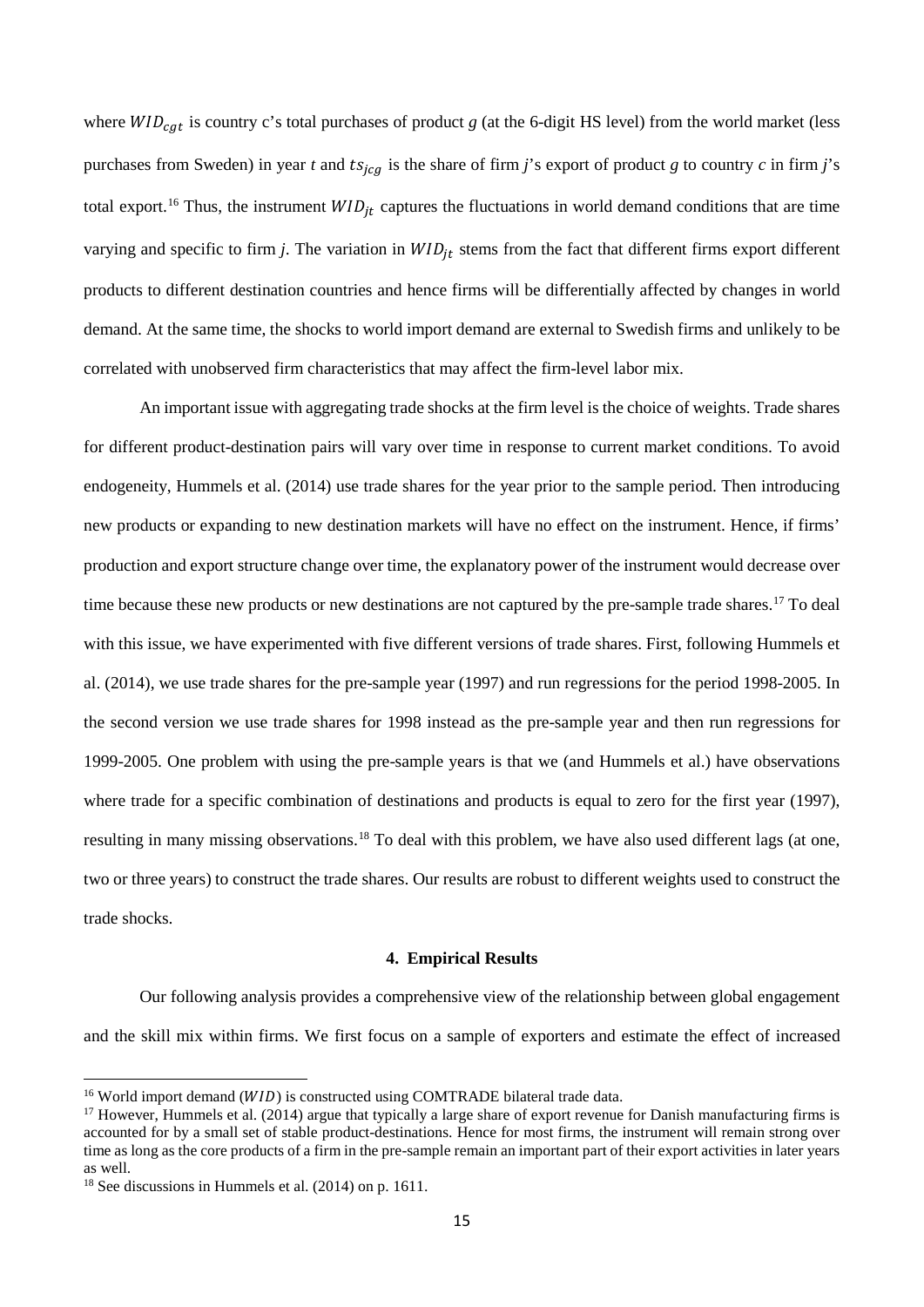where  $WID_{cat}$  is country c's total purchases of product *g* (at the 6-digit HS level) from the world market (less purchases from Sweden) in year *t* and  $ts_{ica}$  is the share of firm *j*'s export of product *g* to country *c* in firm *j*'s total export.<sup>[16](#page-16-0)</sup> Thus, the instrument  $WID_{it}$  captures the fluctuations in world demand conditions that are time varying and specific to firm *j*. The variation in  $WID_{jt}$  stems from the fact that different firms export different products to different destination countries and hence firms will be differentially affected by changes in world demand. At the same time, the shocks to world import demand are external to Swedish firms and unlikely to be correlated with unobserved firm characteristics that may affect the firm-level labor mix.

An important issue with aggregating trade shocks at the firm level is the choice of weights. Trade shares for different product-destination pairs will vary over time in response to current market conditions. To avoid endogeneity, Hummels et al. (2014) use trade shares for the year prior to the sample period. Then introducing new products or expanding to new destination markets will have no effect on the instrument. Hence, if firms' production and export structure change over time, the explanatory power of the instrument would decrease over time because these new products or new destinations are not captured by the pre-sample trade shares[.17](#page-16-1) To deal with this issue, we have experimented with five different versions of trade shares. First, following Hummels et al. (2014), we use trade shares for the pre-sample year (1997) and run regressions for the period 1998-2005. In the second version we use trade shares for 1998 instead as the pre-sample year and then run regressions for 1999-2005. One problem with using the pre-sample years is that we (and Hummels et al.) have observations where trade for a specific combination of destinations and products is equal to zero for the first year (1997), resulting in many missing observations.[18](#page-16-2) To deal with this problem, we have also used different lags (at one, two or three years) to construct the trade shares. Our results are robust to different weights used to construct the trade shocks.

#### **4. Empirical Results**

Our following analysis provides a comprehensive view of the relationship between global engagement and the skill mix within firms. We first focus on a sample of exporters and estimate the effect of increased

1

<span id="page-16-1"></span><span id="page-16-0"></span><sup>&</sup>lt;sup>16</sup> World import demand (*WID*) is constructed using COMTRADE bilateral trade data.<br><sup>17</sup> However, Hummels et al. (2014) argue that typically a large share of export revenue for Danish manufacturing firms is accounted for by a small set of stable product-destinations. Hence for most firms, the instrument will remain strong over time as long as the core products of a firm in the pre-sample remain an important part of their export activities in later years as well.

<span id="page-16-2"></span><sup>18</sup> See discussions in Hummels et al. (2014) on p. 1611.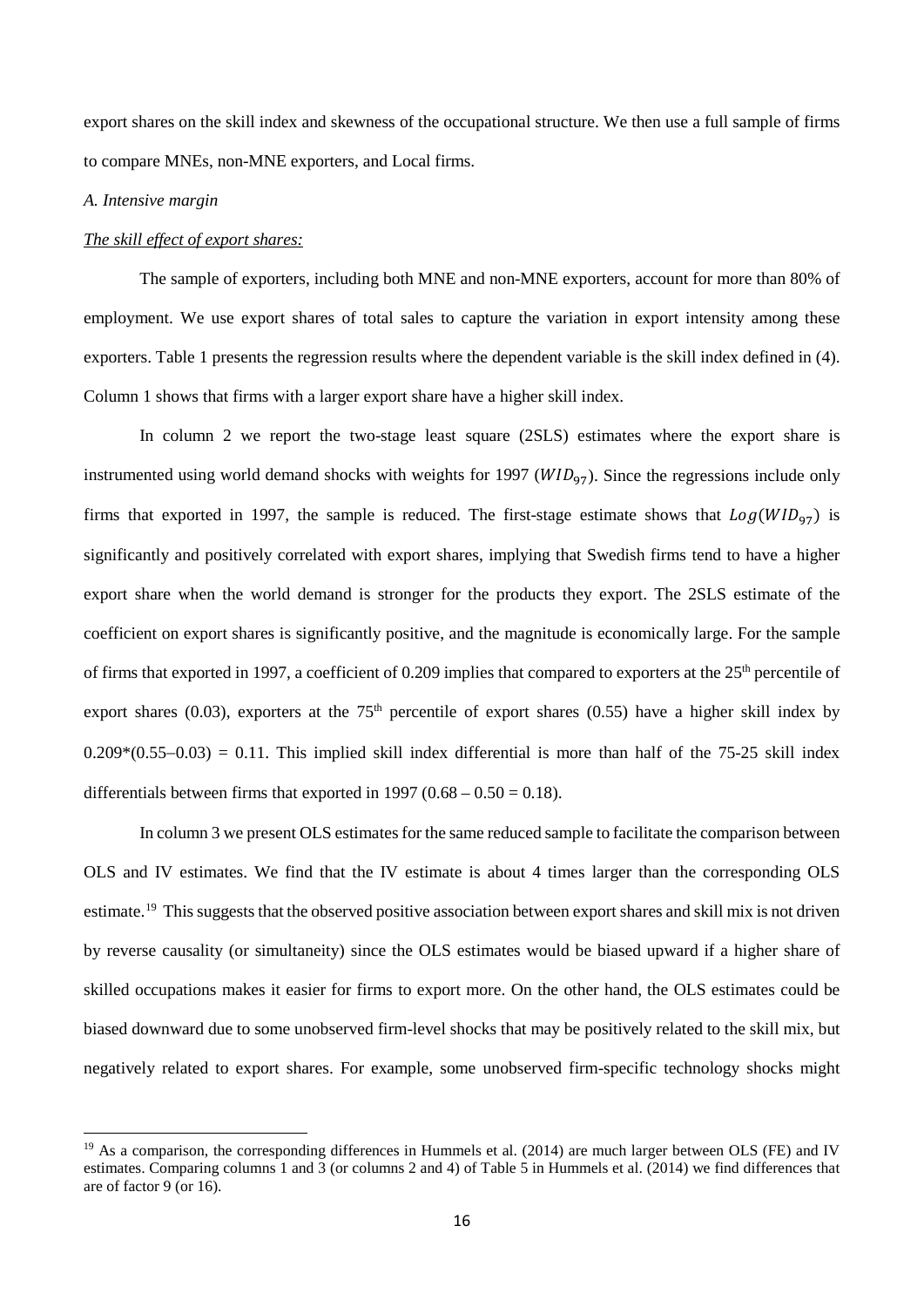export shares on the skill index and skewness of the occupational structure. We then use a full sample of firms to compare MNEs, non-MNE exporters, and Local firms.

#### *A. Intensive margin*

**.** 

# *The skill effect of export shares:*

The sample of exporters, including both MNE and non-MNE exporters, account for more than 80% of employment. We use export shares of total sales to capture the variation in export intensity among these exporters. Table 1 presents the regression results where the dependent variable is the skill index defined in (4). Column 1 shows that firms with a larger export share have a higher skill index.

In column 2 we report the two-stage least square (2SLS) estimates where the export share is instrumented using world demand shocks with weights for 1997 ( $WID_{97}$ ). Since the regressions include only firms that exported in 1997, the sample is reduced. The first-stage estimate shows that  $Log(WID_{97})$  is significantly and positively correlated with export shares, implying that Swedish firms tend to have a higher export share when the world demand is stronger for the products they export. The 2SLS estimate of the coefficient on export shares is significantly positive, and the magnitude is economically large. For the sample of firms that exported in 1997, a coefficient of 0.209 implies that compared to exporters at the 25<sup>th</sup> percentile of export shares (0.03), exporters at the 75<sup>th</sup> percentile of export shares (0.55) have a higher skill index by 0.209\*(0.55−0.03) = 0.11. This implied skill index differential is more than half of the 75-25 skill index differentials between firms that exported in 1997 ( $0.68 - 0.50 = 0.18$ ).

In column 3 we present OLS estimates for the same reduced sample to facilitate the comparison between OLS and IV estimates. We find that the IV estimate is about 4 times larger than the corresponding OLS estimate.<sup>[19](#page-17-0)</sup> This suggests that the observed positive association between export shares and skill mix is not driven by reverse causality (or simultaneity) since the OLS estimates would be biased upward if a higher share of skilled occupations makes it easier for firms to export more. On the other hand, the OLS estimates could be biased downward due to some unobserved firm-level shocks that may be positively related to the skill mix, but negatively related to export shares. For example, some unobserved firm-specific technology shocks might

<span id="page-17-0"></span> $19$  As a comparison, the corresponding differences in Hummels et al. (2014) are much larger between OLS (FE) and IV estimates. Comparing columns 1 and 3 (or columns 2 and 4) of Table 5 in Hummels et al. (2014) we find differences that are of factor 9 (or 16).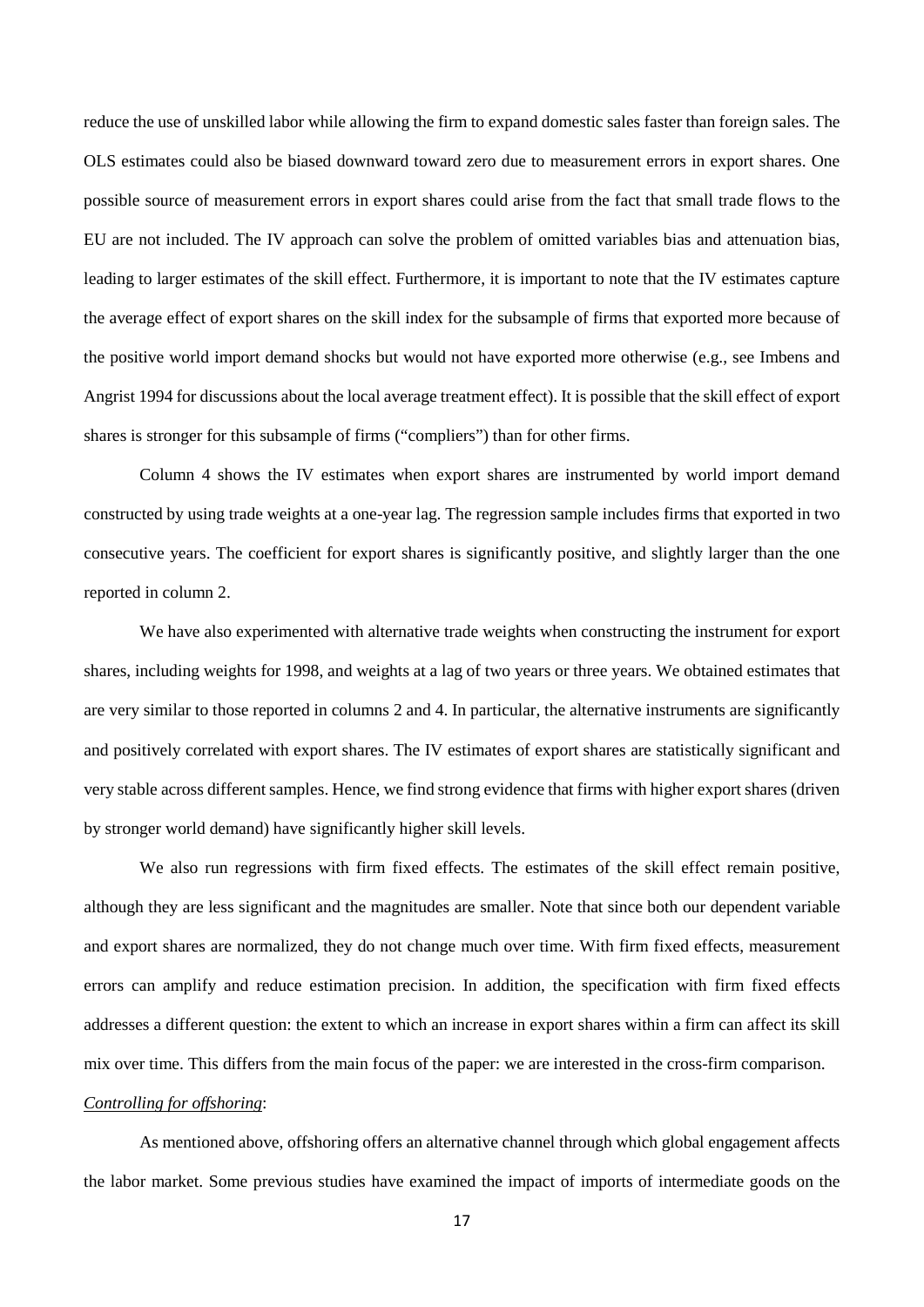reduce the use of unskilled labor while allowing the firm to expand domestic sales faster than foreign sales. The OLS estimates could also be biased downward toward zero due to measurement errors in export shares. One possible source of measurement errors in export shares could arise from the fact that small trade flows to the EU are not included. The IV approach can solve the problem of omitted variables bias and attenuation bias, leading to larger estimates of the skill effect. Furthermore, it is important to note that the IV estimates capture the average effect of export shares on the skill index for the subsample of firms that exported more because of the positive world import demand shocks but would not have exported more otherwise (e.g., see Imbens and Angrist 1994 for discussions about the local average treatment effect). It is possible that the skill effect of export shares is stronger for this subsample of firms ("compliers") than for other firms.

Column 4 shows the IV estimates when export shares are instrumented by world import demand constructed by using trade weights at a one-year lag. The regression sample includes firms that exported in two consecutive years. The coefficient for export shares is significantly positive, and slightly larger than the one reported in column 2.

We have also experimented with alternative trade weights when constructing the instrument for export shares, including weights for 1998, and weights at a lag of two years or three years. We obtained estimates that are very similar to those reported in columns 2 and 4. In particular, the alternative instruments are significantly and positively correlated with export shares. The IV estimates of export shares are statistically significant and very stable across different samples. Hence, we find strong evidence that firms with higher export shares (driven by stronger world demand) have significantly higher skill levels.

We also run regressions with firm fixed effects. The estimates of the skill effect remain positive, although they are less significant and the magnitudes are smaller. Note that since both our dependent variable and export shares are normalized, they do not change much over time. With firm fixed effects, measurement errors can amplify and reduce estimation precision. In addition, the specification with firm fixed effects addresses a different question: the extent to which an increase in export shares within a firm can affect its skill mix over time. This differs from the main focus of the paper: we are interested in the cross-firm comparison.

# *Controlling for offshoring*:

As mentioned above, offshoring offers an alternative channel through which global engagement affects the labor market. Some previous studies have examined the impact of imports of intermediate goods on the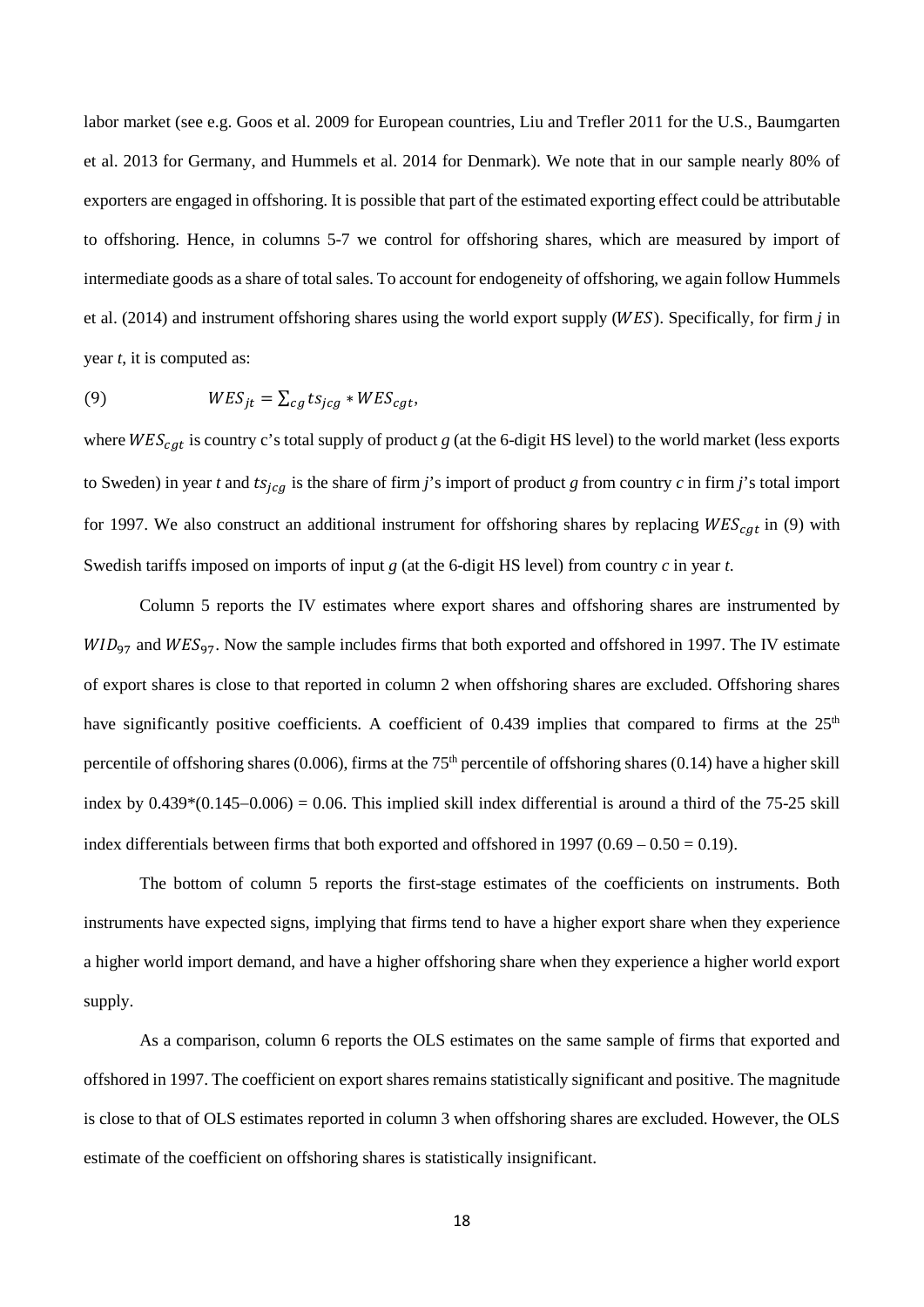labor market (see e.g. Goos et al. 2009 for European countries, Liu and Trefler 2011 for the U.S., Baumgarten et al. 2013 for Germany, and Hummels et al. 2014 for Denmark). We note that in our sample nearly 80% of exporters are engaged in offshoring. It is possible that part of the estimated exporting effect could be attributable to offshoring. Hence, in columns 5-7 we control for offshoring shares, which are measured by import of intermediate goods as a share of total sales. To account for endogeneity of offshoring, we again follow Hummels et al. (2014) and instrument offshoring shares using the world export supply (*WES*). Specifically, for firm *i* in year *t*, it is computed as:

(9) 
$$
WES_{jt} = \sum_{cg} tS_{jcg} * WES_{cgt},
$$

where  $WES_{cat}$  is country c's total supply of product *g* (at the 6-digit HS level) to the world market (less exports to Sweden) in year *t* and  $ts_{jcg}$  is the share of firm *j*'s import of product *g* from country *c* in firm *j*'s total import for 1997. We also construct an additional instrument for offshoring shares by replacing  $WES_{cgt}$  in (9) with Swedish tariffs imposed on imports of input *g* (at the 6-digit HS level) from country *c* in year *t*.

Column 5 reports the IV estimates where export shares and offshoring shares are instrumented by  $WID_{97}$  and  $WES_{97}$ . Now the sample includes firms that both exported and offshored in 1997. The IV estimate of export shares is close to that reported in column 2 when offshoring shares are excluded. Offshoring shares have significantly positive coefficients. A coefficient of 0.439 implies that compared to firms at the  $25<sup>th</sup>$ percentile of offshoring shares (0.006), firms at the  $75<sup>th</sup>$  percentile of offshoring shares (0.14) have a higher skill index by  $0.439*(0.145-0.006) = 0.06$ . This implied skill index differential is around a third of the 75-25 skill index differentials between firms that both exported and offshored in 1997 ( $0.69 - 0.50 = 0.19$ ).

The bottom of column 5 reports the first-stage estimates of the coefficients on instruments. Both instruments have expected signs, implying that firms tend to have a higher export share when they experience a higher world import demand, and have a higher offshoring share when they experience a higher world export supply.

As a comparison, column 6 reports the OLS estimates on the same sample of firms that exported and offshored in 1997. The coefficient on export shares remains statistically significant and positive. The magnitude is close to that of OLS estimates reported in column 3 when offshoring shares are excluded. However, the OLS estimate of the coefficient on offshoring shares is statistically insignificant.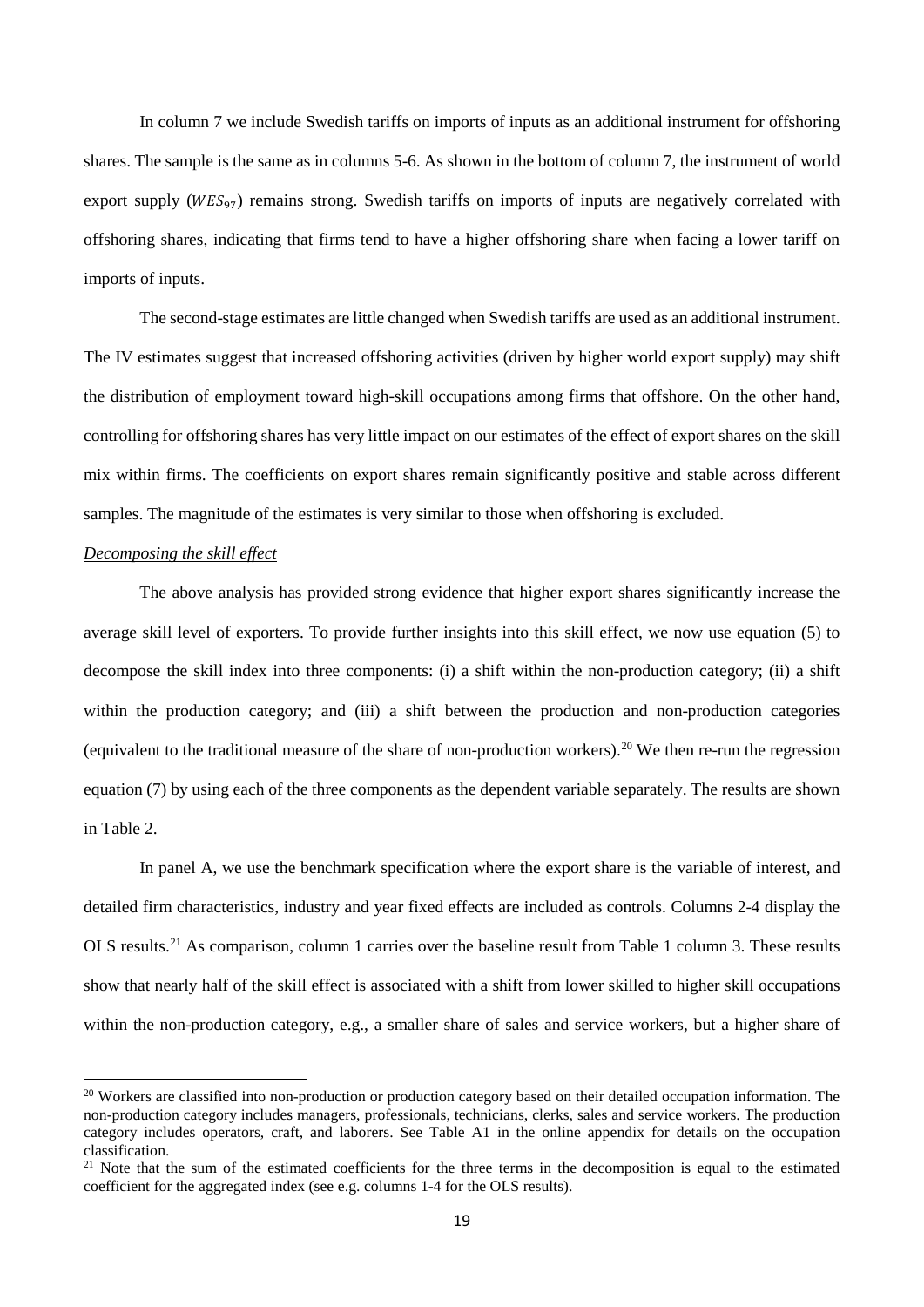In column 7 we include Swedish tariffs on imports of inputs as an additional instrument for offshoring shares. The sample is the same as in columns 5-6. As shown in the bottom of column 7, the instrument of world export supply ( $WES_{\alpha}$ ) remains strong. Swedish tariffs on imports of inputs are negatively correlated with offshoring shares, indicating that firms tend to have a higher offshoring share when facing a lower tariff on imports of inputs.

The second-stage estimates are little changed when Swedish tariffs are used as an additional instrument. The IV estimates suggest that increased offshoring activities (driven by higher world export supply) may shift the distribution of employment toward high-skill occupations among firms that offshore. On the other hand, controlling for offshoring shares has very little impact on our estimates of the effect of export shares on the skill mix within firms. The coefficients on export shares remain significantly positive and stable across different samples. The magnitude of the estimates is very similar to those when offshoring is excluded.

# *Decomposing the skill effect*

**.** 

The above analysis has provided strong evidence that higher export shares significantly increase the average skill level of exporters. To provide further insights into this skill effect, we now use equation (5) to decompose the skill index into three components: (i) a shift within the non-production category; (ii) a shift within the production category; and (iii) a shift between the production and non-production categories (equivalent to the traditional measure of the share of non-production workers). [20](#page-20-0) We then re-run the regression equation (7) by using each of the three components as the dependent variable separately. The results are shown in Table 2.

In panel A, we use the benchmark specification where the export share is the variable of interest, and detailed firm characteristics, industry and year fixed effects are included as controls. Columns 2-4 display the OLS results. [21](#page-20-1) As comparison, column 1 carries over the baseline result from Table 1 column 3. These results show that nearly half of the skill effect is associated with a shift from lower skilled to higher skill occupations within the non-production category, e.g., a smaller share of sales and service workers, but a higher share of

<span id="page-20-0"></span><sup>&</sup>lt;sup>20</sup> Workers are classified into non-production or production category based on their detailed occupation information. The non-production category includes managers, professionals, technicians, clerks, sales and service workers. The production category includes operators, craft, and laborers. See Table A1 in the online appendix for details on the occupation classification.

<span id="page-20-1"></span> $21$  Note that the sum of the estimated coefficients for the three terms in the decomposition is equal to the estimated coefficient for the aggregated index (see e.g. columns 1-4 for the OLS results).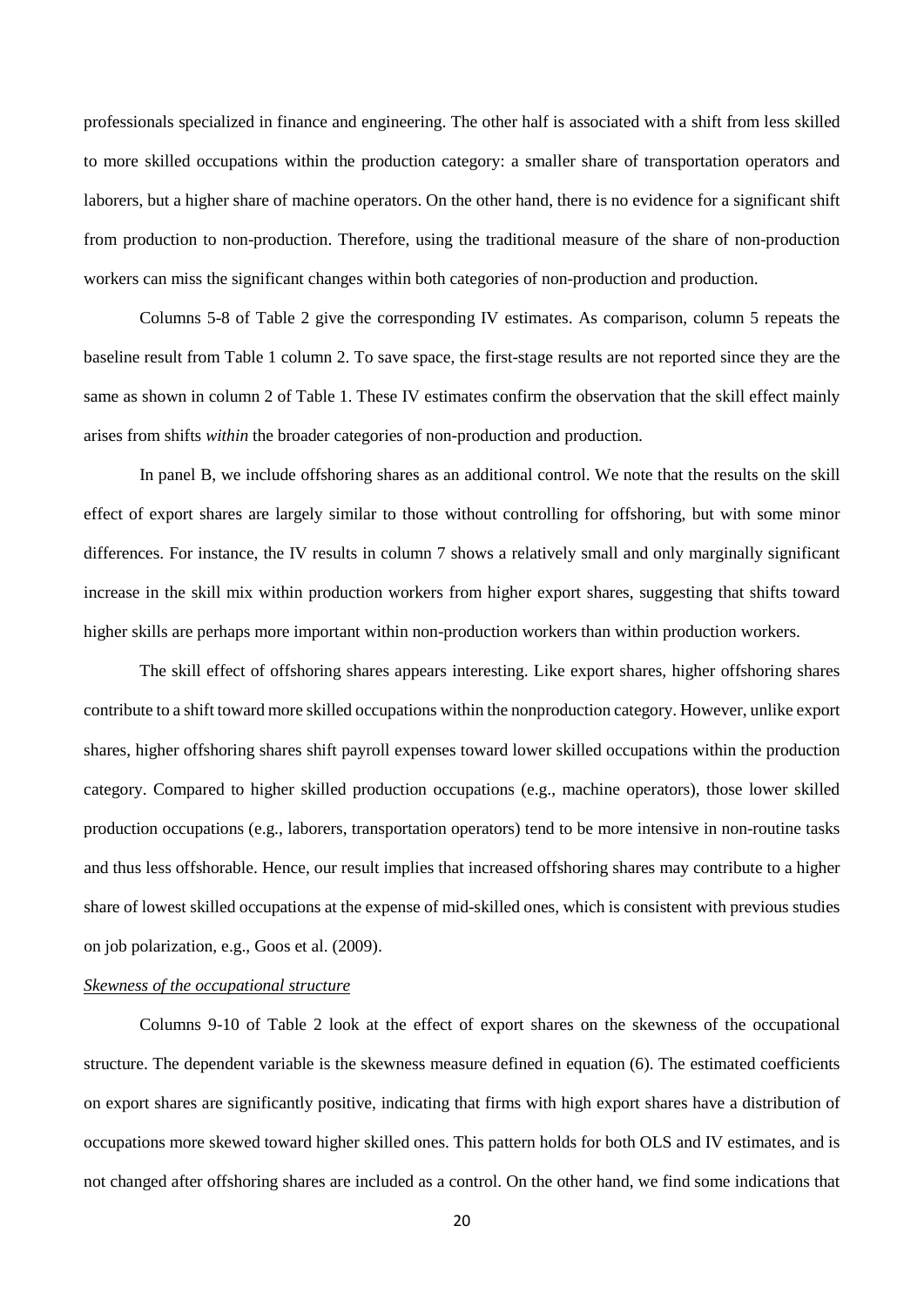professionals specialized in finance and engineering. The other half is associated with a shift from less skilled to more skilled occupations within the production category: a smaller share of transportation operators and laborers, but a higher share of machine operators. On the other hand, there is no evidence for a significant shift from production to non-production. Therefore, using the traditional measure of the share of non-production workers can miss the significant changes within both categories of non-production and production.

Columns 5-8 of Table 2 give the corresponding IV estimates. As comparison, column 5 repeats the baseline result from Table 1 column 2. To save space, the first-stage results are not reported since they are the same as shown in column 2 of Table 1. These IV estimates confirm the observation that the skill effect mainly arises from shifts *within* the broader categories of non-production and production.

In panel B, we include offshoring shares as an additional control. We note that the results on the skill effect of export shares are largely similar to those without controlling for offshoring, but with some minor differences. For instance, the IV results in column 7 shows a relatively small and only marginally significant increase in the skill mix within production workers from higher export shares, suggesting that shifts toward higher skills are perhaps more important within non-production workers than within production workers.

The skill effect of offshoring shares appears interesting. Like export shares, higher offshoring shares contribute to a shift toward more skilled occupations within the nonproduction category. However, unlike export shares, higher offshoring shares shift payroll expenses toward lower skilled occupations within the production category. Compared to higher skilled production occupations (e.g., machine operators), those lower skilled production occupations (e.g., laborers, transportation operators) tend to be more intensive in non-routine tasks and thus less offshorable. Hence, our result implies that increased offshoring shares may contribute to a higher share of lowest skilled occupations at the expense of mid-skilled ones, which is consistent with previous studies on job polarization, e.g., Goos et al. (2009).

# *Skewness of the occupational structure*

Columns 9-10 of Table 2 look at the effect of export shares on the skewness of the occupational structure. The dependent variable is the skewness measure defined in equation (6). The estimated coefficients on export shares are significantly positive, indicating that firms with high export shares have a distribution of occupations more skewed toward higher skilled ones. This pattern holds for both OLS and IV estimates, and is not changed after offshoring shares are included as a control. On the other hand, we find some indications that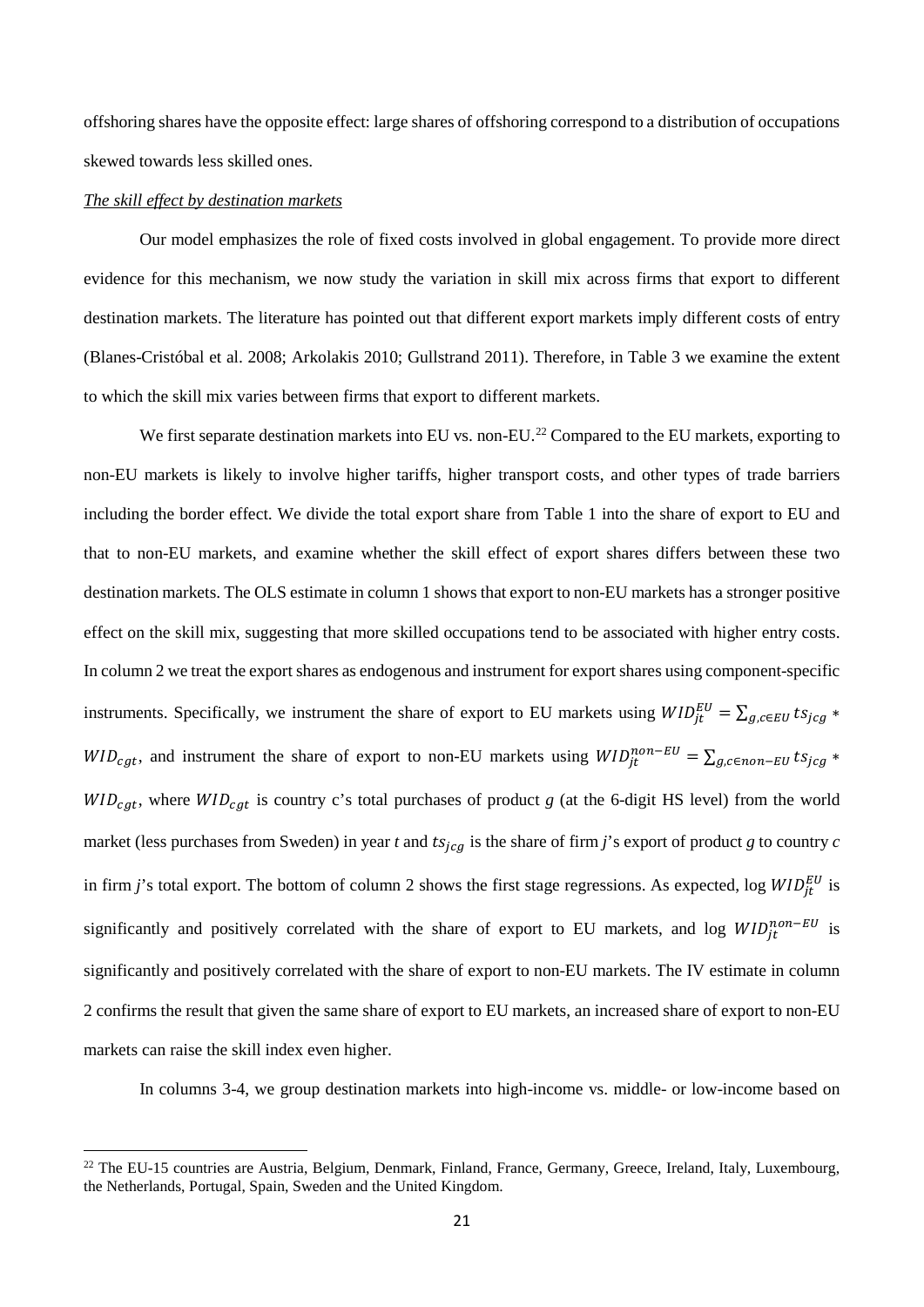offshoring shares have the opposite effect: large shares of offshoring correspond to a distribution of occupations skewed towards less skilled ones.

#### *The skill effect by destination markets*

 $\overline{a}$ 

Our model emphasizes the role of fixed costs involved in global engagement. To provide more direct evidence for this mechanism, we now study the variation in skill mix across firms that export to different destination markets. The literature has pointed out that different export markets imply different costs of entry (Blanes-Cristóbal et al. 2008; Arkolakis 2010; Gullstrand 2011). Therefore, in Table 3 we examine the extent to which the skill mix varies between firms that export to different markets.

We first separate destination markets into EU vs. non-EU.<sup>[22](#page-22-0)</sup> Compared to the EU markets, exporting to non-EU markets is likely to involve higher tariffs, higher transport costs, and other types of trade barriers including the border effect. We divide the total export share from Table 1 into the share of export to EU and that to non-EU markets, and examine whether the skill effect of export shares differs between these two destination markets. The OLS estimate in column 1 shows that export to non-EU markets has a stronger positive effect on the skill mix, suggesting that more skilled occupations tend to be associated with higher entry costs. In column 2 we treat the export shares as endogenous and instrument for export shares using component-specific instruments. Specifically, we instrument the share of export to EU markets using  $WID_{jt}^{EU} = \sum_{g,c \in EU} t s_{jcg} *$ WID<sub>cgt</sub>, and instrument the share of export to non-EU markets using  $WID_{jt}^{non-EU} = \sum_{g,c \in non-EU} t s_{jcg} *$  $WID_{cgt}$ , where  $WID_{cgt}$  is country c's total purchases of product *g* (at the 6-digit HS level) from the world market (less purchases from Sweden) in year  $t$  and  $ts_{icq}$  is the share of firm  $j$ 's export of product  $g$  to country  $c$ in firm *j*'s total export. The bottom of column 2 shows the first stage regressions. As expected, log  $WID_{jt}^{EU}$  is significantly and positively correlated with the share of export to EU markets, and log  $WID_{jt}^{non-EU}$  is significantly and positively correlated with the share of export to non-EU markets. The IV estimate in column 2 confirms the result that given the same share of export to EU markets, an increased share of export to non-EU markets can raise the skill index even higher.

In columns 3-4, we group destination markets into high-income vs. middle- or low-income based on

<span id="page-22-0"></span><sup>&</sup>lt;sup>22</sup> The EU-15 countries are Austria, Belgium, Denmark, Finland, France, Germany, Greece, Ireland, Italy, Luxembourg, the Netherlands, Portugal, Spain, Sweden and the United Kingdom.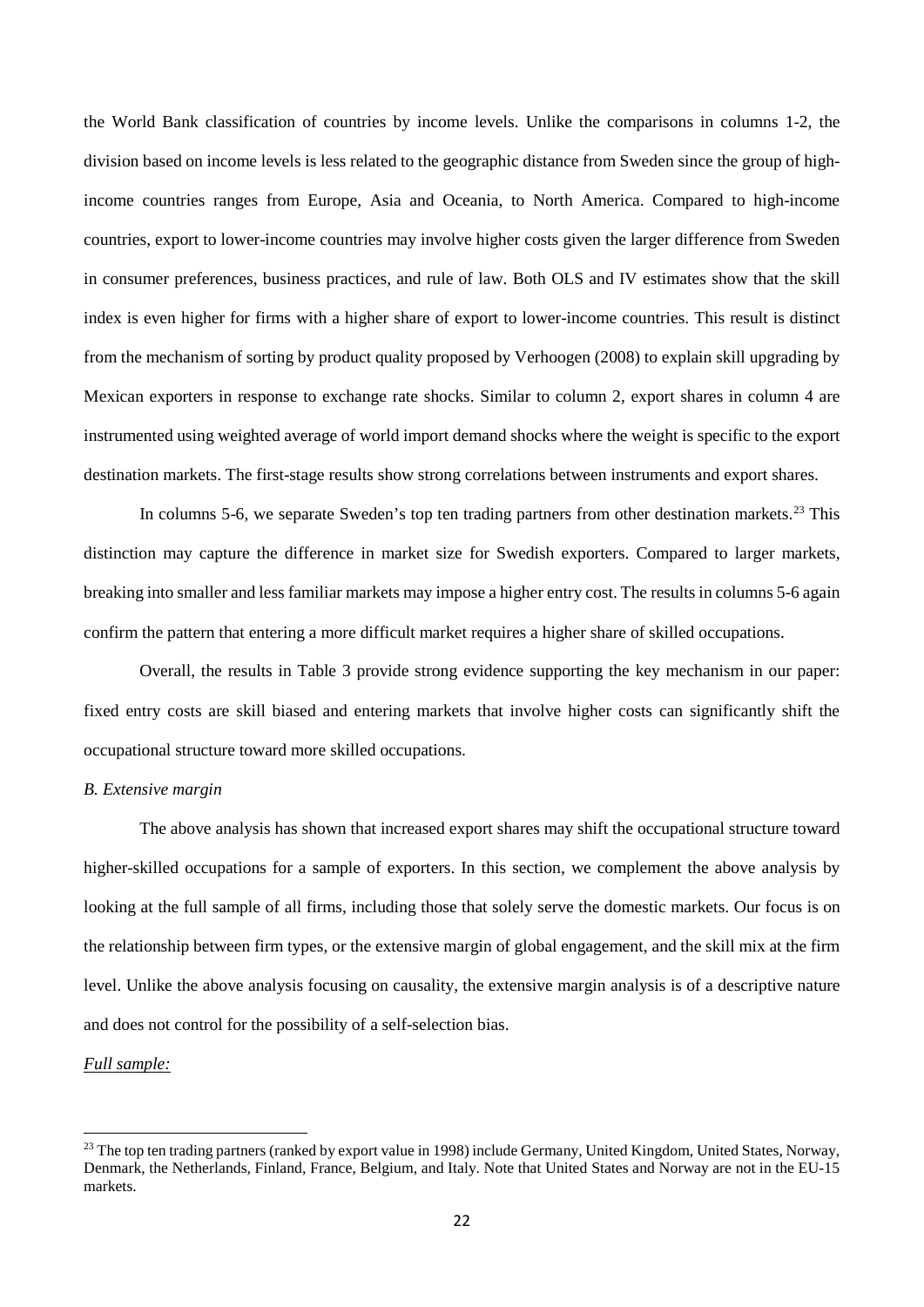the World Bank classification of countries by income levels. Unlike the comparisons in columns 1-2, the division based on income levels is less related to the geographic distance from Sweden since the group of highincome countries ranges from Europe, Asia and Oceania, to North America. Compared to high-income countries, export to lower-income countries may involve higher costs given the larger difference from Sweden in consumer preferences, business practices, and rule of law. Both OLS and IV estimates show that the skill index is even higher for firms with a higher share of export to lower-income countries. This result is distinct from the mechanism of sorting by product quality proposed by Verhoogen (2008) to explain skill upgrading by Mexican exporters in response to exchange rate shocks. Similar to column 2, export shares in column 4 are instrumented using weighted average of world import demand shocks where the weight is specific to the export destination markets. The first-stage results show strong correlations between instruments and export shares.

In columns 5-6, we separate Sweden's top ten trading partners from other destination markets.<sup>[23](#page-23-0)</sup> This distinction may capture the difference in market size for Swedish exporters. Compared to larger markets, breaking into smaller and less familiar markets may impose a higher entry cost. The results in columns 5-6 again confirm the pattern that entering a more difficult market requires a higher share of skilled occupations.

Overall, the results in Table 3 provide strong evidence supporting the key mechanism in our paper: fixed entry costs are skill biased and entering markets that involve higher costs can significantly shift the occupational structure toward more skilled occupations.

# *B. Extensive margin*

The above analysis has shown that increased export shares may shift the occupational structure toward higher-skilled occupations for a sample of exporters. In this section, we complement the above analysis by looking at the full sample of all firms, including those that solely serve the domestic markets. Our focus is on the relationship between firm types, or the extensive margin of global engagement, and the skill mix at the firm level. Unlike the above analysis focusing on causality, the extensive margin analysis is of a descriptive nature and does not control for the possibility of a self-selection bias.

# *Full sample:*

**.** 

<span id="page-23-0"></span> $^{23}$  The top ten trading partners (ranked by export value in 1998) include Germany, United Kingdom, United States, Norway, Denmark, the Netherlands, Finland, France, Belgium, and Italy. Note that United States and Norway are not in the EU-15 markets.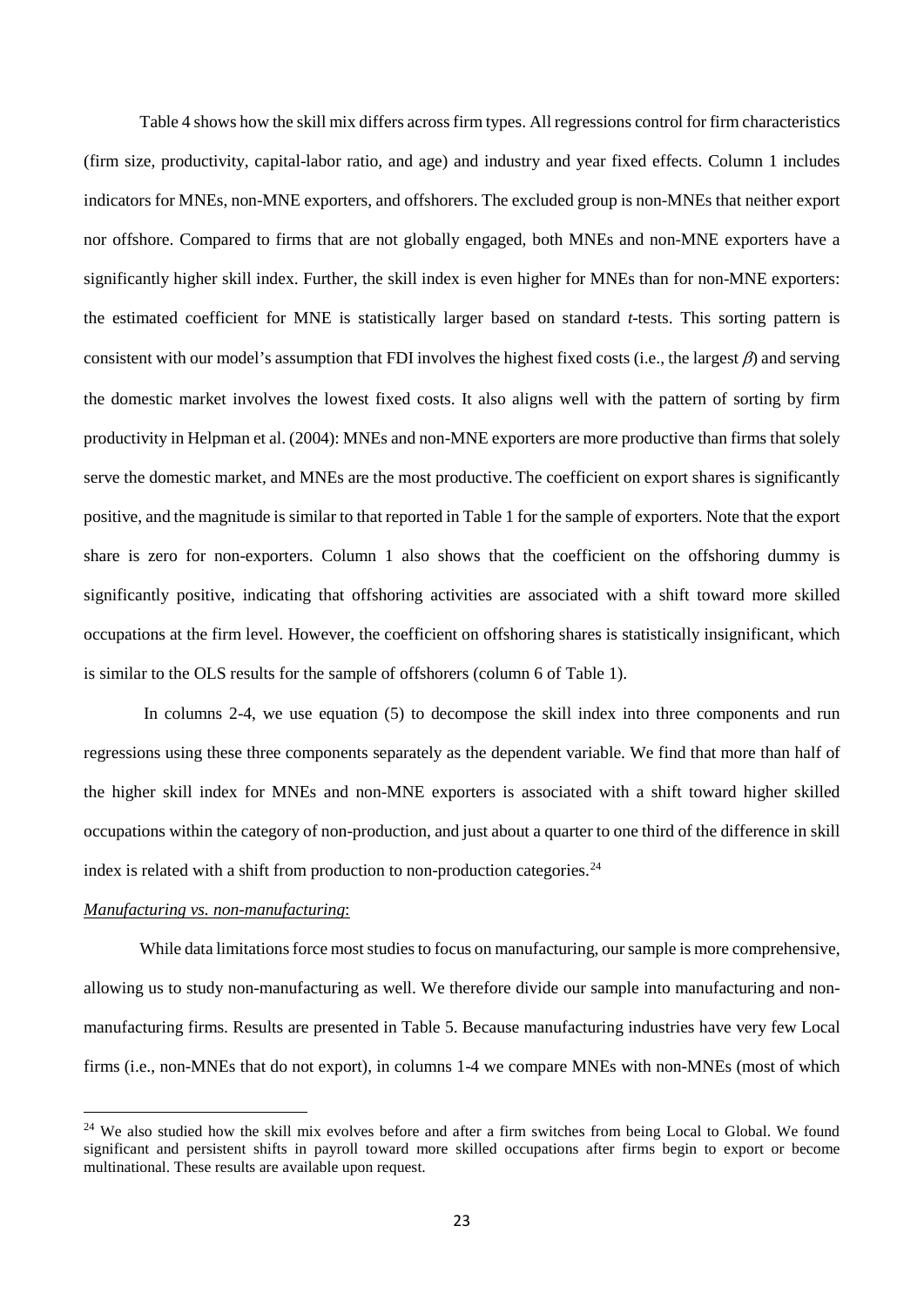Table 4 shows how the skill mix differs across firm types. All regressions control for firm characteristics (firm size, productivity, capital-labor ratio, and age) and industry and year fixed effects. Column 1 includes indicators for MNEs, non-MNE exporters, and offshorers. The excluded group is non-MNEs that neither export nor offshore. Compared to firms that are not globally engaged, both MNEs and non-MNE exporters have a significantly higher skill index. Further, the skill index is even higher for MNEs than for non-MNE exporters: the estimated coefficient for MNE is statistically larger based on standard *t*-tests. This sorting pattern is consistent with our model's assumption that FDI involves the highest fixed costs (i.e., the largest  $\beta$ ) and serving the domestic market involves the lowest fixed costs. It also aligns well with the pattern of sorting by firm productivity in Helpman et al. (2004): MNEs and non-MNE exporters are more productive than firms that solely serve the domestic market, and MNEs are the most productive. The coefficient on export shares is significantly positive, and the magnitude is similar to that reported in Table 1 for the sample of exporters. Note that the export share is zero for non-exporters. Column 1 also shows that the coefficient on the offshoring dummy is significantly positive, indicating that offshoring activities are associated with a shift toward more skilled occupations at the firm level. However, the coefficient on offshoring shares is statistically insignificant, which is similar to the OLS results for the sample of offshorers (column 6 of Table 1).

In columns 2-4, we use equation (5) to decompose the skill index into three components and run regressions using these three components separately as the dependent variable. We find that more than half of the higher skill index for MNEs and non-MNE exporters is associated with a shift toward higher skilled occupations within the category of non-production, and just about a quarter to one third of the difference in skill index is related with a shift from production to non-production categories.<sup>[24](#page-24-0)</sup>

#### *Manufacturing vs. non-manufacturing*:

1

While data limitations force most studies to focus on manufacturing, our sample is more comprehensive, allowing us to study non-manufacturing as well. We therefore divide our sample into manufacturing and nonmanufacturing firms. Results are presented in Table 5. Because manufacturing industries have very few Local firms (i.e., non-MNEs that do not export), in columns 1-4 we compare MNEs with non-MNEs (most of which

<span id="page-24-0"></span><sup>&</sup>lt;sup>24</sup> We also studied how the skill mix evolves before and after a firm switches from being Local to Global. We found significant and persistent shifts in payroll toward more skilled occupations after firms begin to export or become multinational. These results are available upon request.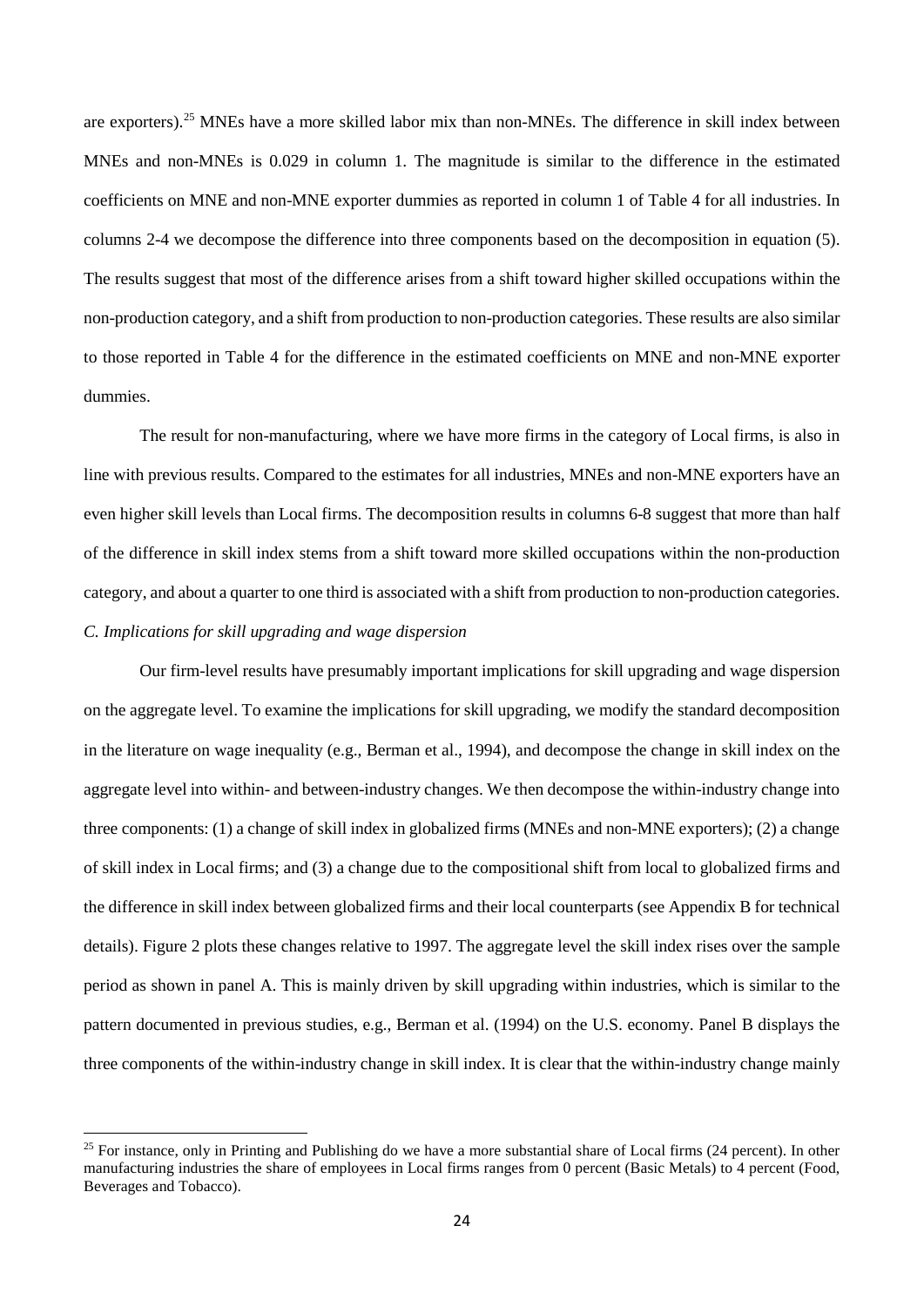are exporters).[25](#page-25-0) MNEs have a more skilled labor mix than non-MNEs. The difference in skill index between MNEs and non-MNEs is 0.029 in column 1. The magnitude is similar to the difference in the estimated coefficients on MNE and non-MNE exporter dummies as reported in column 1 of Table 4 for all industries. In columns 2-4 we decompose the difference into three components based on the decomposition in equation (5). The results suggest that most of the difference arises from a shift toward higher skilled occupations within the non-production category, and a shift from production to non-production categories. These results are also similar to those reported in Table 4 for the difference in the estimated coefficients on MNE and non-MNE exporter dummies.

The result for non-manufacturing, where we have more firms in the category of Local firms, is also in line with previous results. Compared to the estimates for all industries, MNEs and non-MNE exporters have an even higher skill levels than Local firms. The decomposition results in columns 6-8 suggest that more than half of the difference in skill index stems from a shift toward more skilled occupations within the non-production category, and about a quarter to one third is associated with a shift from production to non-production categories. *C. Implications for skill upgrading and wage dispersion*

Our firm-level results have presumably important implications for skill upgrading and wage dispersion on the aggregate level. To examine the implications for skill upgrading, we modify the standard decomposition in the literature on wage inequality (e.g., Berman et al., 1994), and decompose the change in skill index on the aggregate level into within- and between-industry changes. We then decompose the within-industry change into three components: (1) a change of skill index in globalized firms (MNEs and non-MNE exporters); (2) a change of skill index in Local firms; and (3) a change due to the compositional shift from local to globalized firms and the difference in skill index between globalized firms and their local counterparts (see Appendix B for technical details). Figure 2 plots these changes relative to 1997. The aggregate level the skill index rises over the sample period as shown in panel A. This is mainly driven by skill upgrading within industries, which is similar to the pattern documented in previous studies, e.g., Berman et al. (1994) on the U.S. economy. Panel B displays the three components of the within-industry change in skill index. It is clear that the within-industry change mainly

**.** 

<span id="page-25-0"></span> $25$  For instance, only in Printing and Publishing do we have a more substantial share of Local firms (24 percent). In other manufacturing industries the share of employees in Local firms ranges from 0 percent (Basic Metals) to 4 percent (Food, Beverages and Tobacco).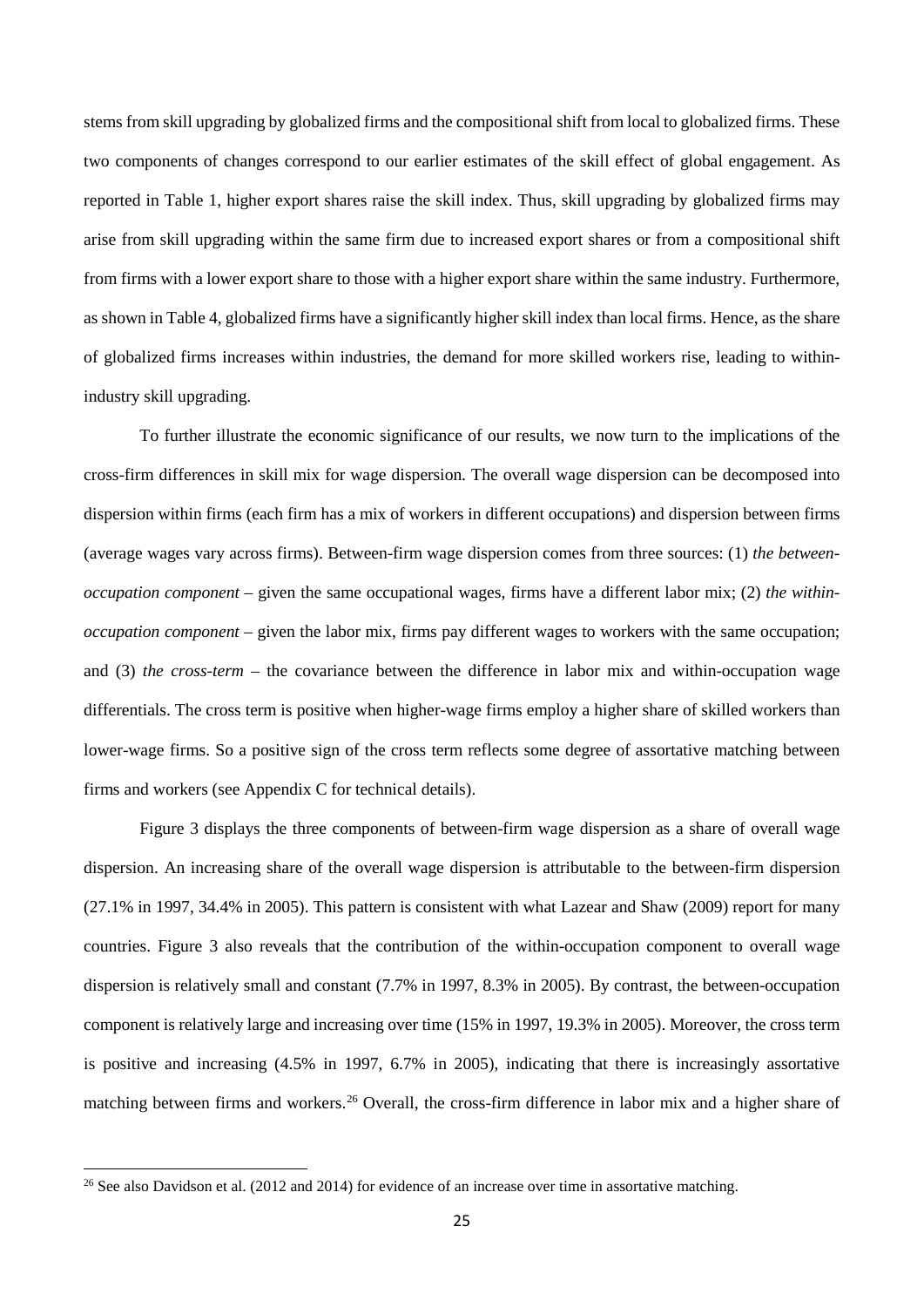stems from skill upgrading by globalized firms and the compositional shift from local to globalized firms. These two components of changes correspond to our earlier estimates of the skill effect of global engagement. As reported in Table 1, higher export shares raise the skill index. Thus, skill upgrading by globalized firms may arise from skill upgrading within the same firm due to increased export shares or from a compositional shift from firms with a lower export share to those with a higher export share within the same industry. Furthermore, as shown in Table 4, globalized firms have a significantly higher skill index than local firms. Hence, as the share of globalized firms increases within industries, the demand for more skilled workers rise, leading to withinindustry skill upgrading.

To further illustrate the economic significance of our results, we now turn to the implications of the cross-firm differences in skill mix for wage dispersion. The overall wage dispersion can be decomposed into dispersion within firms (each firm has a mix of workers in different occupations) and dispersion between firms (average wages vary across firms). Between-firm wage dispersion comes from three sources: (1) *the betweenoccupation component* – given the same occupational wages, firms have a different labor mix; (2) *the withinoccupation component* – given the labor mix, firms pay different wages to workers with the same occupation; and (3) *the cross-term* – the covariance between the difference in labor mix and within-occupation wage differentials. The cross term is positive when higher-wage firms employ a higher share of skilled workers than lower-wage firms. So a positive sign of the cross term reflects some degree of assortative matching between firms and workers (see Appendix C for technical details).

Figure 3 displays the three components of between-firm wage dispersion as a share of overall wage dispersion. An increasing share of the overall wage dispersion is attributable to the between-firm dispersion (27.1% in 1997, 34.4% in 2005). This pattern is consistent with what Lazear and Shaw (2009) report for many countries. Figure 3 also reveals that the contribution of the within-occupation component to overall wage dispersion is relatively small and constant (7.7% in 1997, 8.3% in 2005). By contrast, the between-occupation component is relatively large and increasing over time (15% in 1997, 19.3% in 2005). Moreover, the cross term is positive and increasing (4.5% in 1997, 6.7% in 2005), indicating that there is increasingly assortative matching between firms and workers.<sup>[26](#page-26-0)</sup> Overall, the cross-firm difference in labor mix and a higher share of

1

<span id="page-26-0"></span><sup>&</sup>lt;sup>26</sup> See also Davidson et al. (2012 and 2014) for evidence of an increase over time in assortative matching.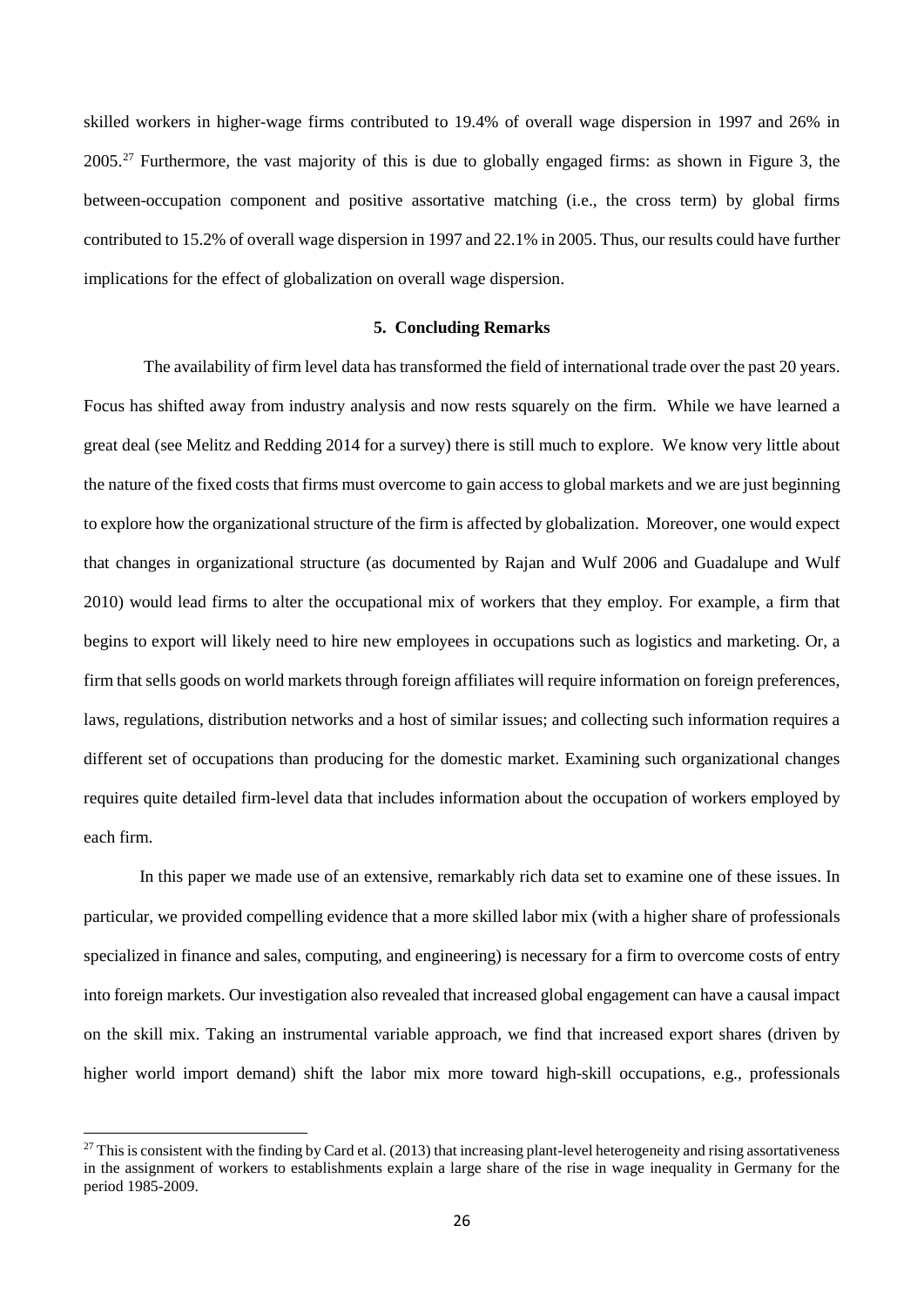skilled workers in higher-wage firms contributed to 19.4% of overall wage dispersion in 1997 and 26% in 2005.[27](#page-27-0) Furthermore, the vast majority of this is due to globally engaged firms: as shown in Figure 3, the between-occupation component and positive assortative matching (i.e., the cross term) by global firms contributed to 15.2% of overall wage dispersion in 1997 and 22.1% in 2005. Thus, our results could have further implications for the effect of globalization on overall wage dispersion.

#### **5. Concluding Remarks**

The availability of firm level data has transformed the field of international trade over the past 20 years. Focus has shifted away from industry analysis and now rests squarely on the firm. While we have learned a great deal (see Melitz and Redding 2014 for a survey) there is still much to explore. We know very little about the nature of the fixed costs that firms must overcome to gain access to global markets and we are just beginning to explore how the organizational structure of the firm is affected by globalization. Moreover, one would expect that changes in organizational structure (as documented by Rajan and Wulf 2006 and Guadalupe and Wulf 2010) would lead firms to alter the occupational mix of workers that they employ. For example, a firm that begins to export will likely need to hire new employees in occupations such as logistics and marketing. Or, a firm that sells goods on world markets through foreign affiliates will require information on foreign preferences, laws, regulations, distribution networks and a host of similar issues; and collecting such information requires a different set of occupations than producing for the domestic market. Examining such organizational changes requires quite detailed firm-level data that includes information about the occupation of workers employed by each firm.

In this paper we made use of an extensive, remarkably rich data set to examine one of these issues. In particular, we provided compelling evidence that a more skilled labor mix (with a higher share of professionals specialized in finance and sales, computing, and engineering) is necessary for a firm to overcome costs of entry into foreign markets. Our investigation also revealed that increased global engagement can have a causal impact on the skill mix. Taking an instrumental variable approach, we find that increased export shares (driven by higher world import demand) shift the labor mix more toward high-skill occupations, e.g., professionals

**.** 

<span id="page-27-0"></span> $^{27}$  This is consistent with the finding by Card et al. (2013) that increasing plant-level heterogeneity and rising assortativeness in the assignment of workers to establishments explain a large share of the rise in wage inequality in Germany for the period 1985-2009.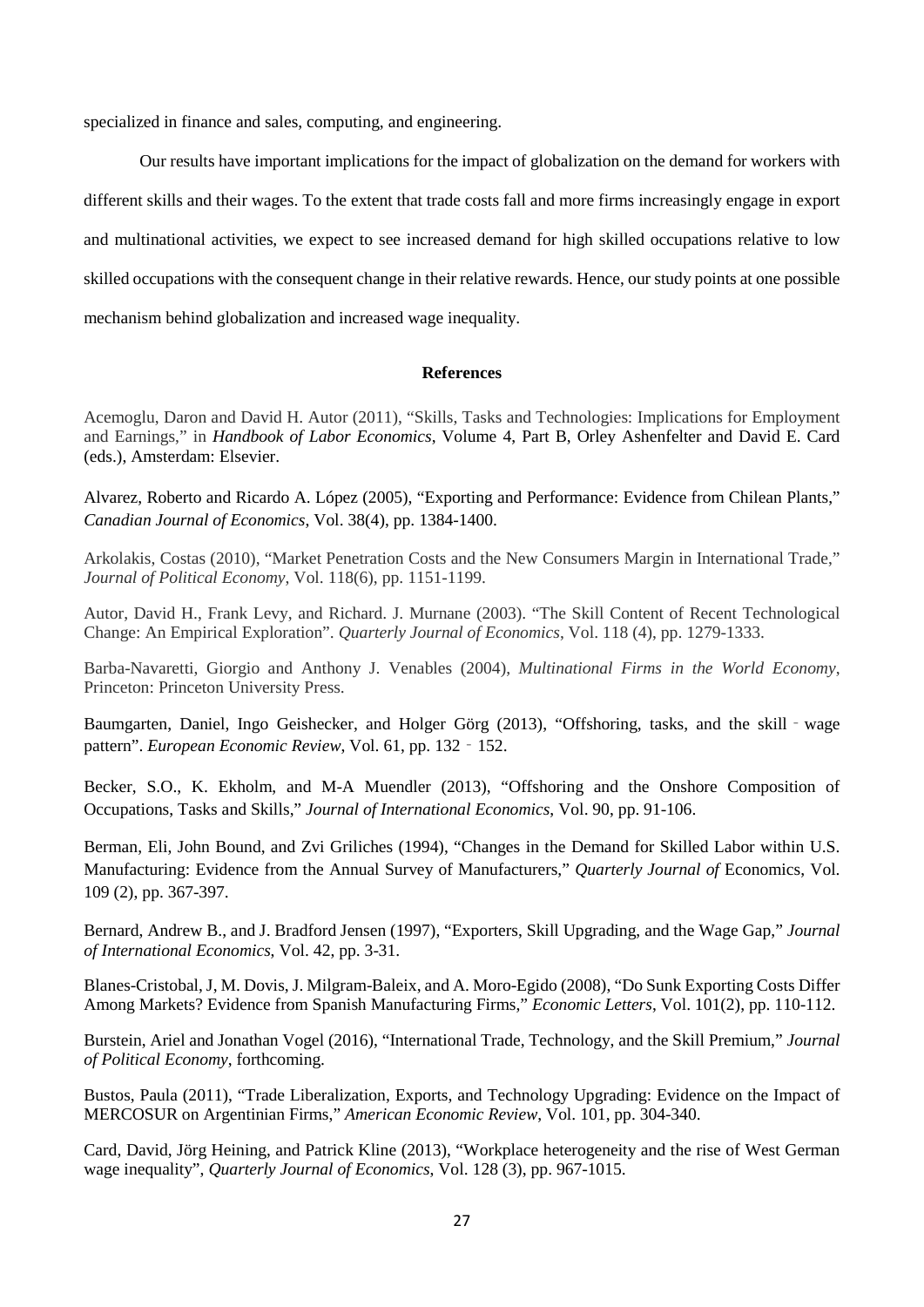specialized in finance and sales, computing, and engineering.

Our results have important implications for the impact of globalization on the demand for workers with different skills and their wages. To the extent that trade costs fall and more firms increasingly engage in export and multinational activities, we expect to see increased demand for high skilled occupations relative to low skilled occupations with the consequent change in their relative rewards. Hence, our study points at one possible mechanism behind globalization and increased wage inequality.

# **References**

Acemoglu, Daron and David H. Autor (2011), "Skills, Tasks and Technologies: Implications for Employment and Earnings," in *Handbook of Labor Economics*, Volume 4, Part B, Orley Ashenfelter and David E. Card (eds.), Amsterdam: Elsevier.

Alvarez, Roberto and Ricardo A. López (2005), "Exporting and Performance: Evidence from Chilean Plants," *Canadian Journal of Economics*, Vol. 38(4), pp. 1384-1400.

Arkolakis, Costas (2010), "Market Penetration Costs and the New Consumers Margin in International Trade," *Journal of Political Economy*, Vol. 118(6), pp. 1151-1199.

Autor, David H., Frank Levy, and Richard. J. Murnane (2003). "The Skill Content of Recent Technological Change: An Empirical Exploration". *Quarterly Journal of Economics*, Vol. 118 (4), pp. 1279-1333.

Barba-Navaretti, Giorgio and Anthony J. Venables (2004), *Multinational Firms in the World Economy*, Princeton: Princeton University Press.

Baumgarten, Daniel, Ingo Geishecker, and Holger Görg (2013), "Offshoring, tasks, and the skill - wage pattern". *European Economic Review*, Vol. 61, pp. 132‐152.

Becker, S.O., K. Ekholm, and M-A Muendler (2013), "Offshoring and the Onshore Composition of Occupations, Tasks and Skills," *Journal of International Economics*, Vol. 90, pp. 91-106.

Berman, Eli, John Bound, and Zvi Griliches (1994), "Changes in the Demand for Skilled Labor within U.S. Manufacturing: Evidence from the Annual Survey of Manufacturers," *Quarterly Journal of* Economics, Vol. 109 (2), pp. 367-397.

Bernard, Andrew B., and J. Bradford Jensen (1997), "Exporters, Skill Upgrading, and the Wage Gap," *Journal of International Economics*, Vol. 42, pp. 3-31.

Blanes-Cristobal, J, M. Dovis, J. Milgram-Baleix, and A. Moro-Egido (2008), "Do Sunk Exporting Costs Differ Among Markets? Evidence from Spanish Manufacturing Firms," *Economic Letters*, Vol. 101(2), pp. 110-112.

Burstein, Ariel and Jonathan Vogel (2016), "International Trade, Technology, and the Skill Premium," *Journal of Political Economy*, forthcoming.

Bustos, Paula (2011), "Trade Liberalization, Exports, and Technology Upgrading: Evidence on the Impact of MERCOSUR on Argentinian Firms," *American Economic Review*, Vol. 101, pp. 304-340.

Card, David, Jörg Heining, and Patrick Kline (2013), "Workplace heterogeneity and the rise of West German wage inequality", *Quarterly Journal of Economics*, Vol. 128 (3), pp. 967-1015.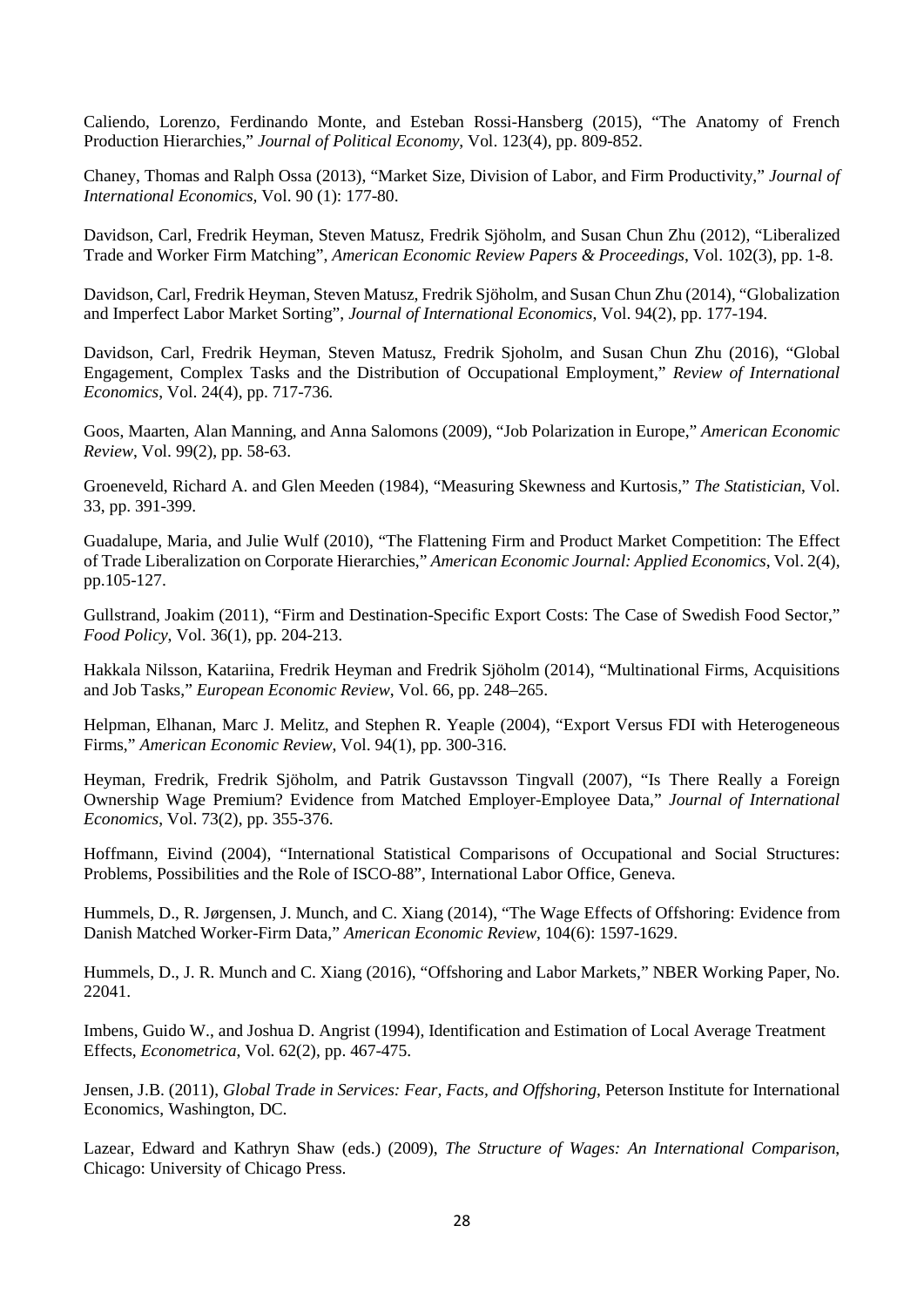Caliendo, Lorenzo, Ferdinando Monte, and Esteban Rossi-Hansberg (2015), "The Anatomy of French Production Hierarchies," *Journal of Political Economy*, Vol. 123(4), pp. 809-852.

Chaney, Thomas and Ralph Ossa (2013), "Market Size, Division of Labor, and Firm Productivity," *Journal of International Economics,* Vol. 90 (1): 177-80.

Davidson, Carl, Fredrik Heyman, Steven Matusz, Fredrik Sjöholm, and Susan Chun Zhu (2012), "Liberalized Trade and Worker Firm Matching", *American Economic Review Papers & Proceedings*, Vol. 102(3), pp. 1-8.

Davidson, Carl, Fredrik Heyman, Steven Matusz, Fredrik Sjöholm, and Susan Chun Zhu (2014), "Globalization and Imperfect Labor Market Sorting", *Journal of International Economics*, Vol. 94(2), pp. 177-194.

Davidson, Carl, Fredrik Heyman, Steven Matusz, Fredrik Sjoholm, and Susan Chun Zhu (2016), "Global Engagement, Complex Tasks and the Distribution of Occupational Employment," *Review of International Economics*, Vol. 24(4), pp. 717-736*.*

Goos, Maarten, Alan Manning, and Anna Salomons (2009), "Job Polarization in Europe," *American Economic Review*, Vol. 99(2), pp. 58-63.

Groeneveld, Richard A. and Glen Meeden (1984), "Measuring Skewness and Kurtosis," *The Statistician*, Vol. 33, pp. 391-399.

Guadalupe, Maria, and Julie Wulf (2010), "The Flattening Firm and Product Market Competition: The Effect of Trade Liberalization on Corporate Hierarchies," *American Economic Journal: Applied Economics*, Vol. 2(4), pp.105-127.

Gullstrand, Joakim (2011), "Firm and Destination-Specific Export Costs: The Case of Swedish Food Sector," *Food Policy*, Vol. 36(1), pp. 204-213.

Hakkala Nilsson, Katariina, Fredrik Heyman and Fredrik Sjöholm (2014), "Multinational Firms, Acquisitions and Job Tasks," *European Economic Review*, Vol. 66, pp. 248–265.

Helpman, Elhanan, Marc J. Melitz, and Stephen R. Yeaple (2004), "Export Versus FDI with Heterogeneous Firms," *American Economic Review*, Vol. 94(1), pp. 300-316.

Heyman, Fredrik, Fredrik Sjöholm, and Patrik Gustavsson Tingvall (2007), "Is There Really a Foreign Ownership Wage Premium? Evidence from Matched Employer-Employee Data," *Journal of International Economics*, Vol. 73(2), pp. 355-376.

Hoffmann, Eivind (2004), "International Statistical Comparisons of Occupational and Social Structures: Problems, Possibilities and the Role of ISCO-88", International Labor Office, Geneva.

Hummels, D., R. Jørgensen, J. Munch, and C. Xiang (2014), "The Wage Effects of Offshoring: Evidence from Danish Matched Worker-Firm Data," *American Economic Review*, 104(6): 1597-1629.

Hummels, D., J. R. Munch and C. Xiang (2016), "Offshoring and Labor Markets," NBER Working Paper, No. 22041.

Imbens, Guido W., and Joshua D. Angrist (1994), Identification and Estimation of Local Average Treatment Effects, *Econometrica*, Vol. 62(2), pp. 467-475.

Jensen, J.B. (2011), *Global Trade in Services: Fear, Facts, and Offshoring*, Peterson Institute for International Economics, Washington, DC.

Lazear, Edward and Kathryn Shaw (eds.) (2009), *The Structure of Wages: An International Comparison*, Chicago: University of Chicago Press.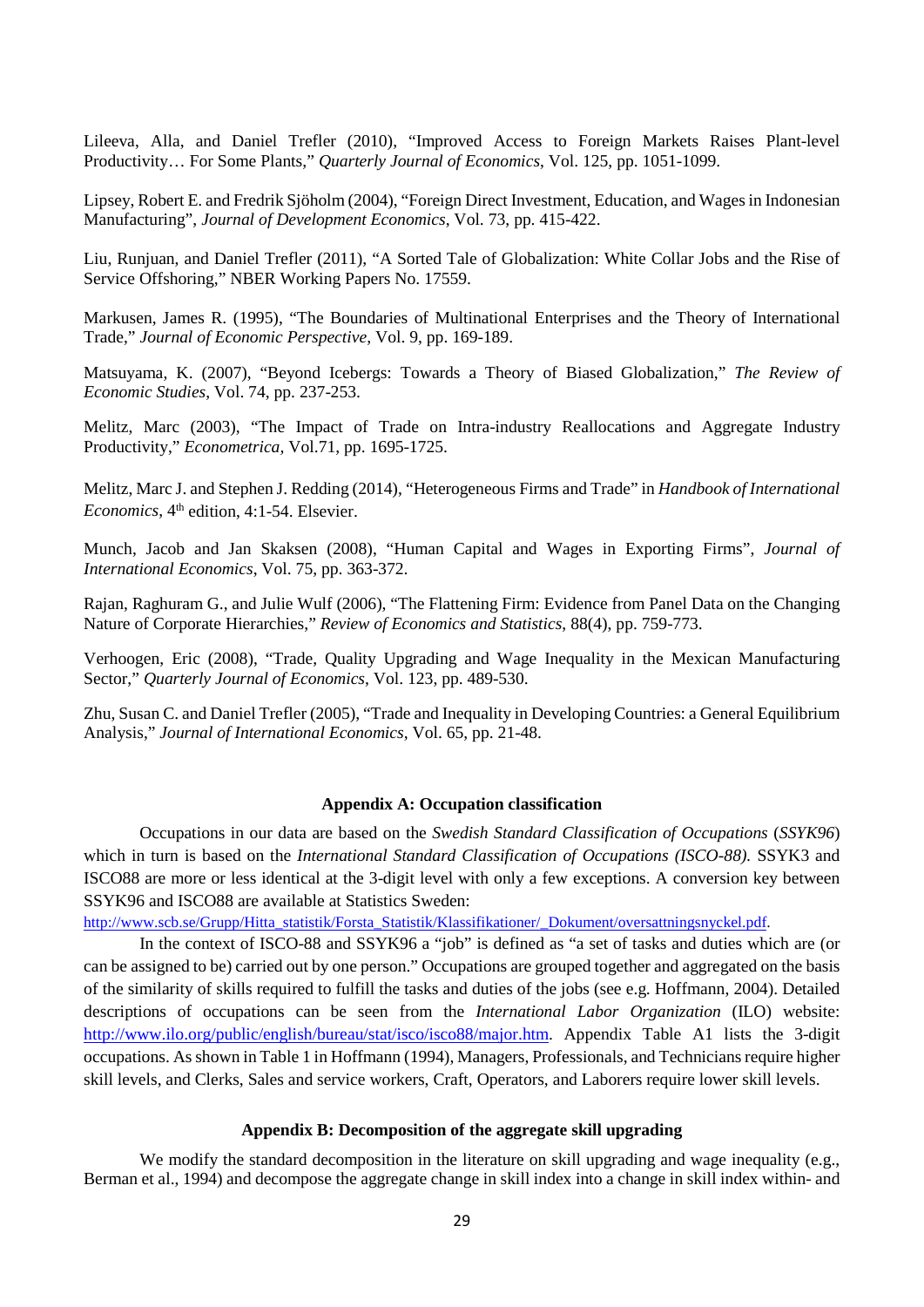Lileeva, Alla, and Daniel Trefler (2010), "Improved Access to Foreign Markets Raises Plant-level Productivity… For Some Plants," *Quarterly Journal of Economics*, Vol. 125, pp. 1051-1099.

Lipsey, Robert E. and Fredrik Sjöholm (2004), "Foreign Direct Investment, Education, and Wages in Indonesian Manufacturing", *Journal of Development Economics*, Vol. 73, pp. 415-422.

Liu, Runjuan, and Daniel Trefler (2011), "A Sorted Tale of Globalization: White Collar Jobs and the Rise of Service Offshoring," NBER Working Papers No. 17559.

Markusen, James R. (1995), "The Boundaries of Multinational Enterprises and the Theory of International Trade," *Journal of Economic Perspective*, Vol. 9, pp. 169-189.

Matsuyama, K. (2007), "Beyond Icebergs: Towards a Theory of Biased Globalization," *The Review of Economic Studies*, Vol. 74, pp. 237-253.

Melitz, Marc (2003), "The Impact of Trade on Intra-industry Reallocations and Aggregate Industry Productivity," *Econometrica,* Vol.71, pp. 1695-1725.

Melitz, Marc J. and Stephen J. Redding (2014), "Heterogeneous Firms and Trade" in *Handbook of International Economics*, 4<sup>th</sup> edition, 4:1-54. Elsevier.

Munch, Jacob and Jan Skaksen (2008), "Human Capital and Wages in Exporting Firms", *Journal of International Economics*, Vol. 75, pp. 363-372.

Rajan, Raghuram G., and Julie Wulf (2006), "The Flattening Firm: Evidence from Panel Data on the Changing Nature of Corporate Hierarchies," *Review of Economics and Statistics*, 88(4), pp. 759-773.

Verhoogen, Eric (2008), "Trade, Quality Upgrading and Wage Inequality in the Mexican Manufacturing Sector," *Quarterly Journal of Economics*, Vol. 123, pp. 489-530.

Zhu, Susan C. and Daniel Trefler (2005), "Trade and Inequality in Developing Countries: a General Equilibrium Analysis," *Journal of International Economics*, Vol. 65, pp. 21-48.

#### **Appendix A: Occupation classification**

Occupations in our data are based on the *Swedish Standard Classification of Occupations* (*SSYK96*) which in turn is based on the *International Standard Classification of Occupations (ISCO-88).* SSYK3 and ISCO88 are more or less identical at the 3-digit level with only a few exceptions. A conversion key between SSYK96 and ISCO88 are available at Statistics Sweden:

[http://www.scb.se/Grupp/Hitta\\_statistik/Forsta\\_Statistik/Klassifikationer/\\_Dokument/oversattningsnyckel.pdf.](http://www.scb.se/Grupp/Hitta_statistik/Forsta_Statistik/Klassifikationer/_Dokument/oversattningsnyckel.pdf)

In the context of ISCO-88 and SSYK96 a "job" is defined as "a set of tasks and duties which are (or can be assigned to be) carried out by one person." Occupations are grouped together and aggregated on the basis of the similarity of skills required to fulfill the tasks and duties of the jobs (see e.g. Hoffmann, 2004). Detailed descriptions of occupations can be seen from the *International Labor Organization* (ILO) website: [http://www.ilo.org/public/english/bureau/stat/isco/isco88/major.htm.](http://www.ilo.org/public/english/bureau/stat/isco/isco88/major.htm) Appendix Table A1 lists the 3-digit occupations. As shown in Table 1 in Hoffmann (1994), Managers, Professionals, and Technicians require higher skill levels, and Clerks, Sales and service workers, Craft, Operators, and Laborers require lower skill levels.

# **Appendix B: Decomposition of the aggregate skill upgrading**

We modify the standard decomposition in the literature on skill upgrading and wage inequality (e.g., Berman et al., 1994) and decompose the aggregate change in skill index into a change in skill index within- and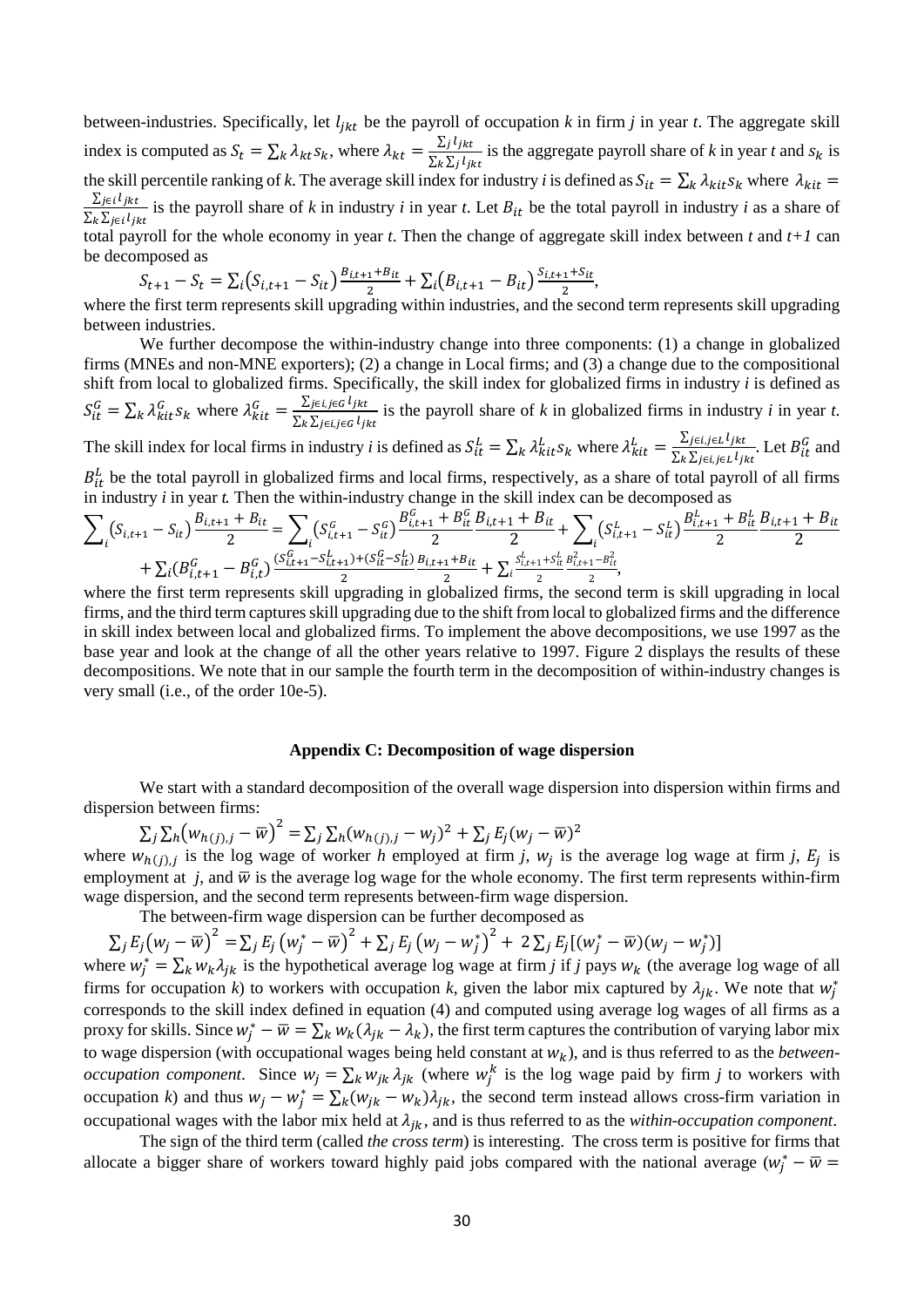between-industries. Specifically, let  $l_{ikt}$  be the payroll of occupation  $k$  in firm  $j$  in year  $t$ . The aggregate skill index is computed as  $S_t = \sum_k \lambda_{kt} s_k$ , where  $\lambda_{kt} = \frac{\sum_j l_{jkt}}{\sum_k \sum_j l_{jkt}}$  is the aggregate payroll share of *k* in year *t* and  $s_k$  is the skill percentile ranking of *k*. The average skill index for industry *i* is defined as  $S_{it} = \sum_{k} \lambda_{kit} s_k$  where  $\lambda_{kit} = \frac{\sum_{j} \epsilon^{i} l_{jkt}}{s}$  is the payrell share of *k* in industry *i* in year *t*. Let *B*. be the t  $\overline{\sum_k \sum_{j \in i} l_{jkt}}$  $\frac{\sum_{j\in i}l_{jkt}}{\sum_{i}l_{jkt}}$  is the payroll share of *k* in industry *i* in year *t*. Let  $B_{it}$  be the total payroll in industry *i* as a share of total payroll for the whole economy in year *t*. Then the change of aggregate skill index between *t* and *t+1* can be decomposed as

$$
S_{t+1} - S_t = \sum_i (S_{i,t+1} - S_{it}) \frac{B_{i,t+1} + B_{it}}{2} + \sum_i (B_{i,t+1} - B_{it}) \frac{S_{i,t+1} + S_{it}}{2},
$$

where the first term represents skill upgrading within industries, and the second term represents skill upgrading between industries.

We further decompose the within-industry change into three components: (1) a change in globalized firms (MNEs and non-MNE exporters); (2) a change in Local firms; and (3) a change due to the compositional shift from local to globalized firms. Specifically, the skill index for globalized firms in industry *i* is defined as  $S_{it}^G = \sum_k \lambda_{kit}^G s_k$  where  $\lambda_{kit}^G = \frac{\sum_{j \in i, j \in G} l_{jkt}}{\sum_k \sum_{j \in i, j \in G} l_{jkt}}$  is the payroll share of *k* in globalized firms in industry *i* in year *t*.

The skill index for local firms in industry *i* is defined as  $S_{it}^L = \sum_k \lambda_{kit}^L s_k$  where  $\lambda_{kit}^L = \frac{\sum_{j \in i, j \in L} l_{jkt}}{\sum_k \sum_{j \in i, j \in L} l_{jkt}}$ . Let  $B_{it}^G$  and

 $B_{it}^L$  be the total payroll in globalized firms and local firms, respectively, as a share of total payroll of all firms in industry *i* in year *t*. Then the within-industry change in the skill index can be decomposed as

$$
\sum_{i} (S_{i,t+1} - S_{it}) \frac{B_{i,t+1} + B_{it}}{2} = \sum_{i} (S_{i,t+1}^G - S_{it}^G) \frac{B_{i,t+1}^G + B_{it}}{2} + \sum_{i} (S_{i,t+1}^L - S_{it}^L) \frac{B_{i,t+1}^L + B_{it}}{2} + \sum_{i} (S_{i,t+1}^L - S_{it}^L) \frac{B_{i,t+1}^L + B_{it}}{2} \frac{B_{i,t+1}^L + B_{it}}{2} + \sum_{i} (S_{i,t+1}^L - S_{it}^L) \frac{B_{i,t+1}^L + B_{it}}{2} \frac{B_{i,t+1}^L + B_{it}}{2} + \sum_{i} (S_{i,t+1}^L - S_{it}^L) \frac{B_{i,t+1}^L + B_{it}}{2} \frac{B_{i,t+1}^L + B_{it}}{2} + \sum_{i} (S_{i,t+1}^L - S_{it}^L) \frac{B_{i,t+1}^L + B_{it}}{2} \frac{B_{i,t+1}^L + B_{it}}{2} + \sum_{i} (S_{i,t+1}^L - S_{it}^L) \frac{B_{i,t+1}^L + B_{it}}{2} \frac{B_{i,t+1}^L + B_{it}}{2} + \sum_{i} (S_{i,t+1}^L - S_{it}^L) \frac{B_{i,t+1}^L + B_{it}}{2} \frac{B_{i,t+1}^L + B_{it}}{2} + \sum_{i} (S_{i,t+1}^L - S_{it}^L) \frac{B_{i,t+1}^L + B_{it}}{2} \frac{B_{i,t+1}^L + B_{it}}{2} + \sum_{i} (S_{i,t+1}^L - S_{it}^L) \frac{B_{i,t+1}^L + B_{it}}{2} \frac{B_{i,t+1}^L + B_{it}}{2} + \sum_{i} (S_{i,t+1}^L - S_{it}^L) \frac{B_{i,t+1}^L + B_{it}}{2} \frac{B_{i,t+1}^L + B_{it}}{2} + \sum_{i} (S_{i,t+1}^L - S_{it}^L) \frac{B_{i,t+1}^L + B_{it}}{2} \frac{B_{i,t+1}^L + B_{it
$$

where the first term represents skill upgrading in globalized firms, the second term is skill upgrading in local firms, and the third term captures skill upgrading due to the shift from local to globalized firms and the difference in skill index between local and globalized firms. To implement the above decompositions, we use 1997 as the base year and look at the change of all the other years relative to 1997. Figure 2 displays the results of these decompositions. We note that in our sample the fourth term in the decomposition of within-industry changes is very small (i.e., of the order 10e-5).

#### **Appendix C: Decomposition of wage dispersion**

We start with a standard decomposition of the overall wage dispersion into dispersion within firms and dispersion between firms:

$$
\sum_j \sum_h \bigl( w_{h(j),j} - \overline{w} \bigr)^2 = \sum_j \sum_h \bigl( w_{h(j),j} - w_j \bigr)^2 + \sum_j E_j \bigl( w_j - \overline{w} \bigr)^2
$$

 $\Delta j \Delta h(w h(j), j, w) = \Delta j \Delta h(w h(j), j, w_j) + \Delta j \Delta j(w, w)$ <br>where  $w_{h(j), j}$  is the log wage of worker *h* employed at firm *j*,  $w_j$  is the average log wage at firm *j*,  $E_j$  is employment at *j*, and  $\overline{w}$  is the average log wage for the whole economy. The first term represents within-firm wage dispersion, and the second term represents between-firm wage dispersion.

The between-firm wage dispersion can be further decomposed as

$$
\sum_{j} E_j (w_j - \overline{w})^2 = \sum_{j} E_j (w_j^* - \overline{w})^2 + \sum_{j} E_j (w_j - w_j^*)^2 + 2 \sum_{j} E_j [(w_j^* - \overline{w})(w_j - w_j^*)]
$$
  
where  $w_i^* = \sum_{j} w_j$ , *i*, the kinmetrical curves are less than *i* if *j* zeros *w*, (the average

where  $w_j^* = \sum_k w_k \lambda_{jk}$  is the hypothetical average log wage at firm *j* if *j* pays  $w_k$  (the average log wage of all firms for occupation *k*) to workers with occupation *k*, given the labor mix captured by  $\lambda_{jk}$ . We note that  $w_j^*$ corresponds to the skill index defined in equation (4) and computed using average log wages of all firms as a proxy for skills. Since  $w_j^* - \overline{w} = \sum_k w_k (\lambda_{jk} - \lambda_k)$ , the first term captures the contribution of varying labor mix to wage dispersion (with occupational wages being held constant at  $w_k$ ), and is thus referred to as the *betweenoccupation component*. Since  $w_j = \sum_k w_{jk} \lambda_{jk}$  (where  $w_j^k$  is the log wage paid by firm *j* to workers with occupation *k*) and thus  $w_j - w_j^* = \sum_k (w_{jk} - w_k) \lambda_{jk}$ , the second term instead allows cross-firm variation in occupational wages with the labor mix held at  $\lambda_{ik}$ , and is thus referred to as the *within-occupation component*.

The sign of the third term (called *the cross term*) is interesting. The cross term is positive for firms that allocate a bigger share of workers toward highly paid jobs compared with the national average  $(w_j^* - \overline{w} =$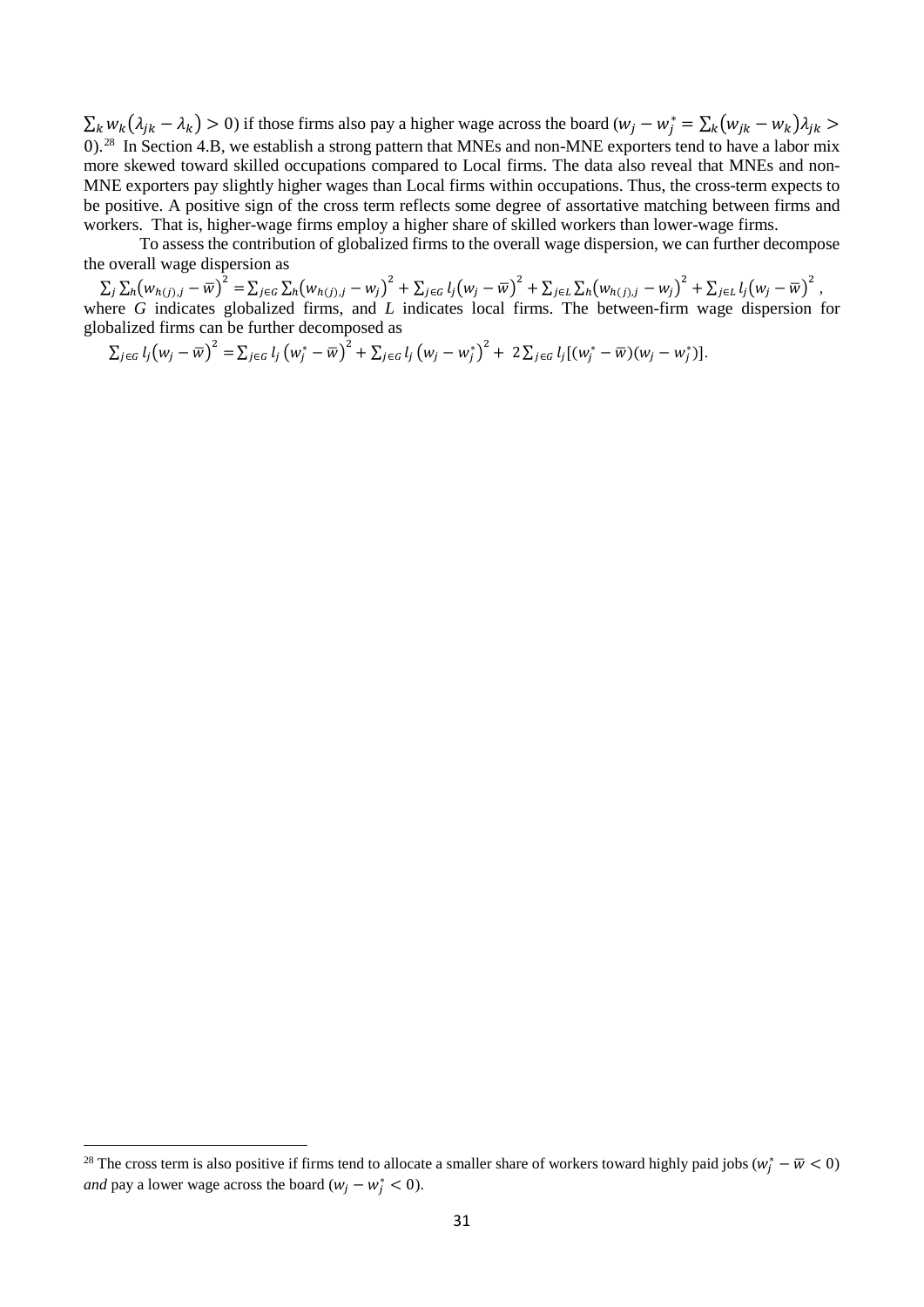$\sum_k w_k(\lambda_{jk} - \lambda_k) > 0$ ) if those firms also pay a higher wage across the board  $(w_j - w_j^* = \sum_k (w_{jk} - w_k)\lambda_{jk} > 0$ 0).[28](#page-32-0) In Section 4.B, we establish a strong pattern that MNEs and non-MNE exporters tend to have a labor mix more skewed toward skilled occupations compared to Local firms. The data also reveal that MNEs and non-MNE exporters pay slightly higher wages than Local firms within occupations. Thus, the cross-term expects to be positive. A positive sign of the cross term reflects some degree of assortative matching between firms and workers. That is, higher-wage firms employ a higher share of skilled workers than lower-wage firms.

To assess the contribution of globalized firms to the overall wage dispersion, we can further decompose the overall wage dispersion as

 $\sum_j \sum_h (w_{h(j),j} - \overline{w})^2 = \sum_{j \in G} \sum_h (w_{h(j),j} - w_j)^2 + \sum_{j \in G} l_j (w_j - \overline{w})^2 + \sum_{j \in L} \sum_h (w_{h(j),j} - w_j)^2 + \sum_{j \in L} l_j (w_j - \overline{w})^2$ where *G* indicates globalized firms, and *L* indicates local firms. The between-firm wage dispersion for globalized firms can be further decomposed as

 $\sum_{j \in G} l_j (w_j - \overline{w})^2 = \sum_{j \in G} l_j (w_j^* - \overline{w})^2 + \sum_{j \in G} l_j (w_j - w_j^*)^2 + 2 \sum_{j \in G} l_j [(w_j^* - \overline{w})(w_j - w_j^*)].$ 

 $\overline{a}$ 

<span id="page-32-0"></span><sup>&</sup>lt;sup>28</sup> The cross term is also positive if firms tend to allocate a smaller share of workers toward highly paid jobs  $(w_j^* - \overline{w} < 0)$ *and* pay a lower wage across the board  $(w_j - w_j^* < 0)$ .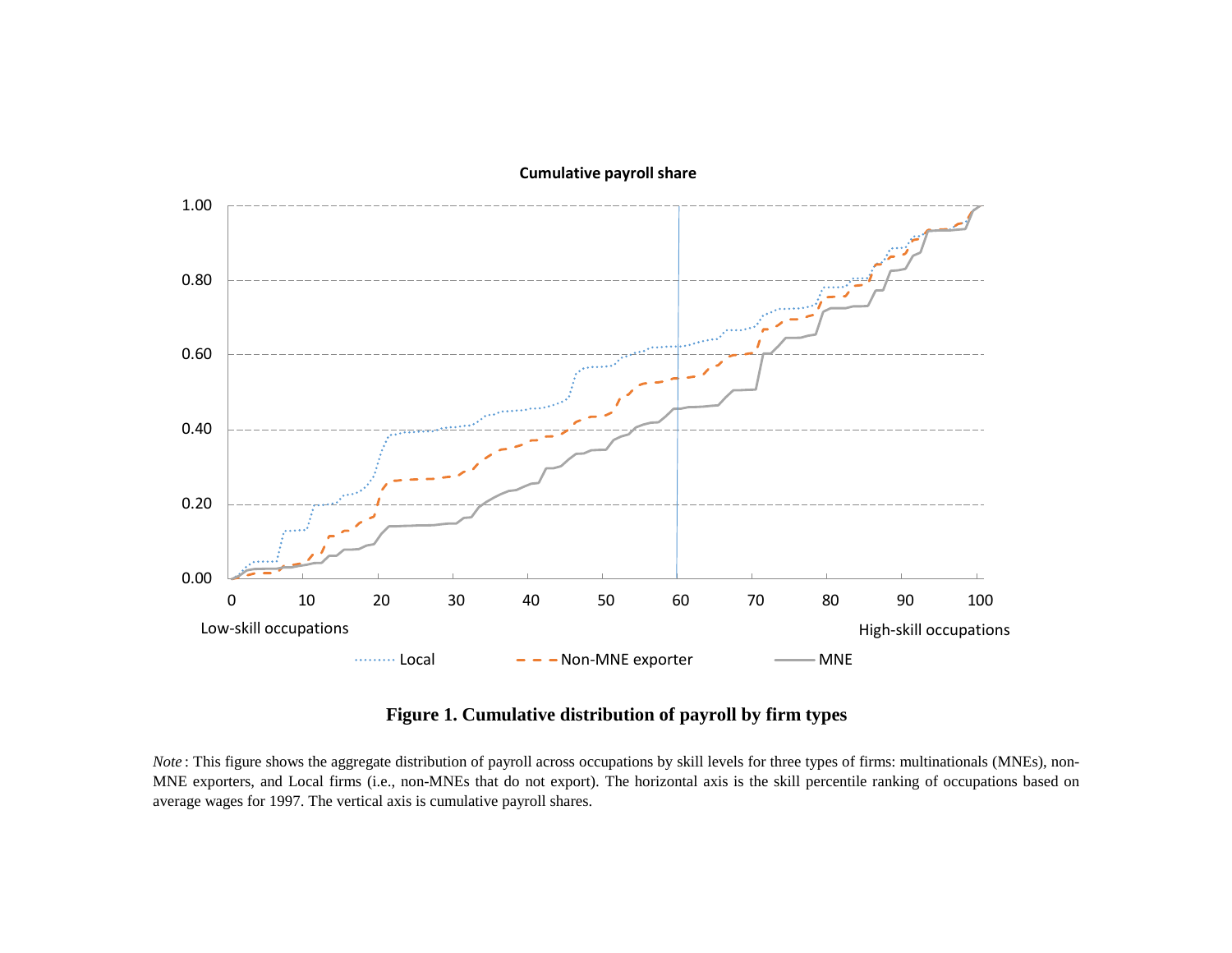

**Cumulative payroll share**

**Figure 1. Cumulative distribution of payroll by firm types**

*Note*: This figure shows the aggregate distribution of payroll across occupations by skill levels for three types of firms: multinationals (MNEs), non-MNE exporters, and Local firms (i.e., non-MNEs that do not export). The horizontal axis is the skill percentile ranking of occupations based on average wages for 1997. The vertical axis is cumulative payroll shares.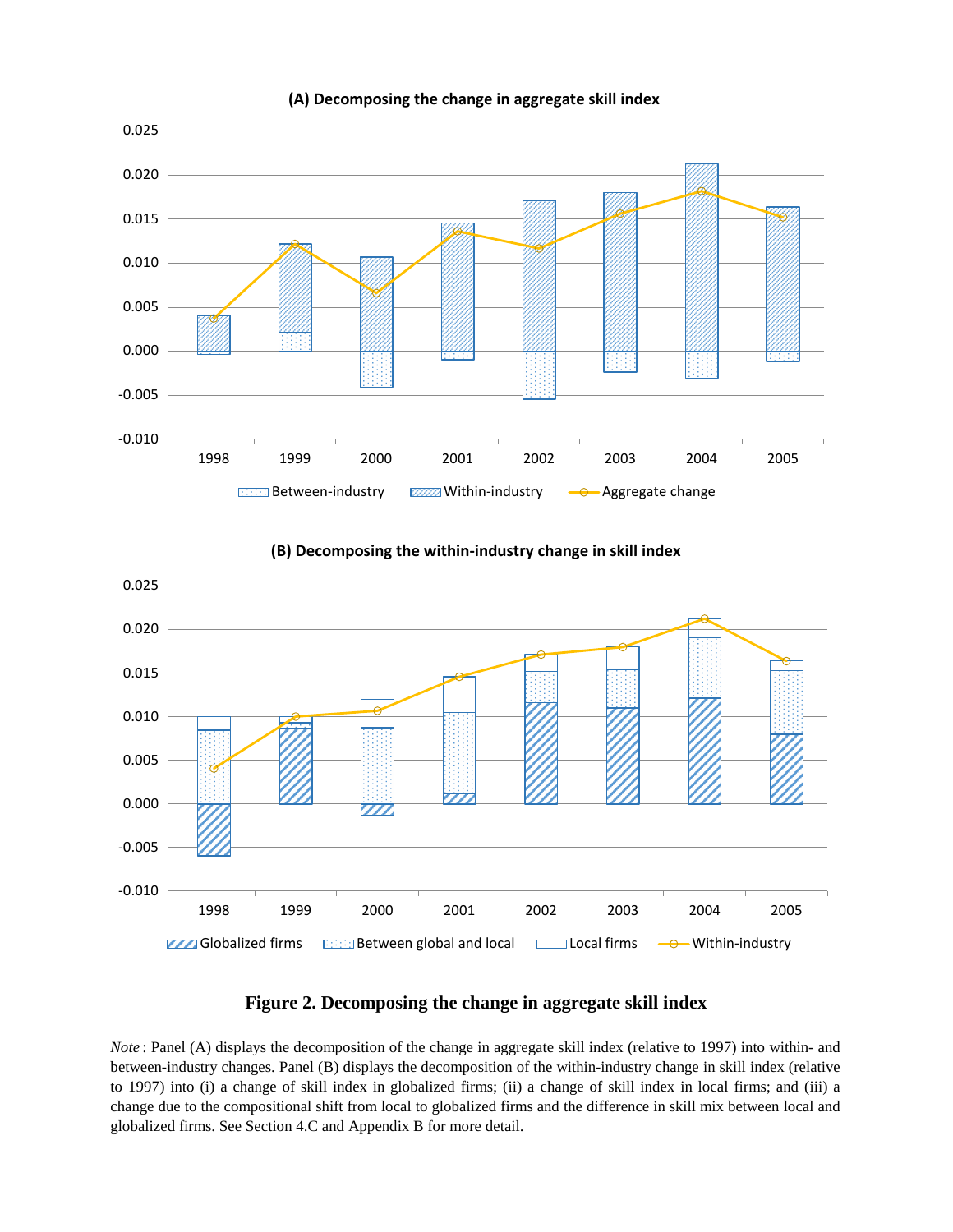

**(A) Decomposing the change in aggregate skill index** 



**(B) Decomposing the within-industry change in skill index**

# **Figure 2. Decomposing the change in aggregate skill index**

*Note*: Panel (A) displays the decomposition of the change in aggregate skill index (relative to 1997) into within- and between-industry changes. Panel (B) displays the decomposition of the within-industry change in skill index (relative to 1997) into (i) a change of skill index in globalized firms; (ii) a change of skill index in local firms; and (iii) a change due to the compositional shift from local to globalized firms and the difference in skill mix between local and globalized firms. See Section 4.C and Appendix B for more detail.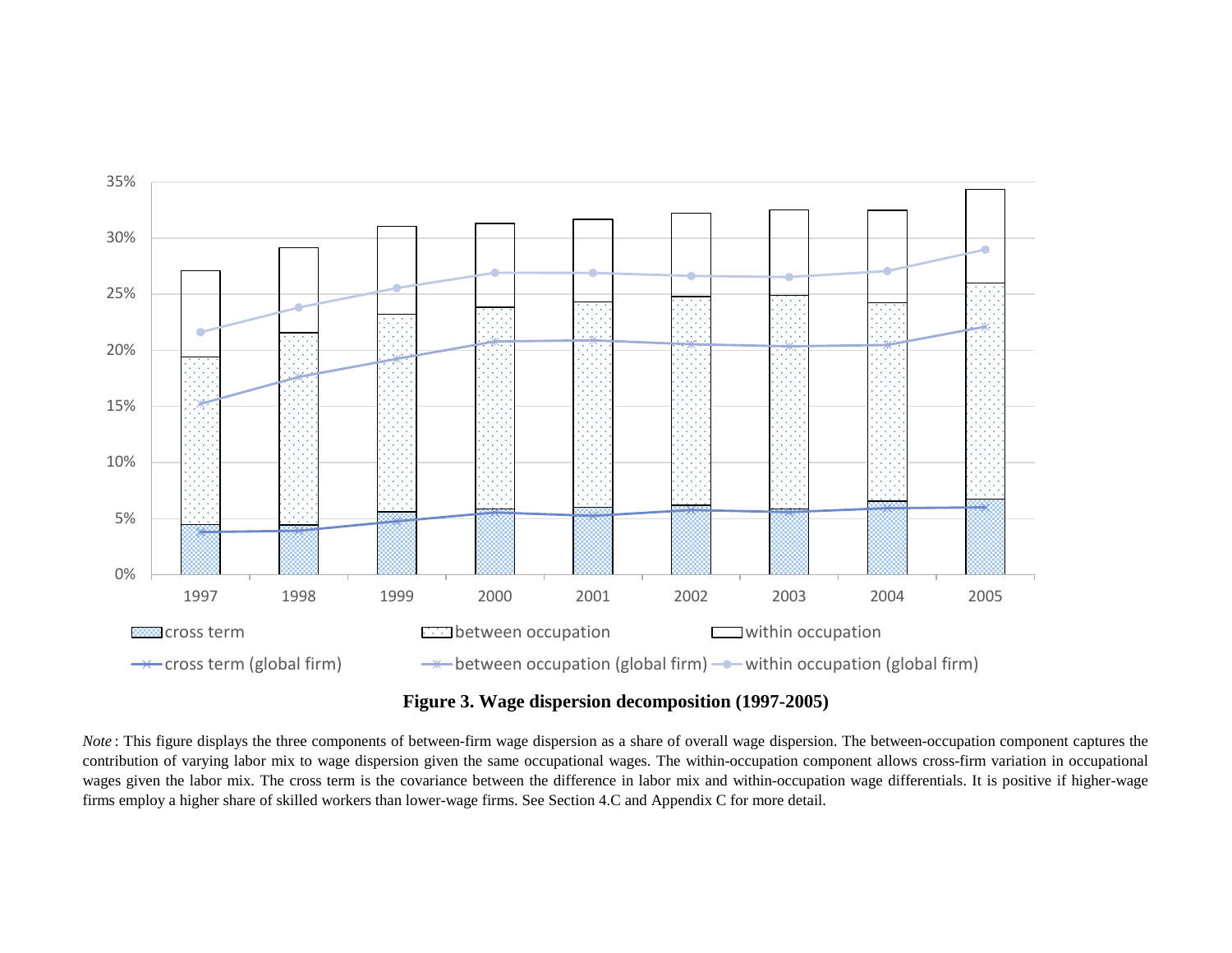

**Figure 3. Wage dispersion decomposition (1997-2005)**

*Note*: This figure displays the three components of between-firm wage dispersion as a share of overall wage dispersion. The between-occupation component captures the contribution of varying labor mix to wage dispersion given the same occupational wages. The within-occupation component allows cross-firm variation in occupational wages given the labor mix. The cross term is the covariance between the difference in labor mix and within-occupation wage differentials. It is positive if higher-wage firms employ a higher share of skilled workers than lower-wage firms. See Section 4.C and Appendix C for more detail.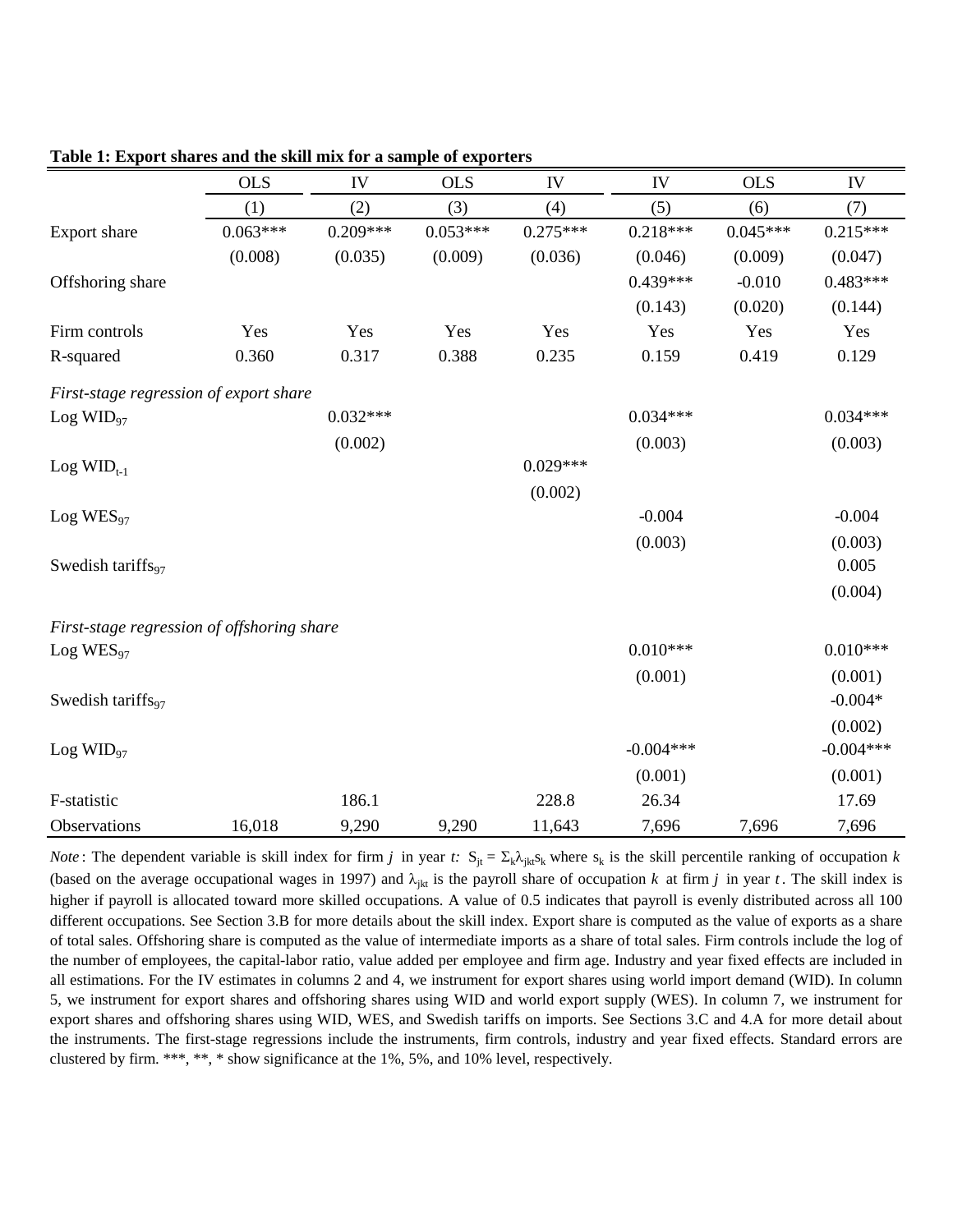|                                            | <b>OLS</b> | IV         | <b>OLS</b> | IV         | IV          | <b>OLS</b> | IV          |  |  |
|--------------------------------------------|------------|------------|------------|------------|-------------|------------|-------------|--|--|
|                                            | (1)        | (2)        | (3)        | (4)        | (5)         | (6)        | (7)         |  |  |
| Export share                               | $0.063***$ | $0.209***$ | $0.053***$ | $0.275***$ | $0.218***$  | $0.045***$ | $0.215***$  |  |  |
|                                            | (0.008)    | (0.035)    | (0.009)    | (0.036)    | (0.046)     | (0.009)    | (0.047)     |  |  |
| Offshoring share                           |            |            |            |            | $0.439***$  | $-0.010$   | $0.483***$  |  |  |
|                                            |            |            |            |            | (0.143)     | (0.020)    | (0.144)     |  |  |
| Firm controls                              | Yes        | Yes        | Yes        | Yes        | Yes         | Yes        | Yes         |  |  |
| R-squared                                  | 0.360      | 0.317      | 0.388      | 0.235      | 0.159       | 0.419      | 0.129       |  |  |
| First-stage regression of export share     |            |            |            |            |             |            |             |  |  |
| $Log WID_{97}$                             |            | $0.032***$ |            |            | $0.034***$  |            | $0.034***$  |  |  |
|                                            |            | (0.002)    |            |            | (0.003)     |            | (0.003)     |  |  |
| $Log WID_{t-1}$                            |            |            |            | $0.029***$ |             |            |             |  |  |
|                                            |            |            |            | (0.002)    |             |            |             |  |  |
| $Log WES_{97}$                             |            |            |            |            | $-0.004$    |            | $-0.004$    |  |  |
|                                            |            |            |            |            | (0.003)     |            | (0.003)     |  |  |
| Swedish tariffs <sub>97</sub>              |            |            |            |            |             |            | 0.005       |  |  |
|                                            |            |            |            |            |             |            | (0.004)     |  |  |
| First-stage regression of offshoring share |            |            |            |            |             |            |             |  |  |
| $Log WES_{97}$                             |            |            |            |            | $0.010***$  |            | $0.010***$  |  |  |
|                                            |            |            |            |            | (0.001)     |            | (0.001)     |  |  |
| Swedish tariffs <sub>97</sub>              |            |            |            |            |             |            | $-0.004*$   |  |  |
|                                            |            |            |            |            |             |            | (0.002)     |  |  |
| $Log WD_{97}$                              |            |            |            |            | $-0.004***$ |            | $-0.004***$ |  |  |
|                                            |            |            |            |            | (0.001)     |            | (0.001)     |  |  |
| F-statistic                                |            | 186.1      |            | 228.8      | 26.34       |            | 17.69       |  |  |
| Observations                               | 16,018     | 9,290      | 9,290      | 11,643     | 7,696       | 7,696      | 7,696       |  |  |

# **Table 1: Export shares and the skill mix for a sample of exporters**

*Note*: The dependent variable is skill index for firm *j* in year *t*:  $S_{jt} = \sum_{k} \lambda_{jkt} S_k$  where  $S_k$  is the skill percentile ranking of occupation *k* (based on the average occupational wages in 1997) and  $\lambda_{\rm ikt}$  is the payroll share of occupation *k* at firm *j* in year *t*. The skill index is higher if payroll is allocated toward more skilled occupations. A value of 0.5 indicates that payroll is evenly distributed across all 100 different occupations. See Section 3.B for more details about the skill index. Export share is computed as the value of exports as a share of total sales. Offshoring share is computed as the value of intermediate imports as a share of total sales. Firm controls include the log of the number of employees, the capital-labor ratio, value added per employee and firm age. Industry and year fixed effects are included in all estimations. For the IV estimates in columns 2 and 4, we instrument for export shares using world import demand (WID). In column 5, we instrument for export shares and offshoring shares using WID and world export supply (WES). In column 7, we instrument for export shares and offshoring shares using WID, WES, and Swedish tariffs on imports. See Sections 3.C and 4.A for more detail about the instruments. The first-stage regressions include the instruments, firm controls, industry and year fixed effects. Standard errors are clustered by firm. \*\*\*, \*\*, \* show significance at the 1%, 5%, and 10% level, respectively.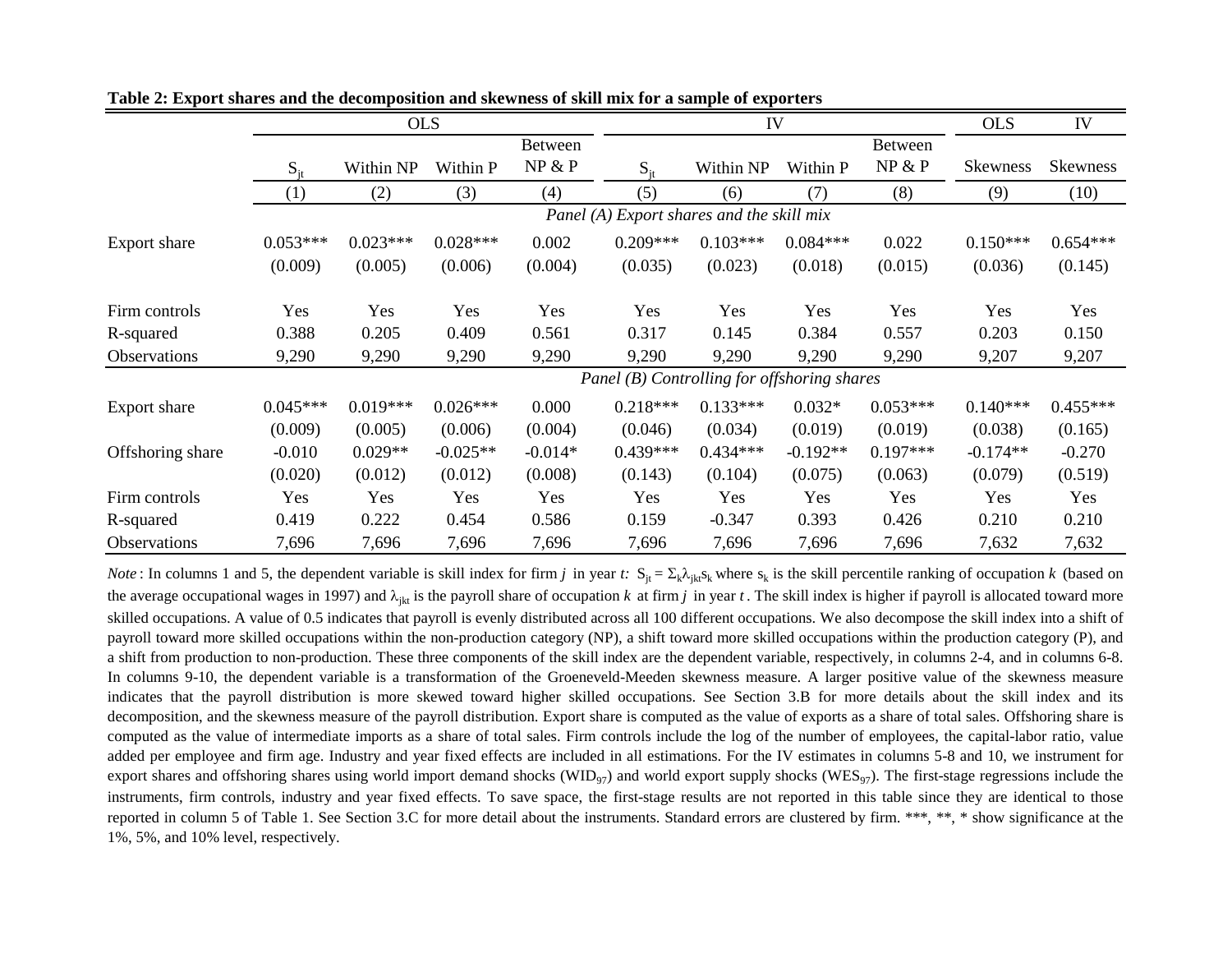|                  | <b>OLS</b>                                  |                                           |            | IV             |            |            |            | <b>OLS</b>     | IV              |                 |
|------------------|---------------------------------------------|-------------------------------------------|------------|----------------|------------|------------|------------|----------------|-----------------|-----------------|
|                  |                                             |                                           |            | <b>Between</b> |            |            |            | <b>Between</b> |                 |                 |
|                  | $S_{it}$                                    | Within NP                                 | Within P   | NP & P         | $S_{it}$   | Within NP  | Within P   | NP & P         | <b>Skewness</b> | <b>Skewness</b> |
|                  | (1)                                         | (2)                                       | (3)        | (4)            | (5)        | (6)        | (7)        | (8)            | (9)             | (10)            |
|                  |                                             | Panel (A) Export shares and the skill mix |            |                |            |            |            |                |                 |                 |
| Export share     | $0.053***$                                  | $0.023***$                                | $0.028***$ | 0.002          | $0.209***$ | $0.103***$ | $0.084***$ | 0.022          | $0.150***$      | $0.654***$      |
|                  | (0.009)                                     | (0.005)                                   | (0.006)    | (0.004)        | (0.035)    | (0.023)    | (0.018)    | (0.015)        | (0.036)         | (0.145)         |
| Firm controls    | Yes                                         | Yes                                       | Yes        | Yes            | Yes        | Yes        | Yes        | Yes            | Yes             | Yes             |
| R-squared        | 0.388                                       | 0.205                                     | 0.409      | 0.561          | 0.317      | 0.145      | 0.384      | 0.557          | 0.203           | 0.150           |
| Observations     | 9,290                                       | 9,290                                     | 9,290      | 9,290          | 9,290      | 9,290      | 9,290      | 9,290          | 9,207           | 9,207           |
|                  | Panel (B) Controlling for offshoring shares |                                           |            |                |            |            |            |                |                 |                 |
| Export share     | $0.045***$                                  | $0.019***$                                | $0.026***$ | 0.000          | $0.218***$ | $0.133***$ | $0.032*$   | $0.053***$     | $0.140***$      | $0.455***$      |
|                  | (0.009)                                     | (0.005)                                   | (0.006)    | (0.004)        | (0.046)    | (0.034)    | (0.019)    | (0.019)        | (0.038)         | (0.165)         |
| Offshoring share | $-0.010$                                    | $0.029**$                                 | $-0.025**$ | $-0.014*$      | $0.439***$ | $0.434***$ | $-0.192**$ | $0.197***$     | $-0.174**$      | $-0.270$        |
|                  | (0.020)                                     | (0.012)                                   | (0.012)    | (0.008)        | (0.143)    | (0.104)    | (0.075)    | (0.063)        | (0.079)         | (0.519)         |
| Firm controls    | Yes                                         | Yes                                       | Yes        | Yes            | Yes        | Yes        | Yes        | Yes            | Yes             | Yes             |
| R-squared        | 0.419                                       | 0.222                                     | 0.454      | 0.586          | 0.159      | $-0.347$   | 0.393      | 0.426          | 0.210           | 0.210           |
| Observations     | 7,696                                       | 7,696                                     | 7,696      | 7,696          | 7,696      | 7,696      | 7,696      | 7,696          | 7,632           | 7,632           |

**Table 2: Export shares and the decomposition and skewness of skill mix for a sample of exporters**

*Note*: In columns 1 and 5, the dependent variable is skill index for firm *j* in year *t*:  $S_{it} = \sum_{k} \lambda_{ikt} s_k$  where  $s_k$  is the skill percentile ranking of occupation *k* (based on the average occupational wages in 1997) and  $\lambda_{ik}$  is the payroll share of occupation *k* at firm *j* in year *t*. The skill index is higher if payroll is allocated toward more skilled occupations. A value of 0.5 indicates that payroll is evenly distributed across all 100 different occupations. We also decompose the skill index into a shift of payroll toward more skilled occupations within the non-production category (NP), a shift toward more skilled occupations within the production category (P), and a shift from production to non-production. These three components of the skill index are the dependent variable, respectively, in columns 2-4, and in columns 6-8. In columns 9-10, the dependent variable is a transformation of the Groeneveld-Meeden skewness measure. A larger positive value of the skewness measure indicates that the payroll distribution is more skewed toward higher skilled occupations. See Section 3.B for more details about the skill index and its decomposition, and the skewness measure of the payroll distribution. Export share is computed as the value of exports as a share of total sales. Offshoring share is computed as the value of intermediate imports as a share of total sales. Firm controls include the log of the number of employees, the capital-labor ratio, value added per employee and firm age. Industry and year fixed effects are included in all estimations. For the IV estimates in columns 5-8 and 10, we instrument for export shares and offshoring shares using world import demand shocks (WID<sub>97</sub>) and world export supply shocks (WES<sub>97</sub>). The first-stage regressions include the instruments, firm controls, industry and year fixed effects. To save space, the first-stage results are not reported in this table since they are identical to those reported in column 5 of Table 1. See Section 3.C for more detail about the instruments. Standard errors are clustered by firm. \*\*\*, \*\*, \* show significance at the 1%, 5%, and 10% level, respectively.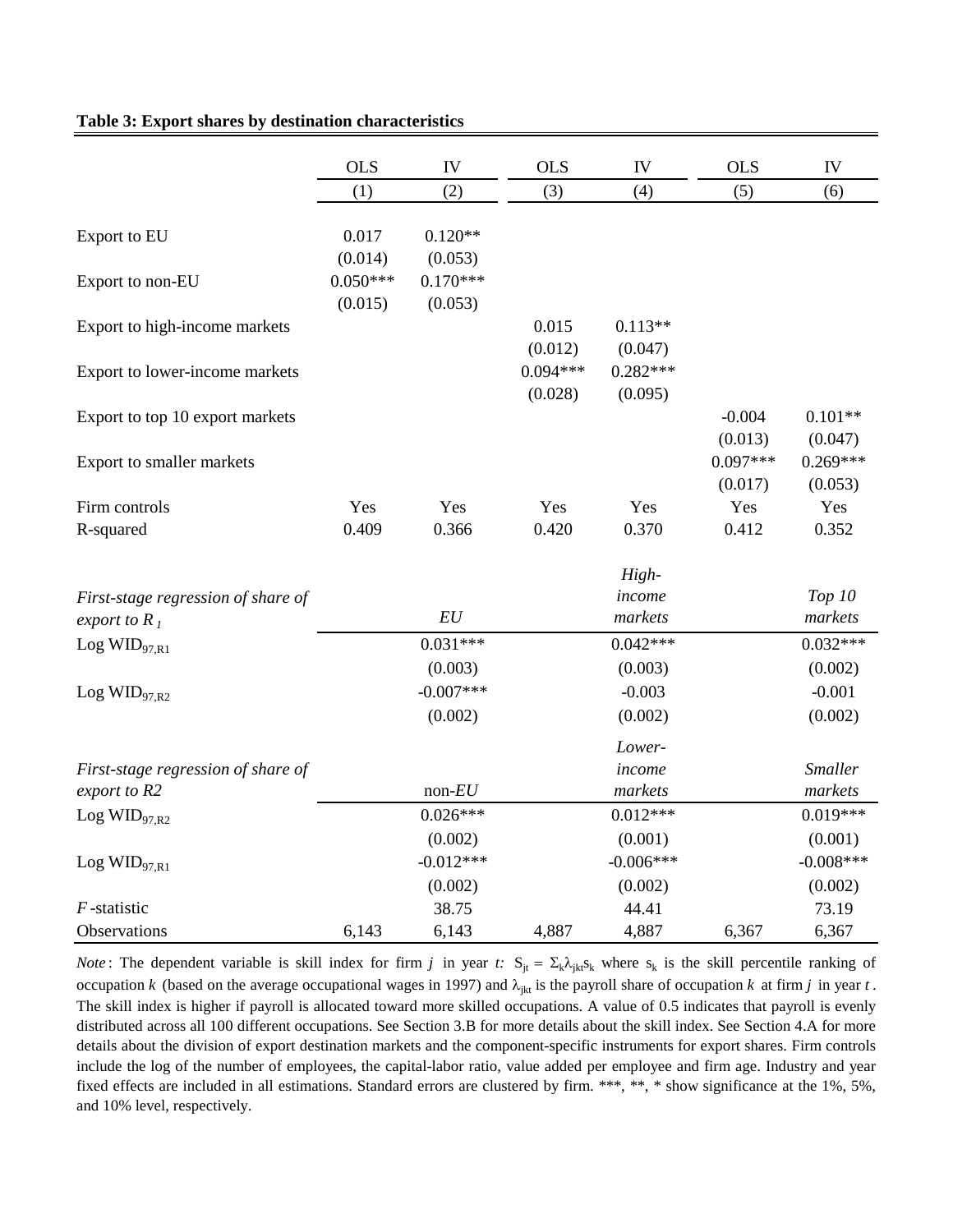|                                    | <b>OLS</b>            | IV                    | <b>OLS</b>            | IV                    | <b>OLS</b>            | IV                    |
|------------------------------------|-----------------------|-----------------------|-----------------------|-----------------------|-----------------------|-----------------------|
|                                    | (1)                   | (2)                   | (3)                   | (4)                   | (5)                   | (6)                   |
| Export to EU                       | 0.017<br>(0.014)      | $0.120**$<br>(0.053)  |                       |                       |                       |                       |
| Export to non-EU                   | $0.050***$<br>(0.015) | $0.170***$<br>(0.053) |                       |                       |                       |                       |
| Export to high-income markets      |                       |                       | 0.015<br>(0.012)      | $0.113**$<br>(0.047)  |                       |                       |
| Export to lower-income markets     |                       |                       | $0.094***$<br>(0.028) | $0.282***$<br>(0.095) |                       |                       |
| Export to top 10 export markets    |                       |                       |                       |                       | $-0.004$<br>(0.013)   | $0.101**$<br>(0.047)  |
| Export to smaller markets          |                       |                       |                       |                       | $0.097***$<br>(0.017) | $0.269***$<br>(0.053) |
| Firm controls                      | Yes                   | Yes                   | Yes                   | Yes                   | Yes                   | Yes                   |
| R-squared                          | 0.409                 | 0.366                 | 0.420                 | 0.370                 | 0.412                 | 0.352                 |
|                                    |                       |                       |                       | High-                 |                       |                       |
| First-stage regression of share of |                       |                       |                       | income                |                       | Top 10                |
| export to $R_1$                    |                       | EU                    |                       | markets               |                       | markets               |
| Log $WID_{97,R1}$                  |                       | $0.031***$            |                       | $0.042***$            |                       | $0.032***$            |
|                                    |                       | (0.003)               |                       | (0.003)               |                       | (0.002)               |
| $Log WD_{97,R2}$                   |                       | $-0.007***$           |                       | $-0.003$              |                       | $-0.001$              |
|                                    |                       | (0.002)               |                       | (0.002)               |                       | (0.002)               |
|                                    |                       |                       |                       | Lower-                |                       |                       |
| First-stage regression of share of |                       |                       |                       | income                |                       | <b>Smaller</b>        |
| export to R2                       |                       | $non-EU$              |                       | markets               |                       | markets               |
| Log $WID_{97,R2}$                  |                       | $0.026***$            |                       | $0.012***$            |                       | $0.019***$            |
|                                    |                       | (0.002)               |                       | (0.001)               |                       | (0.001)               |
| Log $WID_{97,R1}$                  |                       | $-0.012***$           |                       | $-0.006***$           |                       | $-0.008***$           |
|                                    |                       | (0.002)               |                       | (0.002)               |                       | (0.002)               |
| $F$ -statistic                     |                       | 38.75                 |                       | 44.41                 |                       | 73.19                 |
| Observations                       | 6,143                 | 6,143                 | 4,887                 | 4,887                 | 6,367                 | 6,367                 |

**Table 3: Export shares by destination characteristics**

*Note*: The dependent variable is skill index for firm *j* in year *t*:  $S_{jt} = \sum_{k} \lambda_{jkt} s_k$  where  $s_k$  is the skill percentile ranking of occupation *k* (based on the average occupational wages in 1997) and  $\lambda_{jkt}$  is the payroll share of occupation *k* at firm *j* in year *t*. The skill index is higher if payroll is allocated toward more skilled occupations. A value of 0.5 indicates that payroll is evenly distributed across all 100 different occupations. See Section 3.B for more details about the skill index. See Section 4.A for more details about the division of export destination markets and the component-specific instruments for export shares. Firm controls include the log of the number of employees, the capital-labor ratio, value added per employee and firm age. Industry and year fixed effects are included in all estimations. Standard errors are clustered by firm. \*\*\*, \*\*, \* show significance at the 1%, 5%, and 10% level, respectively.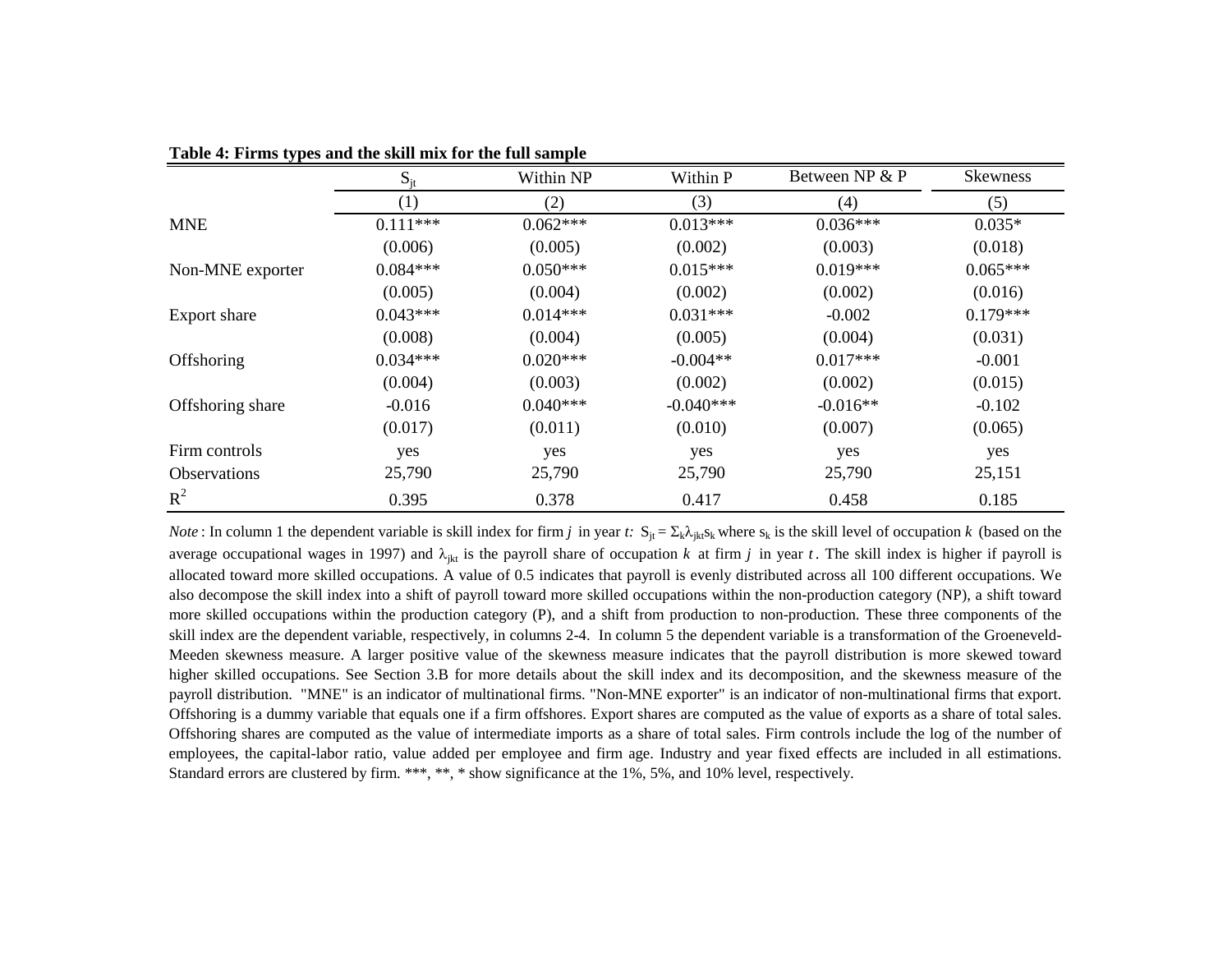|                     | $S_{it}$   | Within NP  | Within P    | Between NP & P | <b>Skewness</b> |
|---------------------|------------|------------|-------------|----------------|-----------------|
|                     | (1)        | (2)        | (3)         | (4)            | (5)             |
| <b>MNE</b>          | $0.111***$ | $0.062***$ | $0.013***$  | $0.036***$     | $0.035*$        |
|                     | (0.006)    | (0.005)    | (0.002)     | (0.003)        | (0.018)         |
| Non-MNE exporter    | $0.084***$ | $0.050***$ | $0.015***$  | $0.019***$     | $0.065***$      |
|                     | (0.005)    | (0.004)    | (0.002)     | (0.002)        | (0.016)         |
| Export share        | $0.043***$ | $0.014***$ | $0.031***$  | $-0.002$       | $0.179***$      |
|                     | (0.008)    | (0.004)    | (0.005)     | (0.004)        | (0.031)         |
| Offshoring          | $0.034***$ | $0.020***$ | $-0.004**$  | $0.017***$     | $-0.001$        |
|                     | (0.004)    | (0.003)    | (0.002)     | (0.002)        | (0.015)         |
| Offshoring share    | $-0.016$   | $0.040***$ | $-0.040***$ | $-0.016**$     | $-0.102$        |
|                     | (0.017)    | (0.011)    | (0.010)     | (0.007)        | (0.065)         |
| Firm controls       | yes        | yes        | yes         | yes            | yes             |
| <b>Observations</b> | 25,790     | 25,790     | 25,790      | 25,790         | 25,151          |
| $R^2$               | 0.395      | 0.378      | 0.417       | 0.458          | 0.185           |

**Table 4: Firms types and the skill mix for the full sample**

*Note*: In column 1 the dependent variable is skill index for firm *j* in year *t*:  $S_{it} = \sum_{k} \lambda_{ikt} s_k$  where  $s_k$  is the skill level of occupation *k* (based on the average occupational wages in 1997) and  $\lambda_{ik}$  is the payroll share of occupation *k* at firm *j* in year *t*. The skill index is higher if payroll is allocated toward more skilled occupations. A value of 0.5 indicates that payroll is evenly distributed across all 100 different occupations. We also decompose the skill index into a shift of payroll toward more skilled occupations within the non-production category (NP), a shift toward more skilled occupations within the production category (P), and a shift from production to non-production. These three components of the skill index are the dependent variable, respectively, in columns 2-4. In column 5 the dependent variable is a transformation of the Groeneveld-Meeden skewness measure. A larger positive value of the skewness measure indicates that the payroll distribution is more skewed toward higher skilled occupations. See Section 3.B for more details about the skill index and its decomposition, and the skewness measure of the payroll distribution. "MNE" is an indicator of multinational firms. "Non-MNE exporter" is an indicator of non-multinational firms that export. Offshoring is a dummy variable that equals one if a firm offshores. Export shares are computed as the value of exports as a share of total sales. Offshoring shares are computed as the value of intermediate imports as a share of total sales. Firm controls include the log of the number of employees, the capital-labor ratio, value added per employee and firm age. Industry and year fixed effects are included in all estimations. Standard errors are clustered by firm. \*\*\*, \*\*, \* show significance at the 1%, 5%, and 10% level, respectively.